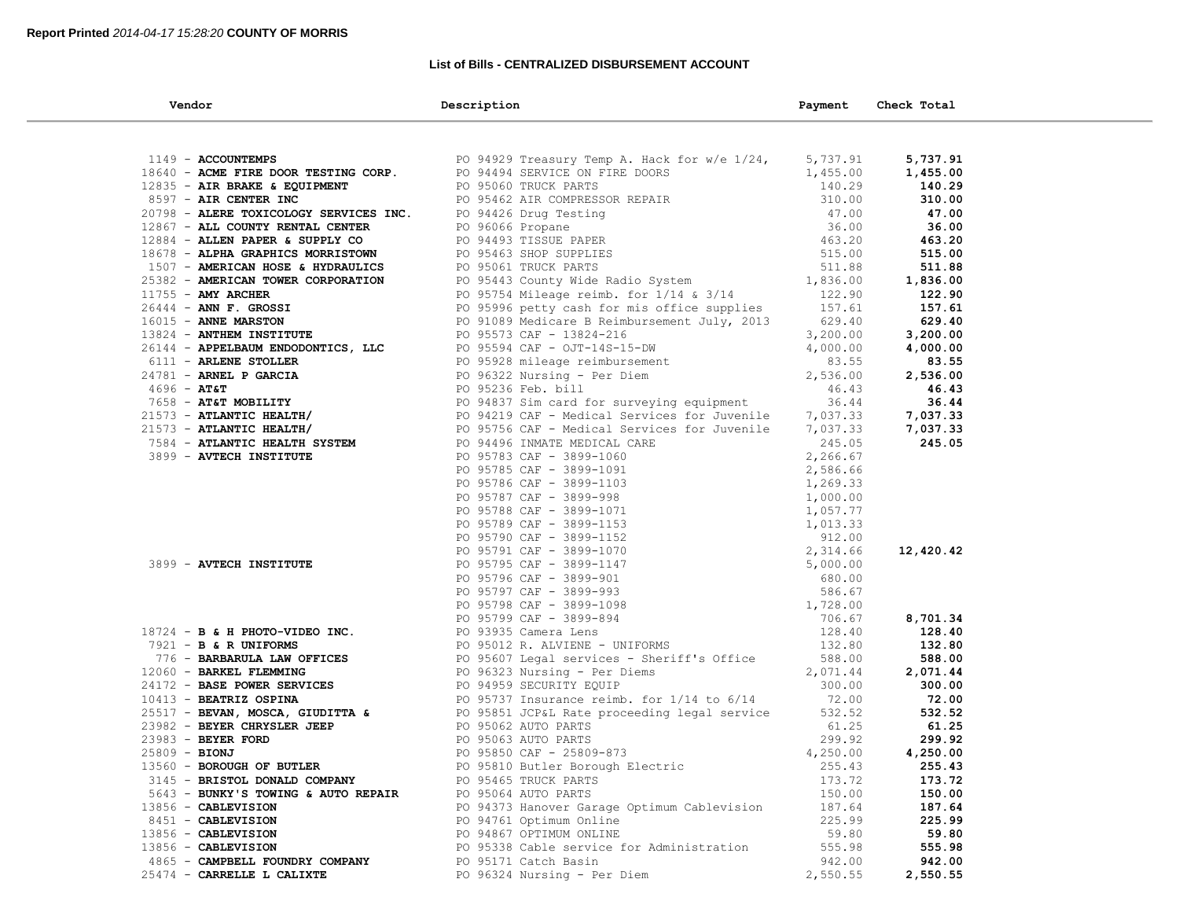### **List of Bills - CENTRALIZED DISBURSEMENT ACCOUNT**

| Vendor                                                                                  | Description                                                                                                                                                                                                                                     | Payment  | Check Total |
|-----------------------------------------------------------------------------------------|-------------------------------------------------------------------------------------------------------------------------------------------------------------------------------------------------------------------------------------------------|----------|-------------|
|                                                                                         |                                                                                                                                                                                                                                                 |          |             |
| 1149 - ACCOUNTEMPS                                                                      | PO 94929 Treasury Temp A. Hack for w/e $1/24$ ,                                                                                                                                                                                                 | 5,737.91 | 5,737.91    |
| 18640 - ACME FIRE DOOR TESTING CORP.                                                    |                                                                                                                                                                                                                                                 | 1,455.00 | 1,455.00    |
| 12835 - AIR BRAKE & EQUIPMENT                                                           | PO 94494 SERVICE ON FIRE DOORS<br>PO 95060 TRUCK PARTS                                                                                                                                                                                          | 140.29   | 140.29      |
| 8597 - AIR CENTER INC                                                                   | PO 95462 AIR COMPRESSOR REPAIR<br>PO 96426 Drug Testing<br>PO 96066 Propane<br>PO 96066 Propane<br>PO 96066 Propane<br>PO 96443 TISSUE PAPER<br>PO 95463 SHOP SUPPLIES<br>PO 95061 TRUCK PARTS<br>PO 95443 County Wide Radio System<br>PO 95443 |          | 310.00      |
| 20798 - ALERE TOXICOLOGY SERVICES INC.                                                  | PO 94426 Drug Testing                                                                                                                                                                                                                           |          | 47.00       |
| 12867 - ALL COUNTY RENTAL CENTER                                                        |                                                                                                                                                                                                                                                 |          | 36.00       |
| 12884 - ALLEN PAPER & SUPPLY CO                                                         |                                                                                                                                                                                                                                                 |          | 463.20      |
| 18678 - ALPHA GRAPHICS MORRISTOWN                                                       |                                                                                                                                                                                                                                                 |          | 515.00      |
| 1507 - AMERICAN HOSE & HYDRAULICS                                                       |                                                                                                                                                                                                                                                 |          | 511.88      |
| 25382 - AMERICAN TOWER CORPORATION                                                      |                                                                                                                                                                                                                                                 |          | 1,836.00    |
| $11755 - AMY$ ARCHER                                                                    | PO 95754 Mileage reimb. for 1/14 & 3/14                                                                                                                                                                                                         | 122.90   | 122.90      |
| $26444$ - ANN F. GROSSI                                                                 |                                                                                                                                                                                                                                                 | 157.61   | 157.61      |
| 16015 - ANNE MARSTON                                                                    | -- -- .<br>PO 95996 petty cash for mis office supplies<br>PO 91089 Medicare B Reimbursement July, 2013                                                                                                                                          | 629.40   | 629.40      |
| 13824 - ANTHEM INSTITUTE                                                                | PO 95573 CAF - 13824-216                                                                                                                                                                                                                        | 3,200.00 | 3,200.00    |
| 26144 - APPELBAUM ENDODONTICS, LLC                                                      |                                                                                                                                                                                                                                                 | 4,000.00 | 4,000.00    |
| 6111 - ARLENE STOLLER                                                                   | PO 95594 CAF - OJT-145-15 L.<br>PO 95928 mileage reimbursement<br>PO 96322 Nursing - Per Diem                                                                                                                                                   | 83.55    | 83.55       |
| 24781 - ARNEL P GARCIA                                                                  |                                                                                                                                                                                                                                                 | 2,536.00 | 2,536.00    |
| $4696 - AT&T$                                                                           |                                                                                                                                                                                                                                                 | 46.43    | 46.43       |
| 7658 - AT&T MOBILITY                                                                    |                                                                                                                                                                                                                                                 | 36.44    | 36.44       |
| 21573 - ATLANTIC HEALTH/                                                                |                                                                                                                                                                                                                                                 | 7,037.33 | 7,037.33    |
| $21573$ - ATLANTIC HEALTH/                                                              | PO 95928 mileage reimbursement<br>PO 96322 Nursing - Per Diem<br>PO 95236 Feb. bill<br>PO 94837 Sim card for surveying equipment<br>PO 94219 CAF - Medical Services for Juvenile<br>PO 95756 CAF - Medical Services for Juvenile                | 7,037.33 | 7,037.33    |
| 7584 - ATLANTIC HEALTH SYSTEM                                                           | PO 94496 INMATE MEDICAL CARE                                                                                                                                                                                                                    | 245.05   | 245.05      |
| 3899 - AVTECH INSTITUTE                                                                 | PO 95783 CAF - 3899-1060                                                                                                                                                                                                                        | 2,266.67 |             |
|                                                                                         |                                                                                                                                                                                                                                                 |          |             |
|                                                                                         |                                                                                                                                                                                                                                                 |          |             |
|                                                                                         | PO 95783 CAF - 3899-1060<br>PO 95785 CAF - 3899-1091<br>PO 95786 CAF - 3899-1091<br>PO 95786 CAF - 3899-998<br>PO 95787 CAF - 3899-998<br>PO 95787 CAF - 3899-998<br>PO 95789 CAF - 3899-1152<br>PO 95799 CAF - 3899-1152<br>PO 95799 CAF - 38  |          |             |
|                                                                                         |                                                                                                                                                                                                                                                 |          |             |
|                                                                                         |                                                                                                                                                                                                                                                 |          |             |
|                                                                                         |                                                                                                                                                                                                                                                 |          |             |
|                                                                                         |                                                                                                                                                                                                                                                 |          | 12,420.42   |
| 3899 - AVTECH INSTITUTE                                                                 |                                                                                                                                                                                                                                                 |          |             |
|                                                                                         |                                                                                                                                                                                                                                                 |          |             |
|                                                                                         |                                                                                                                                                                                                                                                 |          |             |
|                                                                                         |                                                                                                                                                                                                                                                 |          |             |
|                                                                                         |                                                                                                                                                                                                                                                 |          | 8,701.34    |
| $18724$ - B & H PHOTO-VIDEO INC.                                                        |                                                                                                                                                                                                                                                 |          | 128.40      |
| $7921 - B & R UNIFORMS$                                                                 |                                                                                                                                                                                                                                                 |          | 132.80      |
| 776 - BARBARULA LAW OFFICES                                                             |                                                                                                                                                                                                                                                 | 588.00   | 588.00      |
| 12060 - BARKEL FLEMMING                                                                 | PO 95607 Legal services - Sheriff's Office<br>PO 96323 Nursing - Per Diems                                                                                                                                                                      | 2,071.44 | 2,071.44    |
| 24172 - BASE POWER SERVICES                                                             | PO 94959 SECURITY EQUIP                                                                                                                                                                                                                         | 300.00   | 300.00      |
| 10413 - BEATRIZ OSPINA                                                                  | PO 95737 Insurance reimb. for 1/14 to 6/14                                                                                                                                                                                                      | 72.00    | 72.00       |
| 25517 - BEVAN, MOSCA, GIUDITTA &                                                        | PO 95851 JCP&L Rate proceeding legal service                                                                                                                                                                                                    | 532.52   | 532.52      |
| 23982 - <b>BEYER CHRYSLER JEEP</b><br>23983 - <b>BEYER FORD</b><br>25809 - <b>BIONJ</b> | PO 95062 AUTO PARTS                                                                                                                                                                                                                             | 61.25    | 61.25       |
|                                                                                         | PO 95063 AUTO PARTS                                                                                                                                                                                                                             | 299.92   | 299.92      |
|                                                                                         | PO 95850 CAF - 25809-873                                                                                                                                                                                                                        | 4,250.00 | 4,250.00    |
| 13560 - BOROUGH OF BUTLER                                                               | PO 95810 Butler Borough Electric                                                                                                                                                                                                                | 255.43   | 255.43      |
| 3145 - BRISTOL DONALD COMPANY                                                           | PO 95465 TRUCK PARTS                                                                                                                                                                                                                            | 173.72   | 173.72      |
| 5643 - BUNKY'S TOWING & AUTO REPAIR                                                     | PO 95064 AUTO PARTS                                                                                                                                                                                                                             | 150.00   | 150.00      |
| 13856 - CABLEVISION                                                                     | PO 94373 Hanover Garage Optimum Cablevision                                                                                                                                                                                                     | 187.64   | 187.64      |
| 8451 - CABLEVISION                                                                      | PO 94761 Optimum Online                                                                                                                                                                                                                         | 225.99   | 225.99      |
| 13856 - CABLEVISION                                                                     | PO 94867 OPTIMUM ONLINE                                                                                                                                                                                                                         | 59.80    | 59.80       |
| 13856 - CABLEVISION                                                                     | PO 95338 Cable service for Administration                                                                                                                                                                                                       | 555.98   | 555.98      |
| 4865 - CAMPBELL FOUNDRY COMPANY                                                         | PO 95171 Catch Basin                                                                                                                                                                                                                            | 942.00   | 942.00      |
| 25474 - CARRELLE L CALIXTE                                                              | PO 96324 Nursing - Per Diem                                                                                                                                                                                                                     | 2,550.55 | 2,550.55    |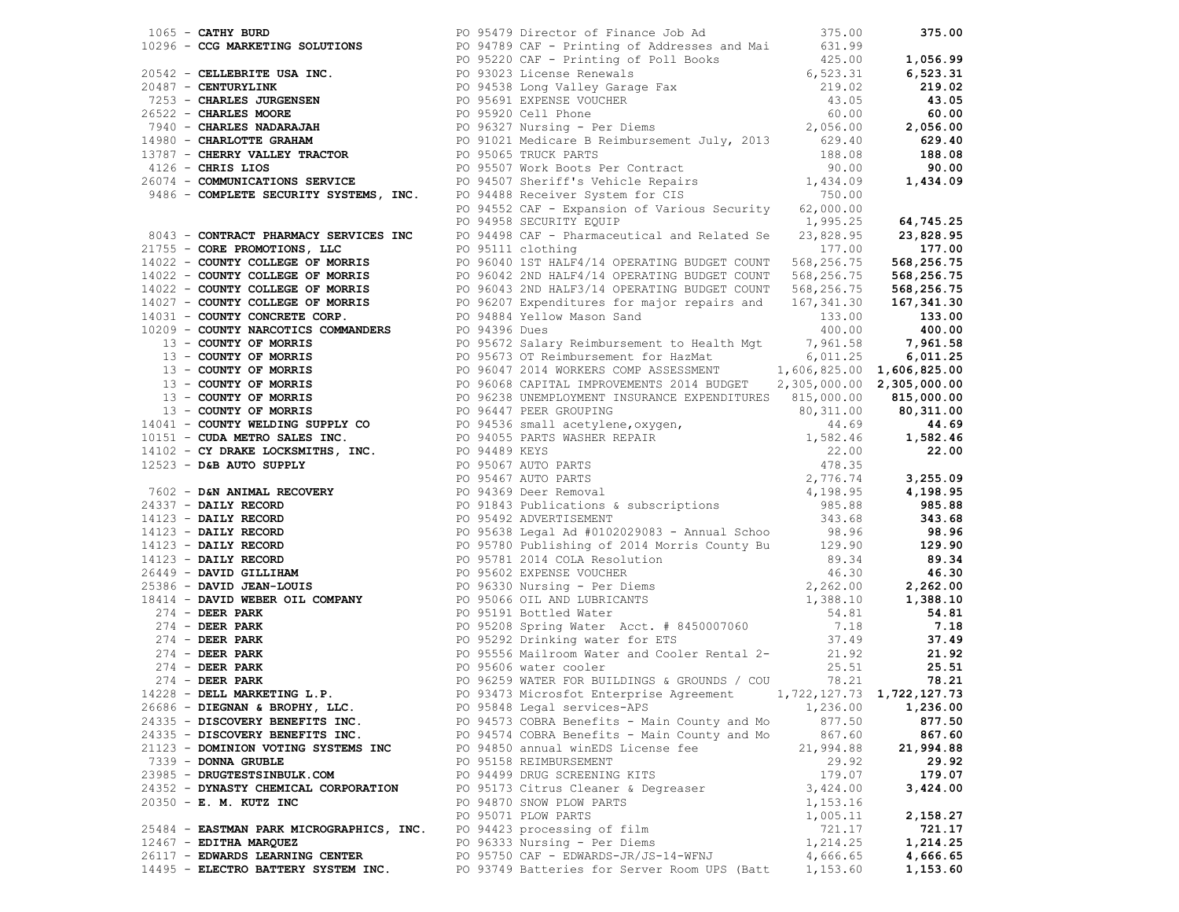| 1065 <b>- CATHY BURD</b><br>1065 <b>- CATHY BURD</b><br>2096 <b>- CCG MARKETING SOLUTIONS</b><br>2097 <b>- CELLEBRITE USA INC.</b><br>2097 <b>- CELLEBRITE USA INC.</b><br>2097 <b>- CELLEBRITE USA INC.</b><br>20987 <b>- CELLEBRITE USA INC.</b><br>20987 <b>- CELLEBRITE USA </b> |  |                                                       |           |           |
|--------------------------------------------------------------------------------------------------------------------------------------------------------------------------------------------------------------------------------------------------------------------------------------|--|-------------------------------------------------------|-----------|-----------|
|                                                                                                                                                                                                                                                                                      |  |                                                       |           |           |
|                                                                                                                                                                                                                                                                                      |  |                                                       |           |           |
|                                                                                                                                                                                                                                                                                      |  |                                                       |           |           |
|                                                                                                                                                                                                                                                                                      |  |                                                       |           |           |
|                                                                                                                                                                                                                                                                                      |  |                                                       |           |           |
|                                                                                                                                                                                                                                                                                      |  |                                                       |           |           |
|                                                                                                                                                                                                                                                                                      |  |                                                       |           |           |
|                                                                                                                                                                                                                                                                                      |  |                                                       |           |           |
|                                                                                                                                                                                                                                                                                      |  |                                                       |           |           |
|                                                                                                                                                                                                                                                                                      |  |                                                       |           |           |
|                                                                                                                                                                                                                                                                                      |  |                                                       |           |           |
|                                                                                                                                                                                                                                                                                      |  |                                                       |           |           |
|                                                                                                                                                                                                                                                                                      |  |                                                       |           |           |
|                                                                                                                                                                                                                                                                                      |  |                                                       |           |           |
|                                                                                                                                                                                                                                                                                      |  |                                                       |           |           |
|                                                                                                                                                                                                                                                                                      |  |                                                       |           |           |
|                                                                                                                                                                                                                                                                                      |  |                                                       |           |           |
|                                                                                                                                                                                                                                                                                      |  |                                                       |           |           |
|                                                                                                                                                                                                                                                                                      |  |                                                       |           |           |
|                                                                                                                                                                                                                                                                                      |  |                                                       |           |           |
|                                                                                                                                                                                                                                                                                      |  |                                                       |           |           |
|                                                                                                                                                                                                                                                                                      |  |                                                       |           |           |
|                                                                                                                                                                                                                                                                                      |  |                                                       |           |           |
|                                                                                                                                                                                                                                                                                      |  |                                                       |           |           |
|                                                                                                                                                                                                                                                                                      |  |                                                       |           |           |
|                                                                                                                                                                                                                                                                                      |  |                                                       |           |           |
|                                                                                                                                                                                                                                                                                      |  |                                                       |           |           |
|                                                                                                                                                                                                                                                                                      |  |                                                       |           |           |
|                                                                                                                                                                                                                                                                                      |  |                                                       |           |           |
|                                                                                                                                                                                                                                                                                      |  |                                                       |           |           |
|                                                                                                                                                                                                                                                                                      |  |                                                       |           |           |
|                                                                                                                                                                                                                                                                                      |  |                                                       |           |           |
|                                                                                                                                                                                                                                                                                      |  |                                                       |           |           |
|                                                                                                                                                                                                                                                                                      |  |                                                       |           |           |
|                                                                                                                                                                                                                                                                                      |  |                                                       |           |           |
|                                                                                                                                                                                                                                                                                      |  |                                                       |           |           |
|                                                                                                                                                                                                                                                                                      |  |                                                       |           |           |
|                                                                                                                                                                                                                                                                                      |  |                                                       |           |           |
|                                                                                                                                                                                                                                                                                      |  |                                                       |           |           |
|                                                                                                                                                                                                                                                                                      |  |                                                       |           |           |
|                                                                                                                                                                                                                                                                                      |  |                                                       |           |           |
|                                                                                                                                                                                                                                                                                      |  |                                                       |           |           |
|                                                                                                                                                                                                                                                                                      |  |                                                       |           |           |
|                                                                                                                                                                                                                                                                                      |  |                                                       |           |           |
|                                                                                                                                                                                                                                                                                      |  |                                                       |           |           |
|                                                                                                                                                                                                                                                                                      |  |                                                       |           |           |
| 24079 - COMMUNICATIONS SERVICES (10 21502 Decision Particle Records 11,434.0<br>24145 - COMMUNICATIONS SERVICES (10 21503 Decision Particle Records 11,434.02<br>24145 - COMMUNICATIONS SERVICES INC. 123445 Control and Network                                                     |  |                                                       |           |           |
|                                                                                                                                                                                                                                                                                      |  |                                                       |           |           |
|                                                                                                                                                                                                                                                                                      |  |                                                       |           |           |
|                                                                                                                                                                                                                                                                                      |  |                                                       |           |           |
|                                                                                                                                                                                                                                                                                      |  |                                                       |           |           |
|                                                                                                                                                                                                                                                                                      |  |                                                       |           |           |
|                                                                                                                                                                                                                                                                                      |  |                                                       |           |           |
| 26686 - DIEGNAN & BROPHY, LLC.                                                                                                                                                                                                                                                       |  | PO 95848 Legal services-APS                           | 1,236.00  | 1,236.00  |
| 24335 - DISCOVERY BENEFITS INC.                                                                                                                                                                                                                                                      |  | PO 94573 COBRA Benefits - Main County and Mo          | 877.50    | 877.50    |
| 24335 - DISCOVERY BENEFITS INC.                                                                                                                                                                                                                                                      |  | PO 94574 COBRA Benefits - Main County and Mo          | 867.60    | 867.60    |
| 21123 - DOMINION VOTING SYSTEMS INC                                                                                                                                                                                                                                                  |  | PO 94850 annual winEDS License fee                    | 21,994.88 | 21,994.88 |
| 7339 - DONNA GRUBLE                                                                                                                                                                                                                                                                  |  | PO 95158 REIMBURSEMENT                                | 29.92     | 29.92     |
| 23985 - DRUGTESTSINBULK.COM                                                                                                                                                                                                                                                          |  | PO 94499 DRUG SCREENING KITS                          | 179.07    | 179.07    |
| 24352 - DYNASTY CHEMICAL CORPORATION                                                                                                                                                                                                                                                 |  | PO 95173 Citrus Cleaner & Degreaser                   | 3,424.00  | 3,424.00  |
| 20350 - E. M. KUTZ INC                                                                                                                                                                                                                                                               |  | PO 94870 SNOW PLOW PARTS                              | 1,153.16  |           |
|                                                                                                                                                                                                                                                                                      |  | PO 95071 PLOW PARTS                                   | 1,005.11  | 2,158.27  |
| 25484 - EASTMAN PARK MICROGRAPHICS, INC.                                                                                                                                                                                                                                             |  | PO 94423 processing of film                           | 721.17    | 721.17    |
| $12467$ - EDITHA MARQUEZ                                                                                                                                                                                                                                                             |  | PO 96333 Nursing - Per Diems                          | 1,214.25  | 1,214.25  |
| 26117 - EDWARDS LEARNING CENTER                                                                                                                                                                                                                                                      |  |                                                       |           | 4,666.65  |
|                                                                                                                                                                                                                                                                                      |  | PO 95750 CAF - EDWARDS-JR/JS-14-WFNJ                  | 4,666.65  |           |
| 14495 - ELECTRO BATTERY SYSTEM INC.                                                                                                                                                                                                                                                  |  | PO 93749 Batteries for Server Room UPS (Batt 1,153.60 |           | 1,153.60  |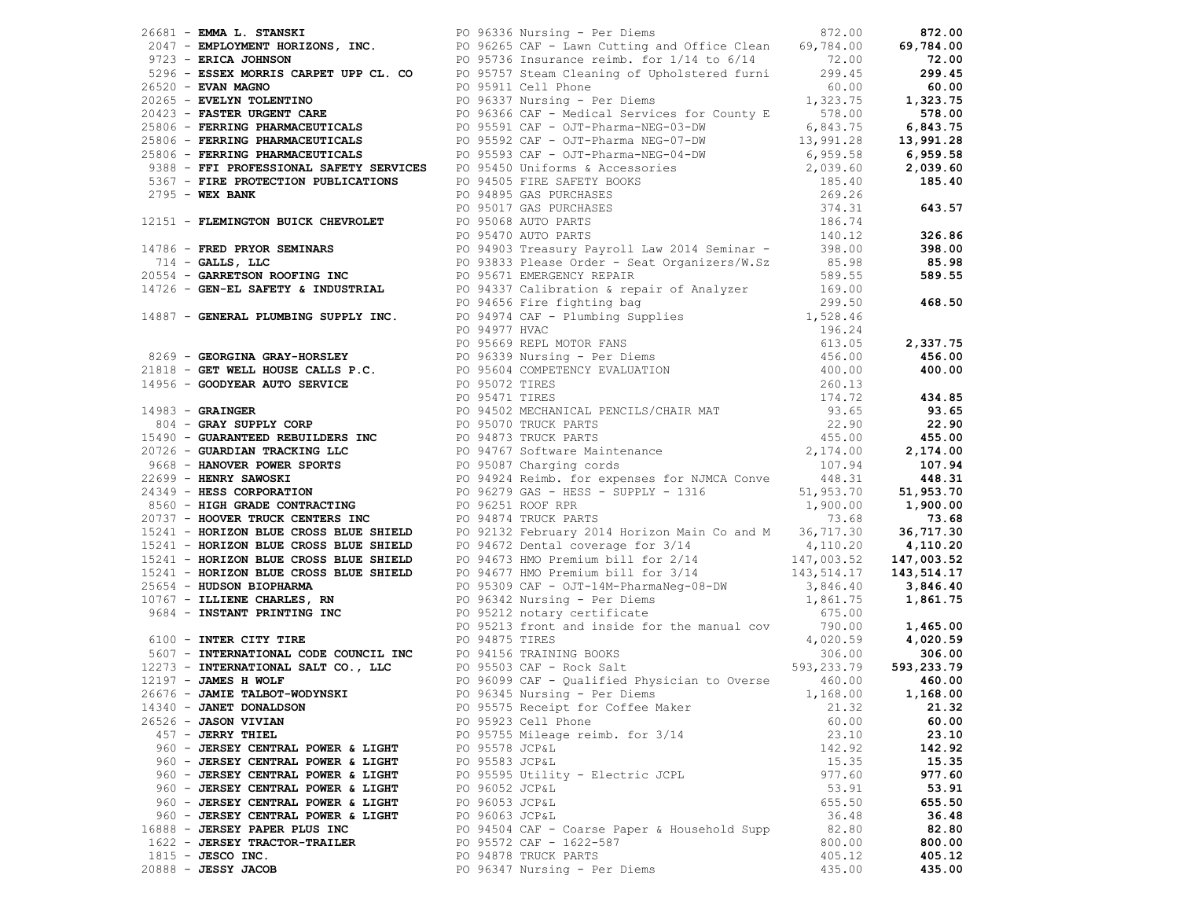| 14340 - JANET DONALDSON            | PO 95575 Receipt for Coffee Maker            | 21.32  | 21.32  |
|------------------------------------|----------------------------------------------|--------|--------|
| 26526 - JASON VIVIAN               | PO 95923 Cell Phone                          | 60.00  | 60.00  |
| 457 - JERRY THIEL                  | PO 95755 Mileage reimb. for 3/14             | 23.10  | 23.10  |
| 960 - JERSEY CENTRAL POWER & LIGHT | PO 95578 JCP&L                               | 142.92 | 142.92 |
| 960 - JERSEY CENTRAL POWER & LIGHT | PO 95583 JCP&L                               | 15.35  | 15.35  |
| 960 - JERSEY CENTRAL POWER & LIGHT | PO 95595 Utility - Electric JCPL             | 977.60 | 977.60 |
| 960 - JERSEY CENTRAL POWER & LIGHT | PO 96052 JCP&L                               | 53.91  | 53.91  |
| 960 - JERSEY CENTRAL POWER & LIGHT | PO 96053 JCP&L                               | 655.50 | 655.50 |
| 960 - JERSEY CENTRAL POWER & LIGHT | PO 96063 JCP&L                               | 36.48  | 36.48  |
| 16888 - JERSEY PAPER PLUS INC      |                                              |        | 82.80  |
|                                    | PO 94504 CAF - Coarse Paper & Household Supp | 82.80  |        |
| 1622 - JERSEY TRACTOR-TRAILER      | PO 95572 CAF - 1622-587                      | 800.00 | 800.00 |
| $1815$ - JESCO INC.                | PO 94878 TRUCK PARTS                         | 405.12 | 405.12 |
| $20888 - JESSY JACOB$              | PO 96347 Nursing - Per Diems                 | 435.00 | 435.00 |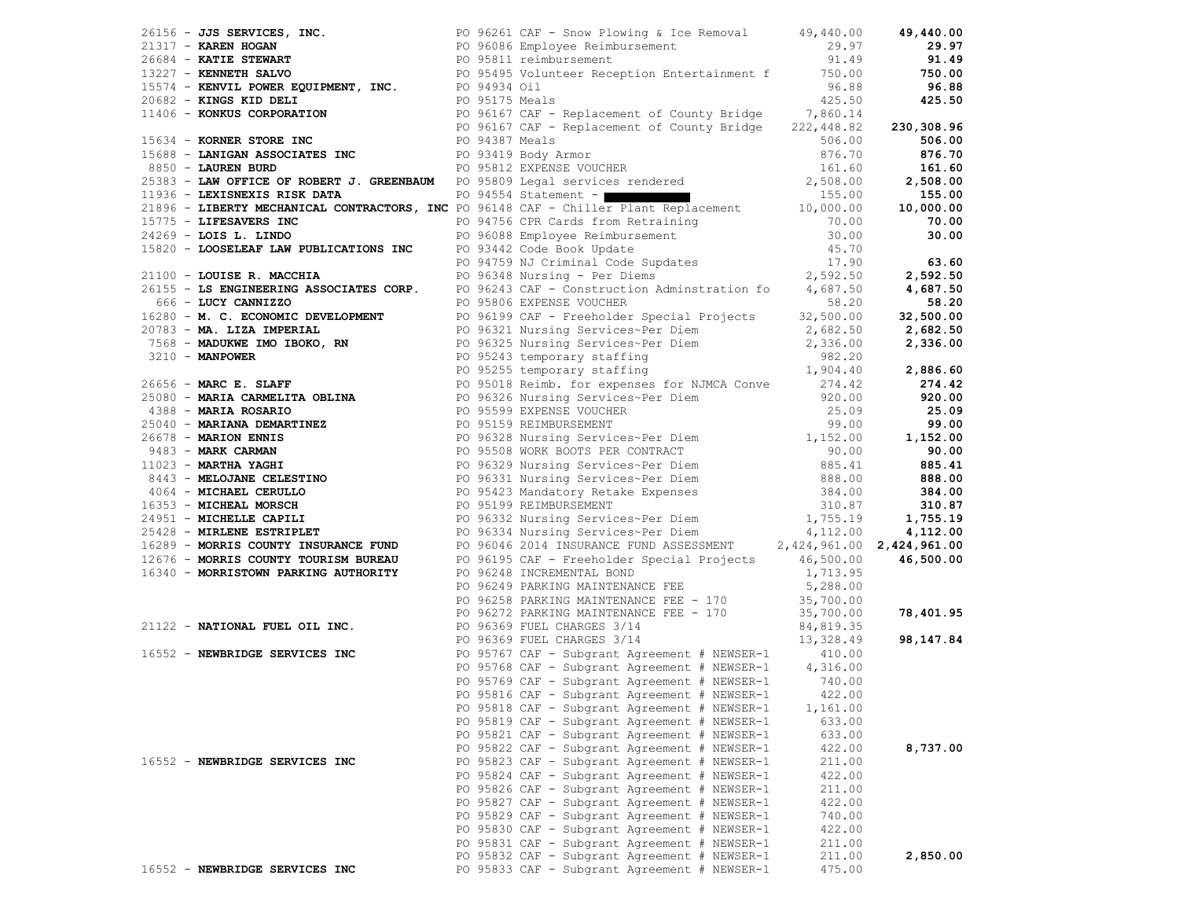| 79159 - JOS SERVICKS, INC. TO SERVICK (1997) ON The SERVICK (1997) - 1991 - 1991 - 1992 - 2002 (1992) - 1992 - 2002 (1992) - 1992 - 2002 (1992) - 1992 - 2002 (1992) - 1992 - 2002 (1992) - 1992 - 2002 (1992) - 1992 - 2002                  |  |                                                     |          |           |
|-----------------------------------------------------------------------------------------------------------------------------------------------------------------------------------------------------------------------------------------------|--|-----------------------------------------------------|----------|-----------|
|                                                                                                                                                                                                                                               |  |                                                     |          |           |
|                                                                                                                                                                                                                                               |  |                                                     |          |           |
|                                                                                                                                                                                                                                               |  |                                                     |          |           |
|                                                                                                                                                                                                                                               |  |                                                     |          |           |
|                                                                                                                                                                                                                                               |  |                                                     |          |           |
|                                                                                                                                                                                                                                               |  |                                                     |          |           |
|                                                                                                                                                                                                                                               |  |                                                     |          |           |
|                                                                                                                                                                                                                                               |  |                                                     |          |           |
|                                                                                                                                                                                                                                               |  |                                                     |          |           |
|                                                                                                                                                                                                                                               |  |                                                     |          |           |
|                                                                                                                                                                                                                                               |  |                                                     |          |           |
|                                                                                                                                                                                                                                               |  |                                                     |          |           |
|                                                                                                                                                                                                                                               |  |                                                     |          |           |
|                                                                                                                                                                                                                                               |  |                                                     |          |           |
|                                                                                                                                                                                                                                               |  |                                                     |          |           |
|                                                                                                                                                                                                                                               |  |                                                     |          |           |
|                                                                                                                                                                                                                                               |  |                                                     |          |           |
|                                                                                                                                                                                                                                               |  |                                                     |          |           |
|                                                                                                                                                                                                                                               |  |                                                     |          |           |
|                                                                                                                                                                                                                                               |  |                                                     |          |           |
|                                                                                                                                                                                                                                               |  |                                                     |          |           |
|                                                                                                                                                                                                                                               |  |                                                     |          |           |
|                                                                                                                                                                                                                                               |  |                                                     |          |           |
|                                                                                                                                                                                                                                               |  |                                                     |          |           |
|                                                                                                                                                                                                                                               |  |                                                     |          |           |
|                                                                                                                                                                                                                                               |  |                                                     |          |           |
|                                                                                                                                                                                                                                               |  |                                                     |          |           |
|                                                                                                                                                                                                                                               |  |                                                     |          |           |
|                                                                                                                                                                                                                                               |  |                                                     |          |           |
|                                                                                                                                                                                                                                               |  |                                                     |          |           |
|                                                                                                                                                                                                                                               |  |                                                     |          |           |
|                                                                                                                                                                                                                                               |  |                                                     |          |           |
|                                                                                                                                                                                                                                               |  |                                                     |          |           |
|                                                                                                                                                                                                                                               |  |                                                     |          |           |
|                                                                                                                                                                                                                                               |  |                                                     |          |           |
|                                                                                                                                                                                                                                               |  |                                                     |          |           |
|                                                                                                                                                                                                                                               |  |                                                     |          |           |
|                                                                                                                                                                                                                                               |  |                                                     |          |           |
|                                                                                                                                                                                                                                               |  |                                                     |          |           |
|                                                                                                                                                                                                                                               |  |                                                     |          |           |
|                                                                                                                                                                                                                                               |  |                                                     |          |           |
|                                                                                                                                                                                                                                               |  |                                                     |          |           |
|                                                                                                                                                                                                                                               |  |                                                     |          |           |
|                                                                                                                                                                                                                                               |  |                                                     |          |           |
|                                                                                                                                                                                                                                               |  |                                                     |          |           |
|                                                                                                                                                                                                                                               |  |                                                     |          | 78,401.95 |
| 16340 <b>- MORRISTOWN PARKING AUTHORITY</b> PO 96195 CAF - Freeholder Special Projects 46,500.00<br>PO 96248 INCREMENTAL BOND<br>PO 96249 PARKING MAINTENANCE FEE<br>PO 96258 PARKING MAINTENANCE FEE<br>PO 96258 PARKING MAINTENANCE FEE<br> |  |                                                     |          |           |
|                                                                                                                                                                                                                                               |  |                                                     |          | 98,147.84 |
|                                                                                                                                                                                                                                               |  |                                                     |          |           |
|                                                                                                                                                                                                                                               |  |                                                     |          |           |
|                                                                                                                                                                                                                                               |  |                                                     |          |           |
|                                                                                                                                                                                                                                               |  | PO 95816 CAF - Subgrant Agreement # NEWSER-1 422.00 |          |           |
|                                                                                                                                                                                                                                               |  | PO 95818 CAF - Subgrant Agreement # NEWSER-1        |          |           |
|                                                                                                                                                                                                                                               |  |                                                     | 1,161.00 |           |
|                                                                                                                                                                                                                                               |  | PO 95819 CAF - Subgrant Agreement # NEWSER-1        | 633.00   |           |
|                                                                                                                                                                                                                                               |  | PO 95821 CAF - Subgrant Agreement # NEWSER-1        | 633.00   |           |
|                                                                                                                                                                                                                                               |  | PO 95822 CAF - Subgrant Agreement # NEWSER-1        | 422.00   | 8,737.00  |
| 16552 - NEWBRIDGE SERVICES INC                                                                                                                                                                                                                |  | PO 95823 CAF - Subgrant Agreement # NEWSER-1        | 211.00   |           |
|                                                                                                                                                                                                                                               |  | PO 95824 CAF - Subgrant Agreement # NEWSER-1        | 422.00   |           |
|                                                                                                                                                                                                                                               |  | PO 95826 CAF - Subgrant Agreement # NEWSER-1        | 211.00   |           |
|                                                                                                                                                                                                                                               |  | PO 95827 CAF - Subgrant Agreement # NEWSER-1        | 422.00   |           |
|                                                                                                                                                                                                                                               |  | PO 95829 CAF - Subgrant Agreement # NEWSER-1        | 740.00   |           |
|                                                                                                                                                                                                                                               |  | PO 95830 CAF - Subgrant Agreement # NEWSER-1        | 422.00   |           |
|                                                                                                                                                                                                                                               |  | PO 95831 CAF - Subgrant Agreement # NEWSER-1        | 211.00   |           |
|                                                                                                                                                                                                                                               |  | PO 95832 CAF - Subgrant Agreement # NEWSER-1        | 211.00   | 2,850.00  |
| 16552 - NEWBRIDGE SERVICES INC                                                                                                                                                                                                                |  | PO 95833 CAF - Subgrant Agreement # NEWSER-1        | 475.00   |           |
|                                                                                                                                                                                                                                               |  |                                                     |          |           |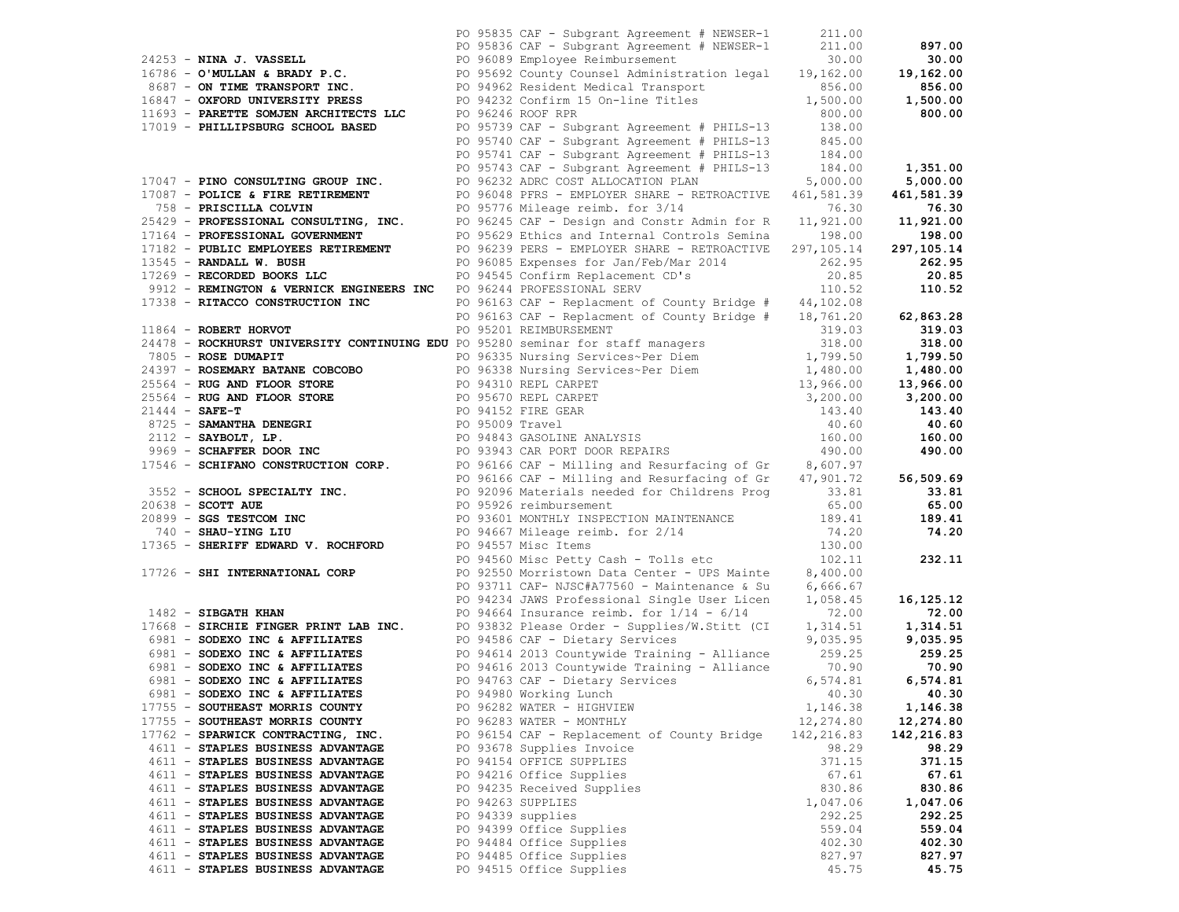|                                                                                                                                                                                                                                                                        |  | PO 95835 CAF - Subgrant Agreement # NEWSER-1                                                                                                                      | 211.00     |             |
|------------------------------------------------------------------------------------------------------------------------------------------------------------------------------------------------------------------------------------------------------------------------|--|-------------------------------------------------------------------------------------------------------------------------------------------------------------------|------------|-------------|
|                                                                                                                                                                                                                                                                        |  | PO 95836 CAF - Subgrant Agreement # NEWSER-1 211.00                                                                                                               |            | 897.00      |
| 24253 - NINA J. VASSELL<br>26.00 PO 96089 Employee Reimbursement<br>26.00 PO 95692 County Counsel Administration legal 19,162.00<br>256.00 PO 95692 County Counsel Administration legal 19,162.00                                                                      |  |                                                                                                                                                                   |            | 30.00       |
|                                                                                                                                                                                                                                                                        |  |                                                                                                                                                                   |            | 19,162.00   |
|                                                                                                                                                                                                                                                                        |  |                                                                                                                                                                   |            | 856.00      |
|                                                                                                                                                                                                                                                                        |  |                                                                                                                                                                   |            |             |
|                                                                                                                                                                                                                                                                        |  |                                                                                                                                                                   |            | 1,500.00    |
| 11693 - PARETTE SOMJEN ARCHITECTS LLC PO 96246 ROOF RPR<br>17019 - PHILLIPSBURG SCHOOL BASED PO 95739 CAF - Sub                                                                                                                                                        |  |                                                                                                                                                                   | 800.00     | 800.00      |
|                                                                                                                                                                                                                                                                        |  | PO 95739 CAF - Subgrant Agreement # PHILS-13 138.00<br>PO 95740 CAF - Subgrant Agreement # PHILS-13 845.00<br>PO 95741 CAF - Subgrant Agreement # PHILS-13 184.00 |            |             |
|                                                                                                                                                                                                                                                                        |  |                                                                                                                                                                   |            |             |
|                                                                                                                                                                                                                                                                        |  |                                                                                                                                                                   |            |             |
|                                                                                                                                                                                                                                                                        |  | PO 95743 CAF - Subgrant Agreement # PHILS-13 184.00                                                                                                               |            | 1,351.00    |
|                                                                                                                                                                                                                                                                        |  |                                                                                                                                                                   |            |             |
| 17047 - PINO CONSULTING GROUP INC. PO 96232 ADRC COST ALLOCATION PLAN                                                                                                                                                                                                  |  |                                                                                                                                                                   | 5,000.00   | 5,000.00    |
|                                                                                                                                                                                                                                                                        |  | PO 96048 PFRS - EMPLOYER SHARE - RETROACTIVE 461,581.39                                                                                                           |            | 461,581.39  |
| 17087 - POLICE & FIRE RETIREMENT<br>758 - PRISCILLA COLVIN<br>25429 - PROFESSIONAL CONSULTING, INC.<br>25429 - PROFESSIONAL CONSULTING, INC.<br>25429 - PROFESSIONAL GOVERNMENT<br>276.30<br>27164 - PROFESSIONAL GOVERNMENT<br>276.30<br>2716                         |  |                                                                                                                                                                   |            | 76.30       |
|                                                                                                                                                                                                                                                                        |  |                                                                                                                                                                   |            | 11,921.00   |
|                                                                                                                                                                                                                                                                        |  |                                                                                                                                                                   |            | 198.00      |
|                                                                                                                                                                                                                                                                        |  |                                                                                                                                                                   |            |             |
| 17182 - PUBLIC EMPLOYEES RETIREMENT                                                                                                                                                                                                                                    |  | PO 96239 PERS - EMPLOYER SHARE - RETROACTIVE 297,105.14                                                                                                           |            | 297,105.14  |
| 13545 - RANDALL W. BUSH                                                                                                                                                                                                                                                |  | PO 96085 Expenses for Jan/Feb/Mar 2014 262.95                                                                                                                     |            | 262.95      |
| 17269 - RECORDED BOOKS LLC                                                                                                                                                                                                                                             |  | PO 94545 Confirm Replacement CD's                                                                                                                                 | 20.85      | 20.85       |
| 9912 - REMINGTON & VERNICK ENGINEERS INC PO 96244 PROFESSIONAL SERV                                                                                                                                                                                                    |  |                                                                                                                                                                   | 110.52     | 110.52      |
| 17338 - RITACCO CONSTRUCTION INC                                                                                                                                                                                                                                       |  | PO 96163 CAF - Replacment of County Bridge # 44,102.08                                                                                                            |            |             |
|                                                                                                                                                                                                                                                                        |  | PO 96163 CAF - Replacment of County Bridge # 18,761.20                                                                                                            |            |             |
|                                                                                                                                                                                                                                                                        |  |                                                                                                                                                                   |            | 62,863.28   |
| 11864 - ROBERT HORVOT PO 95201 REIMBURSEMENT<br>24478 - ROCKHURST UNIVERSITY CONTINUING EDU PO 95280 seminar for staff managers                                                                                                                                        |  |                                                                                                                                                                   | 319.03     | 319.03      |
|                                                                                                                                                                                                                                                                        |  |                                                                                                                                                                   | 318.00     | 318.00      |
|                                                                                                                                                                                                                                                                        |  |                                                                                                                                                                   |            |             |
|                                                                                                                                                                                                                                                                        |  |                                                                                                                                                                   |            |             |
|                                                                                                                                                                                                                                                                        |  |                                                                                                                                                                   |            |             |
|                                                                                                                                                                                                                                                                        |  |                                                                                                                                                                   |            |             |
|                                                                                                                                                                                                                                                                        |  |                                                                                                                                                                   |            |             |
|                                                                                                                                                                                                                                                                        |  |                                                                                                                                                                   |            |             |
|                                                                                                                                                                                                                                                                        |  |                                                                                                                                                                   |            |             |
|                                                                                                                                                                                                                                                                        |  |                                                                                                                                                                   |            |             |
|                                                                                                                                                                                                                                                                        |  |                                                                                                                                                                   |            |             |
| 24478 <b>- ROCKHURST UNIVERSITY CONTINUING EDU</b> PO 95280 seminar for staff managers<br>24378 <b>- ROSE DUMAPIT</b><br>27805 <b>- ROSEMARY BATANE COBCOBO</b><br>25564 <b>- RUG AND FLOOR STORE</b><br>2797 <b>- ROSEMARY BATANE COBCOBO</b><br>25564 <b>- RUG A</b> |  |                                                                                                                                                                   |            |             |
|                                                                                                                                                                                                                                                                        |  |                                                                                                                                                                   |            |             |
|                                                                                                                                                                                                                                                                        |  |                                                                                                                                                                   |            |             |
| 3552 - SCHOOL SPECIALTY INC. PO 92096 Materials needed for Childrens Prog 33.81                                                                                                                                                                                        |  |                                                                                                                                                                   |            | 33.81       |
| $20638$ - SCOTT AUE                                                                                                                                                                                                                                                    |  | PO 95926 reimbursement                                                                                                                                            | 65.00      | 65.00       |
| FOR SUBSEXTENTION INC<br>The SES TESTICOM INC<br>The SERIE SERIES TO MAINTENANCE<br>THE SERIES TO MAINTENANCE<br>TO 94667 Mileage reimb. for 2/14<br>PO 94557 Misc Teens<br>PO 94557 Misc Teens<br>PO 94557 Misc Teens<br>PO 94557 Misc Teens<br>                      |  |                                                                                                                                                                   |            | 189.41      |
|                                                                                                                                                                                                                                                                        |  |                                                                                                                                                                   |            | 74.20       |
|                                                                                                                                                                                                                                                                        |  |                                                                                                                                                                   |            |             |
|                                                                                                                                                                                                                                                                        |  |                                                                                                                                                                   |            |             |
|                                                                                                                                                                                                                                                                        |  |                                                                                                                                                                   |            | 232.11      |
| 17726 - SHI INTERNATIONAL CORP                                                                                                                                                                                                                                         |  | PO 92550 Morristown Data Center - UPS Mainte 8,400.00                                                                                                             |            |             |
|                                                                                                                                                                                                                                                                        |  | PO 93711 CAF- NJSC#A77560 - Maintenance & Su                                                                                                                      | 6,666.67   |             |
|                                                                                                                                                                                                                                                                        |  | PO 94234 JAWS Professional Single User Licen                                                                                                                      | 1,058.45   | 16,125.12   |
| 1482 - SIBGATH KHAN                                                                                                                                                                                                                                                    |  | PO 94664 Insurance reimb. for $1/14$ - $6/14$                                                                                                                     | 72.00      | 72.00       |
|                                                                                                                                                                                                                                                                        |  |                                                                                                                                                                   |            |             |
| 17668 - SIRCHIE FINGER PRINT LAB INC. PO 93832 Please Order - Supplies/W.Stitt (CI 1,314.51 1,314.51 1,314.51<br>6981 - SODEXO INC & AFFILIATES PO 94586 CAF - Dietary Services 9,035.95 9,035.95                                                                      |  |                                                                                                                                                                   |            |             |
|                                                                                                                                                                                                                                                                        |  |                                                                                                                                                                   |            |             |
| 6981 - SODEXO INC & AFFILIATES<br>6981 - SODEXO INC & AFFILIATES 6981 - SODEXO INC & AFFILIATES<br>6981 - SODEXO INC & AFFILIATES 6981 - PO 94616 2013 Countywide Training - Alliance 70.90 70.90                                                                      |  |                                                                                                                                                                   |            |             |
|                                                                                                                                                                                                                                                                        |  |                                                                                                                                                                   |            |             |
| 6981 - SODEXO INC & AFFILIATES                                                                                                                                                                                                                                         |  | PO 94763 CAF - Dietary Services                                                                                                                                   | 6,574.81   | 6,574.81    |
| 6981 - SODEXO INC & AFFILIATES                                                                                                                                                                                                                                         |  | PO 94980 Working Lunch                                                                                                                                            |            | 40.30 40.30 |
| 17755 - SOUTHEAST MORRIS COUNTY                                                                                                                                                                                                                                        |  | PO 96282 WATER - HIGHVIEW                                                                                                                                         | 1,146.38   | 1,146.38    |
|                                                                                                                                                                                                                                                                        |  |                                                                                                                                                                   |            |             |
| 17755 - SOUTHEAST MORRIS COUNTY                                                                                                                                                                                                                                        |  | PO 96283 WATER - MONTHLY                                                                                                                                          | 12,274.80  | 12,274.80   |
| 17762 - SPARWICK CONTRACTING, INC.                                                                                                                                                                                                                                     |  | PO 96154 CAF - Replacement of County Bridge                                                                                                                       | 142,216.83 | 142,216.83  |
| 4611 - STAPLES BUSINESS ADVANTAGE                                                                                                                                                                                                                                      |  | PO 93678 Supplies Invoice                                                                                                                                         | 98.29      | 98.29       |
| 4611 - STAPLES BUSINESS ADVANTAGE                                                                                                                                                                                                                                      |  | PO 94154 OFFICE SUPPLIES                                                                                                                                          | 371.15     | 371.15      |
| 4611 - STAPLES BUSINESS ADVANTAGE                                                                                                                                                                                                                                      |  | PO 94216 Office Supplies                                                                                                                                          | 67.61      | 67.61       |
|                                                                                                                                                                                                                                                                        |  |                                                                                                                                                                   | 830.86     | 830.86      |
| 4611 - STAPLES BUSINESS ADVANTAGE                                                                                                                                                                                                                                      |  | PO 94235 Received Supplies                                                                                                                                        |            |             |
| 4611 - STAPLES BUSINESS ADVANTAGE                                                                                                                                                                                                                                      |  | PO 94263 SUPPLIES                                                                                                                                                 | 1,047.06   | 1,047.06    |
| 4611 - STAPLES BUSINESS ADVANTAGE                                                                                                                                                                                                                                      |  | PO 94339 supplies                                                                                                                                                 | 292.25     | 292.25      |
| 4611 - STAPLES BUSINESS ADVANTAGE                                                                                                                                                                                                                                      |  | PO 94399 Office Supplies                                                                                                                                          | 559.04     | 559.04      |
| 4611 - STAPLES BUSINESS ADVANTAGE                                                                                                                                                                                                                                      |  | PO 94484 Office Supplies                                                                                                                                          | 402.30     | 402.30      |
| 4611 - STAPLES BUSINESS ADVANTAGE                                                                                                                                                                                                                                      |  | PO 94485 Office Supplies                                                                                                                                          | 827.97     | 827.97      |
|                                                                                                                                                                                                                                                                        |  | PO 94515 Office Supplies                                                                                                                                          |            |             |
| 4611 - STAPLES BUSINESS ADVANTAGE                                                                                                                                                                                                                                      |  |                                                                                                                                                                   | 45.75      | 45.75       |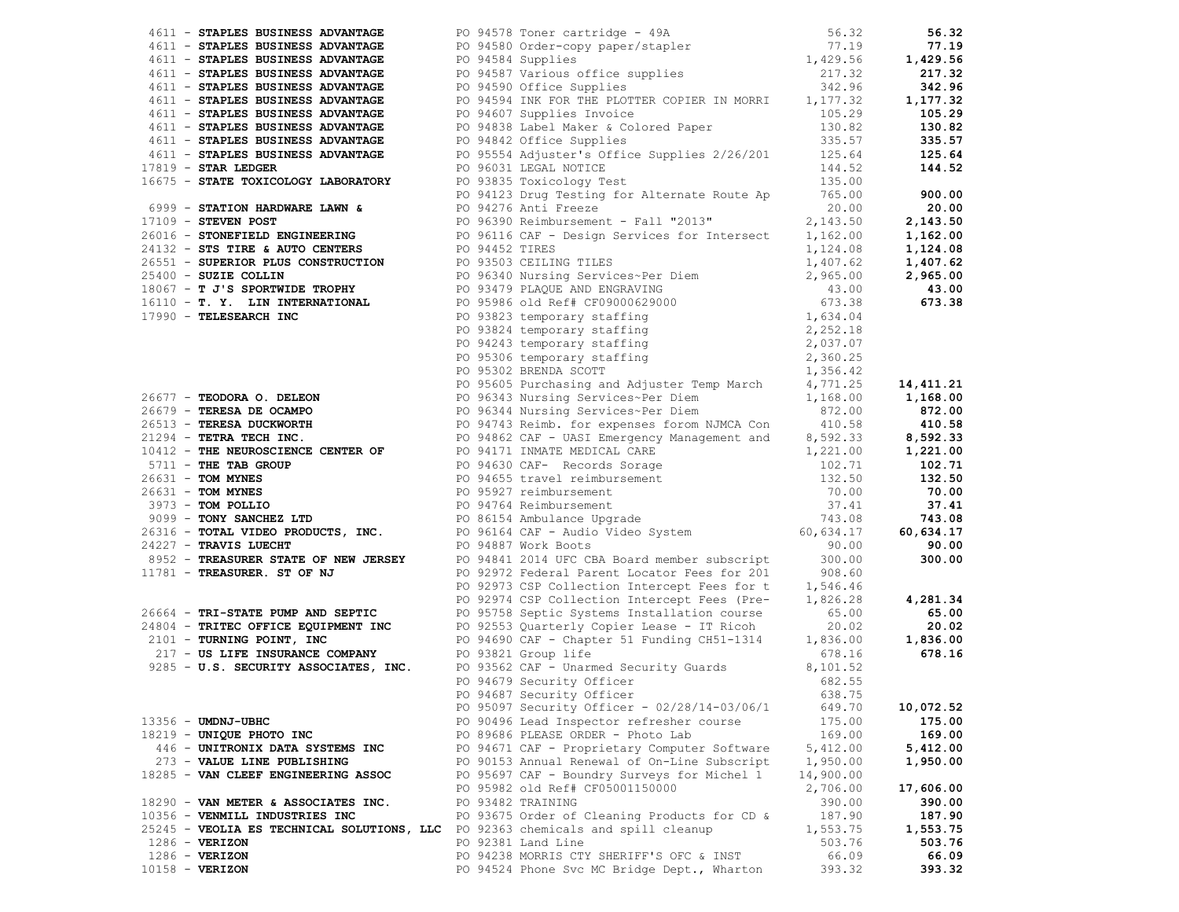| 4611 - STAPLES BUSINESS ADVANTAGE                                                                                                                                                                                                                                                                                                                                                              |  |                                                                                                                                                                                             |           | 56.32     |
|------------------------------------------------------------------------------------------------------------------------------------------------------------------------------------------------------------------------------------------------------------------------------------------------------------------------------------------------------------------------------------------------|--|---------------------------------------------------------------------------------------------------------------------------------------------------------------------------------------------|-----------|-----------|
| 4611 - STAPLES BUSINESS ADVANTAGE                                                                                                                                                                                                                                                                                                                                                              |  |                                                                                                                                                                                             |           | 77.19     |
| 4611 - STAPLES BUSINESS ADVANTAGE                                                                                                                                                                                                                                                                                                                                                              |  |                                                                                                                                                                                             |           | 1,429.56  |
| 4611 - STAPLES BUSINESS ADVANTAGE                                                                                                                                                                                                                                                                                                                                                              |  |                                                                                                                                                                                             |           | 217.32    |
| 4611 - STAPLES BUSINESS ADVANTAGE                                                                                                                                                                                                                                                                                                                                                              |  | PO 94578 Toner cartridge - 49A 56.32<br>PO 94580 Order-copy paper/stapler 77.19<br>PO 94584 Supplies 1,429.56<br>PO 94587 Various office supplies 217.32<br>PO 94590 Office Supplies 342.96 |           | 342.96    |
| 4611 - STAPLES BUSINESS ADVANTAGE                                                                                                                                                                                                                                                                                                                                                              |  | PO 94594 INK FOR THE PLOTTER COPIER IN MORRI 1,177.32                                                                                                                                       |           | 1,177.32  |
| 4611 - STAPLES BUSINESS ADVANTAGE                                                                                                                                                                                                                                                                                                                                                              |  |                                                                                                                                                                                             |           | 105.29    |
| 4611 - STAPLES BUSINESS ADVANTAGE                                                                                                                                                                                                                                                                                                                                                              |  | PO 94607 Supplies Invoice 105.29<br>PO 94838 Label Maker & Colored Paper 130.82<br>PO 94842 Office Supplies 335.57                                                                          |           | 130.82    |
| 4611 - STAPLES BUSINESS ADVANTAGE                                                                                                                                                                                                                                                                                                                                                              |  |                                                                                                                                                                                             |           | 335.57    |
| 4611 - STAPLES BUSINESS ADVANTAGE                                                                                                                                                                                                                                                                                                                                                              |  | PO 95554 Adjuster's Office Supplies 2/26/201 125.64                                                                                                                                         |           | 125.64    |
|                                                                                                                                                                                                                                                                                                                                                                                                |  |                                                                                                                                                                                             | 144.52    | 144.52    |
| $17819$ - STAR LEDGER                                                                                                                                                                                                                                                                                                                                                                          |  | PO 96031 LEGAL NOTICE<br>PO 96031 LEGAL NOTICE<br>PO 93835 Toxicology Test                                                                                                                  |           |           |
| 16675 - STATE TOXICOLOGY LABORATORY                                                                                                                                                                                                                                                                                                                                                            |  | ro 335.00 مرود به محمد العالم العالمية<br>265.00 PO 94123 Drug Testing for Alternate Route Ap                                                                                               | 135.00    |           |
|                                                                                                                                                                                                                                                                                                                                                                                                |  |                                                                                                                                                                                             |           | 900.00    |
|                                                                                                                                                                                                                                                                                                                                                                                                |  |                                                                                                                                                                                             |           | 20.00     |
|                                                                                                                                                                                                                                                                                                                                                                                                |  |                                                                                                                                                                                             |           | 2,143.50  |
| 6999 - STATION HARDWARE LAWN &<br>$\begin{array}{r} 6999 - 5 \text{TAITION} \end{array}$ $\begin{array}{r} 6999 - 5 \text{TAITION} \end{array}$ $\begin{array}{r} 6999 - 5 \text{TAION} \end{array}$ $\begin{array}{r} 6999 - 5 \text{TAION} \end{array}$ $\begin{array}{r} 6999 - 5 \text{TAION} \end{array}$ $\begin{array}{r} 6999 - 5 \text{TAION} \end{array}$ $\begin{array}{r} 6999 - $ |  |                                                                                                                                                                                             |           | 1,162.00  |
|                                                                                                                                                                                                                                                                                                                                                                                                |  |                                                                                                                                                                                             |           |           |
|                                                                                                                                                                                                                                                                                                                                                                                                |  |                                                                                                                                                                                             |           |           |
|                                                                                                                                                                                                                                                                                                                                                                                                |  |                                                                                                                                                                                             |           |           |
|                                                                                                                                                                                                                                                                                                                                                                                                |  |                                                                                                                                                                                             |           |           |
|                                                                                                                                                                                                                                                                                                                                                                                                |  |                                                                                                                                                                                             |           |           |
|                                                                                                                                                                                                                                                                                                                                                                                                |  |                                                                                                                                                                                             |           |           |
|                                                                                                                                                                                                                                                                                                                                                                                                |  |                                                                                                                                                                                             |           |           |
|                                                                                                                                                                                                                                                                                                                                                                                                |  |                                                                                                                                                                                             |           |           |
|                                                                                                                                                                                                                                                                                                                                                                                                |  |                                                                                                                                                                                             |           |           |
|                                                                                                                                                                                                                                                                                                                                                                                                |  |                                                                                                                                                                                             |           |           |
|                                                                                                                                                                                                                                                                                                                                                                                                |  |                                                                                                                                                                                             |           |           |
|                                                                                                                                                                                                                                                                                                                                                                                                |  |                                                                                                                                                                                             |           |           |
| 26017 - <b>STORIFTICE BOXISTERING</b><br>261132 - <b>STATILE 6 AUTO CENTERS</b><br>26531 - <b>SUARK PROBUTION 12021</b><br>26531 - <b>SUARK PROBUTION 12021 - 12021 - 12021</b><br>26667 - <b>PTARK BOXISTER TROPY</b><br>17990 - <b>TELESEARCH TROPY</b><br>17990 - <b></b>                                                                                                                   |  |                                                                                                                                                                                             |           |           |
|                                                                                                                                                                                                                                                                                                                                                                                                |  |                                                                                                                                                                                             |           |           |
|                                                                                                                                                                                                                                                                                                                                                                                                |  |                                                                                                                                                                                             |           |           |
|                                                                                                                                                                                                                                                                                                                                                                                                |  |                                                                                                                                                                                             |           |           |
|                                                                                                                                                                                                                                                                                                                                                                                                |  |                                                                                                                                                                                             |           |           |
|                                                                                                                                                                                                                                                                                                                                                                                                |  |                                                                                                                                                                                             |           |           |
|                                                                                                                                                                                                                                                                                                                                                                                                |  |                                                                                                                                                                                             |           |           |
|                                                                                                                                                                                                                                                                                                                                                                                                |  |                                                                                                                                                                                             |           |           |
|                                                                                                                                                                                                                                                                                                                                                                                                |  |                                                                                                                                                                                             |           |           |
|                                                                                                                                                                                                                                                                                                                                                                                                |  |                                                                                                                                                                                             |           |           |
|                                                                                                                                                                                                                                                                                                                                                                                                |  |                                                                                                                                                                                             |           |           |
|                                                                                                                                                                                                                                                                                                                                                                                                |  |                                                                                                                                                                                             |           |           |
| $8952$ - TREASURER. ST OF NJ<br>11781 - TREASURER. ST OF NJ                                                                                                                                                                                                                                                                                                                                    |  |                                                                                                                                                                                             |           |           |
|                                                                                                                                                                                                                                                                                                                                                                                                |  | PO 92972 Federal Parent Locator Fees for 201                                                                                                                                                | 908.60    |           |
|                                                                                                                                                                                                                                                                                                                                                                                                |  | PO 92973 CSP Collection Intercept Fees for t 1,546.46                                                                                                                                       |           |           |
|                                                                                                                                                                                                                                                                                                                                                                                                |  | PO 92974 CSP Collection Intercept Fees (Pre- 1,826.28 4,281.34                                                                                                                              |           |           |
| 26664 - TRI-STATE PUMP AND SEPTIC PO 95758 Septic Systems Installation course                                                                                                                                                                                                                                                                                                                  |  |                                                                                                                                                                                             | 65.00     | 65.00     |
|                                                                                                                                                                                                                                                                                                                                                                                                |  |                                                                                                                                                                                             |           |           |
| 24804 - TRITEC OFFICE EQUIPMENT INC 100 PO 92553 Quarterly Copier Lease - IT Ricoh 20.02 20.02<br>2101 - TURNING POINT, INC 1,836.00 PO 94690 CAF - Chapter 51 Funding CH51-1314 1,836.00 1,836.00                                                                                                                                                                                             |  |                                                                                                                                                                                             |           |           |
| 217 - US LIFE INSURANCE COMPANY PO 93821 Group life 678.16 678.16 678.16 678.16 678.16 9285 - U.S. SECURITY ASSOCIATES, INC. PO 93562 CAF - Unarmed Security Guards 8,101.52                                                                                                                                                                                                                   |  |                                                                                                                                                                                             | 678.16    | 678.16    |
|                                                                                                                                                                                                                                                                                                                                                                                                |  |                                                                                                                                                                                             |           |           |
|                                                                                                                                                                                                                                                                                                                                                                                                |  | PO 94679 Security Officer<br>PO 94697 Security Officer                                                                                                                                      | 682.55    |           |
|                                                                                                                                                                                                                                                                                                                                                                                                |  | PO 94687 Security Officer                                                                                                                                                                   | 638.75    |           |
|                                                                                                                                                                                                                                                                                                                                                                                                |  | PO 95097 Security Officer - 02/28/14-03/06/1                                                                                                                                                | 649.70    | 10,072.52 |
| 13356 - UMDNJ-UBHC                                                                                                                                                                                                                                                                                                                                                                             |  | PO 90496 Lead Inspector refresher course                                                                                                                                                    | 175.00    | 175.00    |
| 18219 - UNIQUE PHOTO INC                                                                                                                                                                                                                                                                                                                                                                       |  | PO 89686 PLEASE ORDER - Photo Lab                                                                                                                                                           | 169.00    | 169.00    |
| 446 - UNITRONIX DATA SYSTEMS INC                                                                                                                                                                                                                                                                                                                                                               |  | PO 94671 CAF - Proprietary Computer Software                                                                                                                                                | 5,412.00  | 5,412.00  |
| 273 - VALUE LINE PUBLISHING                                                                                                                                                                                                                                                                                                                                                                    |  | PO 90153 Annual Renewal of On-Line Subscript                                                                                                                                                | 1,950.00  | 1,950.00  |
| 18285 - VAN CLEEF ENGINEERING ASSOC                                                                                                                                                                                                                                                                                                                                                            |  | PO 95697 CAF - Boundry Surveys for Michel 1                                                                                                                                                 | 14,900.00 |           |
|                                                                                                                                                                                                                                                                                                                                                                                                |  | PO 95982 old Ref# CF05001150000                                                                                                                                                             | 2,706.00  | 17,606.00 |
| 18290 - VAN METER & ASSOCIATES INC.                                                                                                                                                                                                                                                                                                                                                            |  | PO 93482 TRAINING                                                                                                                                                                           | 390.00    | 390.00    |
|                                                                                                                                                                                                                                                                                                                                                                                                |  |                                                                                                                                                                                             |           |           |
| 10356 - VENMILL INDUSTRIES INC                                                                                                                                                                                                                                                                                                                                                                 |  | PO 93675 Order of Cleaning Products for CD &                                                                                                                                                | 187.90    | 187.90    |
| 25245 - VEOLIA ES TECHNICAL SOLUTIONS, LLC                                                                                                                                                                                                                                                                                                                                                     |  | PO 92363 chemicals and spill cleanup                                                                                                                                                        | 1,553.75  | 1,553.75  |
| $1286 - VERIZON$                                                                                                                                                                                                                                                                                                                                                                               |  | PO 92381 Land Line                                                                                                                                                                          | 503.76    | 503.76    |
| $1286 - VERTZON$                                                                                                                                                                                                                                                                                                                                                                               |  | PO 94238 MORRIS CTY SHERIFF'S OFC & INST                                                                                                                                                    | 66.09     | 66.09     |
| $10158 - VERIZON$                                                                                                                                                                                                                                                                                                                                                                              |  | PO 94524 Phone Svc MC Bridge Dept., Wharton                                                                                                                                                 | 393.32    | 393.32    |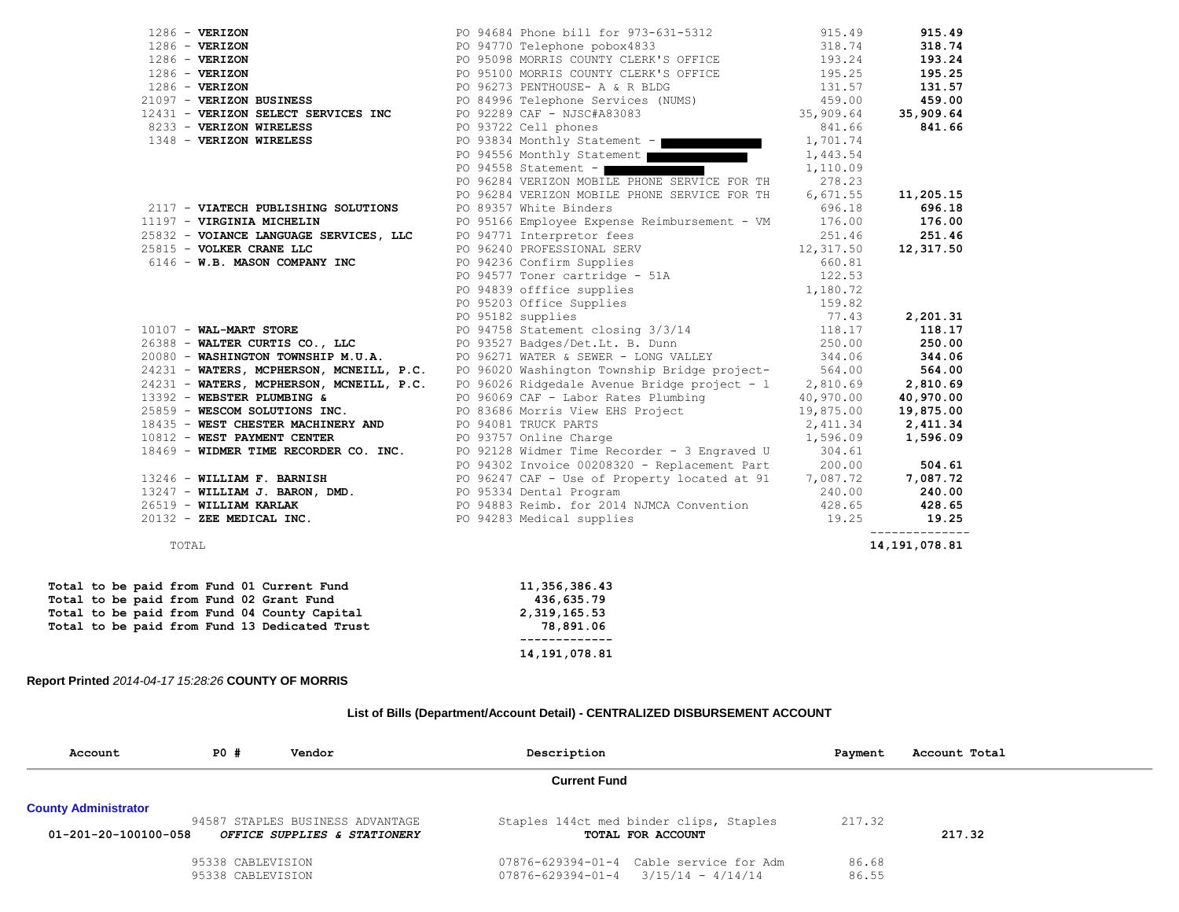|                                                                                                                                                                                                                                                           |                                                                                                                                                                                                                                   |        | 915.49                          |
|-----------------------------------------------------------------------------------------------------------------------------------------------------------------------------------------------------------------------------------------------------------|-----------------------------------------------------------------------------------------------------------------------------------------------------------------------------------------------------------------------------------|--------|---------------------------------|
| 1286 - VERIZON<br>1286 - VERIZON<br>1286 - VERIZON<br>1286 - VERIZON<br>1286 - VERIZON<br>21097 - VERIZON BUSINESS                                                                                                                                        | PO 94684 Phone bill for 973-631-5312 915.49<br>PO 94770 Telephone pobox4833 318.74<br>PO 95098 MORRIS COUNTY CLERK'S OFFICE 193.24                                                                                                |        | 318.74                          |
|                                                                                                                                                                                                                                                           |                                                                                                                                                                                                                                   |        | 193.24                          |
|                                                                                                                                                                                                                                                           |                                                                                                                                                                                                                                   |        | 195.25                          |
|                                                                                                                                                                                                                                                           |                                                                                                                                                                                                                                   |        | 131.57                          |
|                                                                                                                                                                                                                                                           |                                                                                                                                                                                                                                   |        | 459.00                          |
| 12431 - VERIZON SELECT SERVICES INC                                                                                                                                                                                                                       |                                                                                                                                                                                                                                   |        | 35,909.64                       |
| 8233 - VERIZON WIRELESS                                                                                                                                                                                                                                   | PO 95100 MORRIS COUNTI CLERA'S OFFICE<br>PO 95100 MORRIS COUNTY CLERA'S OFFICE<br>PO 96273 EENTHOUSE – A & R ELDG<br>PO 84996 Telephone Services (NUMS)<br>PO 92289 CAF – NJSC#A83083<br>PO 93722 Cell phones<br>841.66<br>841.66 |        | 841.66                          |
| 1348 - VERIZON WIRELESS                                                                                                                                                                                                                                   | PO 93834 Monthly Statement - $\blacksquare$ 1,701.74                                                                                                                                                                              |        |                                 |
|                                                                                                                                                                                                                                                           | PO 94556 Monthly Statement   1,443.54                                                                                                                                                                                             |        |                                 |
|                                                                                                                                                                                                                                                           | PO 94558 Statement -<br>1,110.09                                                                                                                                                                                                  |        |                                 |
|                                                                                                                                                                                                                                                           | PO 96284 VERIZON MOBILE PHONE SERVICE FOR TH 278.23                                                                                                                                                                               |        |                                 |
|                                                                                                                                                                                                                                                           | PO 96284 VERIZON MOBILE PHONE SERVICE FOR TH 6,671.55                                                                                                                                                                             |        | 11,205.15                       |
| 2117 - VIATECH PUBLISHING SOLUTIONS                                                                                                                                                                                                                       | PO 89357 White Binders                                                                                                                                                                                                            | 696.18 | 696.18                          |
| 11197 - VIRGINIA MICHELIN                                                                                                                                                                                                                                 |                                                                                                                                                                                                                                   |        |                                 |
|                                                                                                                                                                                                                                                           | PO 95166 Employee Expense Reimbursement - VM $176.00$<br>PO 94771 Interpretor fees 251.46 251.46                                                                                                                                  |        |                                 |
|                                                                                                                                                                                                                                                           |                                                                                                                                                                                                                                   |        |                                 |
| 1197 <b>- VIRGINIA MICHELIN</b> PO 95166 Employee Experise Relinion-Seminar CHE (19932)<br>25832 <b>- VOIANCE LANGUAGE SERVICES, LLC</b> PO 94771 Interpretor fees<br>25815 <b>- VOLKER CRANE LLC</b> PO 96240 CONFERNY 12,317.50<br>6146 <b>- W.B. M</b> |                                                                                                                                                                                                                                   |        |                                 |
|                                                                                                                                                                                                                                                           |                                                                                                                                                                                                                                   |        |                                 |
|                                                                                                                                                                                                                                                           |                                                                                                                                                                                                                                   |        |                                 |
|                                                                                                                                                                                                                                                           |                                                                                                                                                                                                                                   |        |                                 |
|                                                                                                                                                                                                                                                           |                                                                                                                                                                                                                                   |        |                                 |
|                                                                                                                                                                                                                                                           |                                                                                                                                                                                                                                   |        |                                 |
| 26388 - WALTER CURTIS CO., LLC PO 93527 Badges/Det.Lt. B. Dunn 250.00                                                                                                                                                                                     |                                                                                                                                                                                                                                   |        | 250.00                          |
| 20080 - WASHINGTON TOWNSHIP M.U.A.<br>24231 - WATERS, MCPHERSON, MCNEILL, P.C. PO 96020 Washington Township Bridge project-<br>24231 - WATERS, MCPHERSON, MCNEILL, P.C. PO 96026 Ridgedale Avenue Bridge project - 1 2,810.69                             |                                                                                                                                                                                                                                   |        | 344.06                          |
|                                                                                                                                                                                                                                                           |                                                                                                                                                                                                                                   |        | 564.00                          |
|                                                                                                                                                                                                                                                           |                                                                                                                                                                                                                                   |        | 2,810.69                        |
|                                                                                                                                                                                                                                                           |                                                                                                                                                                                                                                   |        |                                 |
| 13392 - WEBSTER PLUMBING & PO 96069 CAF - Labor Rates Plumbing<br>25859 - WESCOM SOLUTIONS INC. PO 83686 Morris View EHS Project<br>18435 - WEST CHESTER MACHINERY AND PO 94081 TRUCK PARTS 2,411.34 2,411.34<br>10812 - WEST PAYMEN                      |                                                                                                                                                                                                                                   |        |                                 |
|                                                                                                                                                                                                                                                           |                                                                                                                                                                                                                                   |        |                                 |
|                                                                                                                                                                                                                                                           |                                                                                                                                                                                                                                   |        |                                 |
| 18469 - WIDMER TIME RECORDER CO. INC. PO 92128 Widmer Time Recorder - 3 Engraved U 304.61                                                                                                                                                                 |                                                                                                                                                                                                                                   |        |                                 |
|                                                                                                                                                                                                                                                           | PO 94302 Invoice 00208320 - Replacement Part 200.00                                                                                                                                                                               |        | 504.61                          |
| 13246 - WILLIAM F. BARNISH PO 96247 CAF - Use of Property located at 91 7,087.72 7,087.72                                                                                                                                                                 |                                                                                                                                                                                                                                   |        |                                 |
| 13247 - WILLIAM J. BARON, DMD. PO 95334 Dental Program                                                                                                                                                                                                    |                                                                                                                                                                                                                                   |        | 240.00 240.00                   |
| 26519 - WILLIAM KARLAK 1988 1999 PO 94883 Reimb. for 2014 NJMCA Convention 428.65 428.65                                                                                                                                                                  |                                                                                                                                                                                                                                   |        |                                 |
| 20132 - ZEE MEDICAL INC. PO 94283 Medical supplies 19.25                                                                                                                                                                                                  |                                                                                                                                                                                                                                   |        | 19.25                           |
| TOTAL                                                                                                                                                                                                                                                     |                                                                                                                                                                                                                                   |        | --------------<br>14,191,078.81 |

|  |  |  |  | Total to be paid from Fund 01 Current Fund    | 11,356,386.43   |
|--|--|--|--|-----------------------------------------------|-----------------|
|  |  |  |  | Total to be paid from Fund 02 Grant Fund      | 436,635.79      |
|  |  |  |  | Total to be paid from Fund 04 County Capital  | 2, 319, 165, 53 |
|  |  |  |  | Total to be paid from Fund 13 Dedicated Trust | 78,891.06       |
|  |  |  |  |                                               |                 |
|  |  |  |  |                                               | 14,191,078.81   |

## **Report Printed** *2014-04-17 15:28:26* **COUNTY OF MORRIS**

# **List of Bills (Department/Account Detail) - CENTRALIZED DISBURSEMENT ACCOUNT**

| Account                                             | PO #                                   | Vendor                                                           | Description         |                                                                                          | Payment        | Account Total |
|-----------------------------------------------------|----------------------------------------|------------------------------------------------------------------|---------------------|------------------------------------------------------------------------------------------|----------------|---------------|
|                                                     |                                        |                                                                  | <b>Current Fund</b> |                                                                                          |                |               |
| <b>County Administrator</b><br>01-201-20-100100-058 |                                        | 94587 STAPLES BUSINESS ADVANTAGE<br>OFFICE SUPPLIES & STATIONERY |                     | Staples 144ct med binder clips, Staples<br>TOTAL FOR ACCOUNT                             | 217.32         | 217.32        |
|                                                     | 95338 CABLEVISION<br>95338 CABLEVISION |                                                                  |                     | 07876-629394-01-4 Cable service for Adm<br>$07876 - 629394 - 01 - 4$ $3/15/14 - 4/14/14$ | 86.68<br>86.55 |               |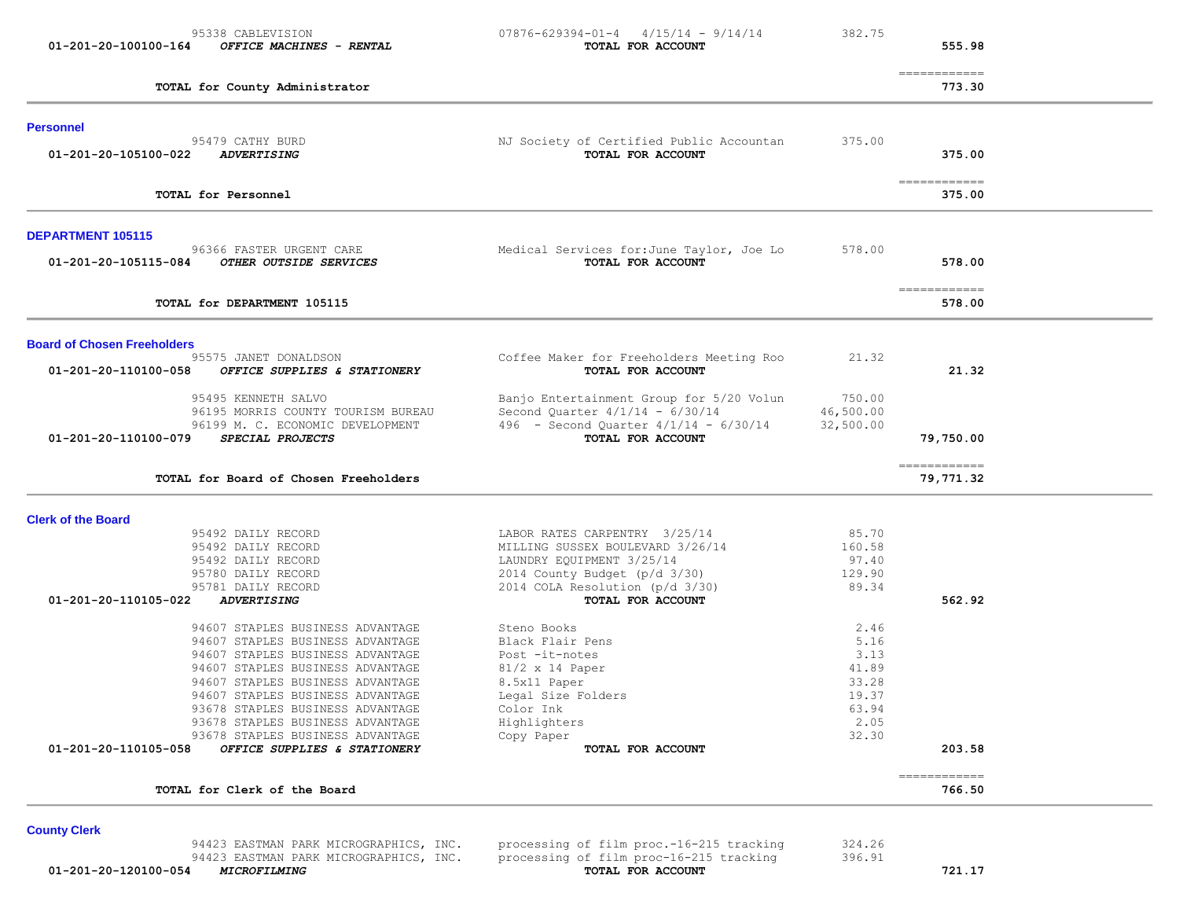| $07876 - 629394 - 01 - 4$ $4/15/14$ - 9/14/14<br>TOTAL FOR ACCOUNT          | 382.75                                                                                                                                                                                                                                                                                              | 555.98                                                                     |                                                                |
|-----------------------------------------------------------------------------|-----------------------------------------------------------------------------------------------------------------------------------------------------------------------------------------------------------------------------------------------------------------------------------------------------|----------------------------------------------------------------------------|----------------------------------------------------------------|
|                                                                             |                                                                                                                                                                                                                                                                                                     | 773.30                                                                     |                                                                |
|                                                                             |                                                                                                                                                                                                                                                                                                     |                                                                            |                                                                |
| TOTAL FOR ACCOUNT                                                           |                                                                                                                                                                                                                                                                                                     | 375.00                                                                     |                                                                |
|                                                                             |                                                                                                                                                                                                                                                                                                     | 375.00                                                                     |                                                                |
|                                                                             |                                                                                                                                                                                                                                                                                                     |                                                                            |                                                                |
| Medical Services for: June Taylor, Joe Lo<br>TOTAL FOR ACCOUNT              | 578.00                                                                                                                                                                                                                                                                                              | 578.00                                                                     |                                                                |
|                                                                             |                                                                                                                                                                                                                                                                                                     | 578.00                                                                     |                                                                |
|                                                                             |                                                                                                                                                                                                                                                                                                     |                                                                            |                                                                |
| TOTAL FOR ACCOUNT                                                           |                                                                                                                                                                                                                                                                                                     | 21.32                                                                      |                                                                |
| Banjo Entertainment Group for 5/20 Volun<br>Second Quarter 4/1/14 - 6/30/14 | 750.00<br>46,500.00                                                                                                                                                                                                                                                                                 |                                                                            |                                                                |
| TOTAL FOR ACCOUNT                                                           |                                                                                                                                                                                                                                                                                                     | 79,750.00                                                                  |                                                                |
|                                                                             |                                                                                                                                                                                                                                                                                                     | 79,771.32                                                                  |                                                                |
|                                                                             |                                                                                                                                                                                                                                                                                                     |                                                                            |                                                                |
| LABOR RATES CARPENTRY 3/25/14                                               | 85.70                                                                                                                                                                                                                                                                                               |                                                                            |                                                                |
|                                                                             |                                                                                                                                                                                                                                                                                                     |                                                                            |                                                                |
|                                                                             | 129.90                                                                                                                                                                                                                                                                                              |                                                                            |                                                                |
| 2014 COLA Resolution (p/d 3/30)                                             | 89.34                                                                                                                                                                                                                                                                                               |                                                                            |                                                                |
| TOTAL FOR ACCOUNT                                                           |                                                                                                                                                                                                                                                                                                     | 562.92                                                                     |                                                                |
| Steno Books                                                                 | 2.46                                                                                                                                                                                                                                                                                                |                                                                            |                                                                |
| Black Flair Pens                                                            | 5.16                                                                                                                                                                                                                                                                                                |                                                                            |                                                                |
| Post -it-notes                                                              | 3.13                                                                                                                                                                                                                                                                                                |                                                                            |                                                                |
|                                                                             |                                                                                                                                                                                                                                                                                                     |                                                                            |                                                                |
|                                                                             |                                                                                                                                                                                                                                                                                                     |                                                                            |                                                                |
|                                                                             |                                                                                                                                                                                                                                                                                                     |                                                                            |                                                                |
| Color Ink                                                                   | 63.94                                                                                                                                                                                                                                                                                               |                                                                            |                                                                |
| Highlighters                                                                | 2.05                                                                                                                                                                                                                                                                                                |                                                                            |                                                                |
| Copy Paper                                                                  | 32.30                                                                                                                                                                                                                                                                                               |                                                                            |                                                                |
| TOTAL FOR ACCOUNT                                                           |                                                                                                                                                                                                                                                                                                     | 203.58                                                                     |                                                                |
|                                                                             | NJ Society of Certified Public Accountan<br>Coffee Maker for Freeholders Meeting Roo<br>496 - Second Quarter $4/1/14$ - $6/30/14$<br>MILLING SUSSEX BOULEVARD 3/26/14<br>LAUNDRY EQUIPMENT 3/25/14<br>2014 County Budget (p/d 3/30)<br>$81/2 \times 14$ Paper<br>8.5x11 Paper<br>Legal Size Folders | 375.00<br>21.32<br>32,500.00<br>160.58<br>97.40<br>41.89<br>33.28<br>19.37 | ============<br>=============<br>============<br>------------- |

# **County Clerk**

 94423 EASTMAN PARK MICROGRAPHICS, INC. processing of film proc.-16-215 tracking 324.26 94423 EASTMAN PARK MICROGRAPHICS, INC. processing of film proc-16-215 tracking 396.91  **01-201-20-120100-054** *MICROFILMING* **TOTAL FOR ACCOUNT 721.17**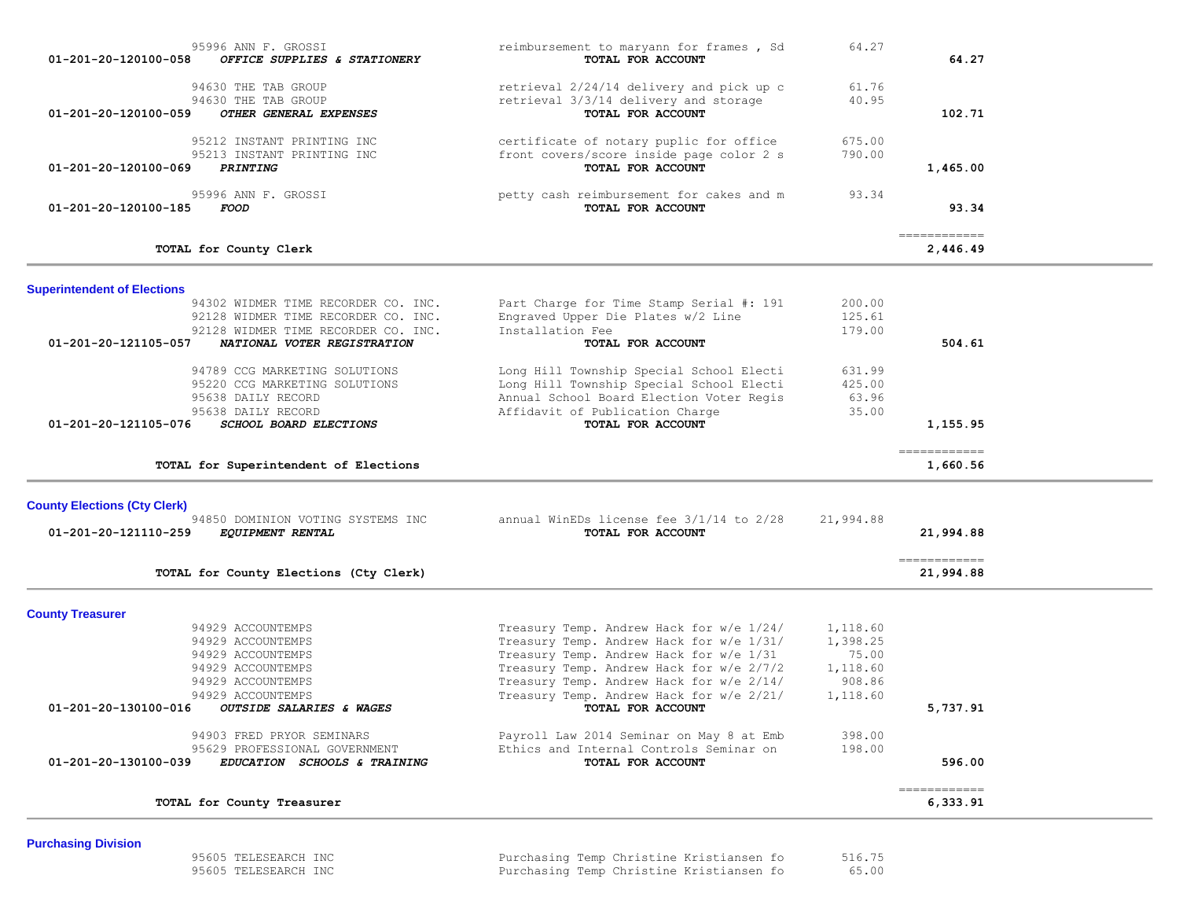| 95996 ANN F. GROSSI<br>01-201-20-120100-058<br>OFFICE SUPPLIES & STATIONERY                  | reimbursement to maryann for frames, Sd<br>TOTAL FOR ACCOUNT                                             | 64.27            | 64.27                                    |
|----------------------------------------------------------------------------------------------|----------------------------------------------------------------------------------------------------------|------------------|------------------------------------------|
| 94630 THE TAB GROUP<br>94630 THE TAB GROUP<br>OTHER GENERAL EXPENSES<br>01-201-20-120100-059 | retrieval 2/24/14 delivery and pick up c<br>retrieval 3/3/14 delivery and storage<br>TOTAL FOR ACCOUNT   | 61.76<br>40.95   | 102.71                                   |
| 95212 INSTANT PRINTING INC<br>95213 INSTANT PRINTING INC<br>01-201-20-120100-069<br>PRINTING | certificate of notary puplic for office<br>front covers/score inside page color 2 s<br>TOTAL FOR ACCOUNT | 675.00<br>790.00 | 1,465.00                                 |
| 95996 ANN F. GROSSI<br>01-201-20-120100-185<br><i>FOOD</i>                                   | petty cash reimbursement for cakes and m<br>TOTAL FOR ACCOUNT                                            | 93.34            | 93.34                                    |
| TOTAL for County Clerk                                                                       |                                                                                                          |                  | ============<br>2,446.49                 |
| <b>Superintendent of Elections</b>                                                           |                                                                                                          |                  |                                          |
| 94302 WIDMER TIME RECORDER CO. INC.                                                          | Part Charge for Time Stamp Serial #: 191                                                                 | 200.00           |                                          |
| 92128 WIDMER TIME RECORDER CO. INC.                                                          | Engraved Upper Die Plates w/2 Line                                                                       | 125.61           |                                          |
| 92128 WIDMER TIME RECORDER CO. INC.<br>01-201-20-121105-057<br>NATIONAL VOTER REGISTRATION   | Installation Fee<br>TOTAL FOR ACCOUNT                                                                    | 179.00           | 504.61                                   |
|                                                                                              |                                                                                                          |                  |                                          |
| 94789 CCG MARKETING SOLUTIONS                                                                | Long Hill Township Special School Electi                                                                 | 631.99           |                                          |
| 95220 CCG MARKETING SOLUTIONS                                                                | Long Hill Township Special School Electi                                                                 | 425.00           |                                          |
| 95638 DAILY RECORD                                                                           | Annual School Board Election Voter Regis                                                                 | 63.96            |                                          |
| 95638 DAILY RECORD                                                                           | Affidavit of Publication Charge                                                                          | 35.00            |                                          |
| 01-201-20-121105-076<br>SCHOOL BOARD ELECTIONS                                               | TOTAL FOR ACCOUNT                                                                                        |                  | 1,155.95                                 |
| TOTAL for Superintendent of Elections                                                        |                                                                                                          |                  | -------------<br>1,660.56                |
| <b>County Elections (Cty Clerk)</b>                                                          |                                                                                                          |                  |                                          |
| 94850 DOMINION VOTING SYSTEMS INC                                                            | annual WinEDs license fee 3/1/14 to 2/28                                                                 | 21,994.88        |                                          |
| 01-201-20-121110-259<br><i>EQUIPMENT RENTAL</i>                                              | TOTAL FOR ACCOUNT                                                                                        |                  | 21,994.88                                |
| TOTAL for County Elections (Cty Clerk)                                                       |                                                                                                          |                  | $=$ = = = = = = = = = = = =<br>21,994.88 |
| <b>County Treasurer</b>                                                                      |                                                                                                          |                  |                                          |
| 94929 ACCOUNTEMPS                                                                            | Treasury Temp. Andrew Hack for w/e 1/24/                                                                 | 1,118.60         |                                          |
| 94929 ACCOUNTEMPS                                                                            | Treasury Temp. Andrew Hack for w/e 1/31/                                                                 | 1,398.25         |                                          |
|                                                                                              | Treasury Temp. Andrew Hack for w/e 1/31                                                                  | 75.00            |                                          |
| 94929 ACCOUNTEMPS                                                                            |                                                                                                          |                  |                                          |
| 94929 ACCOUNTEMPS                                                                            | Treasury Temp. Andrew Hack for w/e 2/7/2                                                                 | 1,118.60         |                                          |
| 94929 ACCOUNTEMPS                                                                            | Treasury Temp. Andrew Hack for w/e 2/14/                                                                 | 908.86           |                                          |
| 94929 ACCOUNTEMPS                                                                            | Treasury Temp. Andrew Hack for w/e 2/21/                                                                 | 1,118.60         |                                          |
| 01-201-20-130100-016<br>OUTSIDE SALARIES & WAGES                                             | TOTAL FOR ACCOUNT                                                                                        |                  | 5,737.91                                 |
| 94903 FRED PRYOR SEMINARS                                                                    | Payroll Law 2014 Seminar on May 8 at Emb                                                                 | 398.00           |                                          |
| 95629 PROFESSIONAL GOVERNMENT                                                                | Ethics and Internal Controls Seminar on                                                                  | 198.00           |                                          |
| EDUCATION SCHOOLS & TRAINING<br>01-201-20-130100-039                                         | TOTAL FOR ACCOUNT                                                                                        |                  | 596.00                                   |

**Purchasing Division**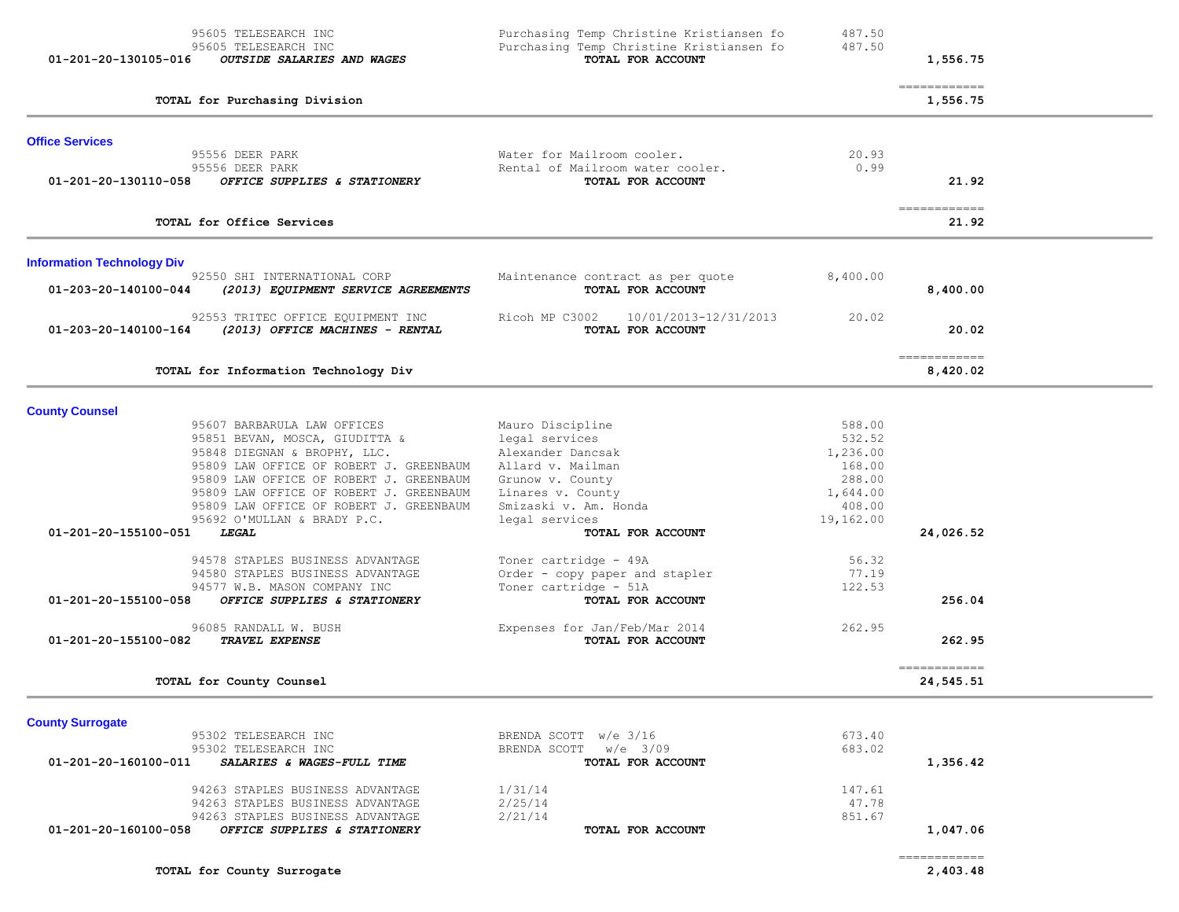| 95605 TELESEARCH INC<br>95605 TELESEARCH INC<br>01-201-20-130105-016<br><b>OUTSIDE SALARIES AND WAGES</b>                                                                                                                                                                                                                                                          | Purchasing Temp Christine Kristiansen fo<br>Purchasing Temp Christine Kristiansen fo<br>TOTAL FOR ACCOUNT                                                                             | 487.50<br>487.50                                                                    | 1,556.75                             |
|--------------------------------------------------------------------------------------------------------------------------------------------------------------------------------------------------------------------------------------------------------------------------------------------------------------------------------------------------------------------|---------------------------------------------------------------------------------------------------------------------------------------------------------------------------------------|-------------------------------------------------------------------------------------|--------------------------------------|
| TOTAL for Purchasing Division                                                                                                                                                                                                                                                                                                                                      |                                                                                                                                                                                       |                                                                                     | -------------<br>1,556.75            |
| <b>Office Services</b><br>95556 DEER PARK<br>95556 DEER PARK<br>01-201-20-130110-058<br>OFFICE SUPPLIES & STATIONERY                                                                                                                                                                                                                                               | Water for Mailroom cooler.<br>Rental of Mailroom water cooler.<br>TOTAL FOR ACCOUNT                                                                                                   | 20.93<br>0.99                                                                       | 21.92                                |
| TOTAL for Office Services                                                                                                                                                                                                                                                                                                                                          |                                                                                                                                                                                       |                                                                                     | $=$ = = = = = = = = = = = =<br>21.92 |
| <b>Information Technology Div</b><br>92550 SHI INTERNATIONAL CORP<br>01-203-20-140100-044<br>(2013) EQUIPMENT SERVICE AGREEMENTS<br>92553 TRITEC OFFICE EQUIPMENT INC                                                                                                                                                                                              | Maintenance contract as per quote<br>TOTAL FOR ACCOUNT<br>Ricoh MP C3002<br>10/01/2013-12/31/2013                                                                                     | 8,400.00<br>20.02                                                                   | 8,400.00                             |
| 01-203-20-140100-164<br>(2013) OFFICE MACHINES - RENTAL                                                                                                                                                                                                                                                                                                            | TOTAL FOR ACCOUNT                                                                                                                                                                     |                                                                                     | 20.02<br>$=$ = = = = = = = = = = = = |
| TOTAL for Information Technology Div                                                                                                                                                                                                                                                                                                                               |                                                                                                                                                                                       |                                                                                     | 8,420.02                             |
| <b>County Counsel</b><br>95607 BARBARULA LAW OFFICES<br>95851 BEVAN, MOSCA, GIUDITTA &<br>95848 DIEGNAN & BROPHY, LLC.<br>95809 LAW OFFICE OF ROBERT J. GREENBAUM<br>95809 LAW OFFICE OF ROBERT J. GREENBAUM<br>95809 LAW OFFICE OF ROBERT J. GREENBAUM<br>95809 LAW OFFICE OF ROBERT J. GREENBAUM<br>95692 O'MULLAN & BRADY P.C.<br>01-201-20-155100-051<br>LEGAL | Mauro Discipline<br>legal services<br>Alexander Dancsak<br>Allard v. Mailman<br>Grunow v. County<br>Linares v. County<br>Smizaski v. Am. Honda<br>legal services<br>TOTAL FOR ACCOUNT | 588.00<br>532.52<br>1,236.00<br>168.00<br>288.00<br>1,644.00<br>408.00<br>19,162.00 | 24,026.52                            |
| 94578 STAPLES BUSINESS ADVANTAGE<br>94580 STAPLES BUSINESS ADVANTAGE<br>94577 W.B. MASON COMPANY INC<br>01-201-20-155100-058<br>OFFICE SUPPLIES & STATIONERY<br>96085 RANDALL W. BUSH<br>01-201-20-155100-082<br>TRAVEL EXPENSE                                                                                                                                    | Toner cartridge - 49A<br>Order - copy paper and stapler<br>Toner cartridge - 51A<br>TOTAL FOR ACCOUNT<br>Expenses for Jan/Feb/Mar 2014<br>TOTAL FOR ACCOUNT                           | 56.32<br>77.19<br>122.53<br>262.95                                                  | 256.04<br>262.95                     |
| TOTAL for County Counsel                                                                                                                                                                                                                                                                                                                                           |                                                                                                                                                                                       |                                                                                     | -------------<br>24,545.51           |
| <b>County Surrogate</b><br>95302 TELESEARCH INC<br>95302 TELESEARCH INC<br>SALARIES & WAGES-FULL TIME<br>01-201-20-160100-011                                                                                                                                                                                                                                      | BRENDA SCOTT w/e 3/16<br>BRENDA SCOTT w/e 3/09<br>TOTAL FOR ACCOUNT                                                                                                                   | 673.40<br>683.02                                                                    | 1,356.42                             |
| 94263 STAPLES BUSINESS ADVANTAGE<br>94263 STAPLES BUSINESS ADVANTAGE<br>94263 STAPLES BUSINESS ADVANTAGE<br>OFFICE SUPPLIES & STATIONERY<br>01-201-20-160100-058                                                                                                                                                                                                   | 1/31/14<br>2/25/14<br>2/21/14<br>TOTAL FOR ACCOUNT                                                                                                                                    | 147.61<br>47.78<br>851.67                                                           | 1,047.06<br>-------------            |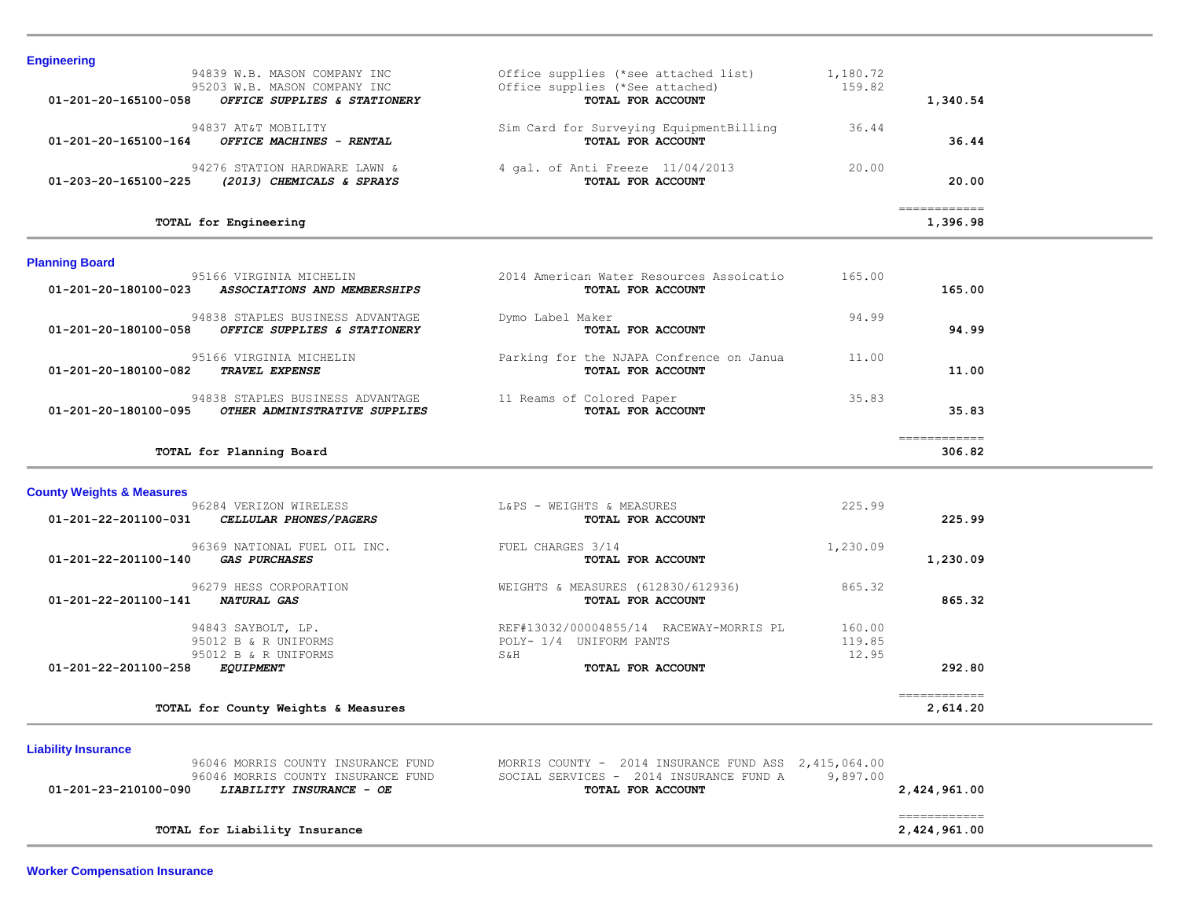| <b>Engineering</b>                                                                                                   |                                                                                              |                    |          |
|----------------------------------------------------------------------------------------------------------------------|----------------------------------------------------------------------------------------------|--------------------|----------|
| 94839 W.B. MASON COMPANY INC<br>95203 W.B. MASON COMPANY INC<br>01-201-20-165100-058<br>OFFICE SUPPLIES & STATIONERY | Office supplies (*see attached list)<br>Office supplies (*See attached)<br>TOTAL FOR ACCOUNT | 1,180.72<br>159.82 | 1,340.54 |
|                                                                                                                      |                                                                                              |                    |          |
| 94837 AT&T MOBILITY                                                                                                  | Sim Card for Surveying EquipmentBilling                                                      | 36.44              |          |
| $01 - 201 - 20 - 165100 - 164$<br>OFFICE MACHINES - RENTAL                                                           | TOTAL FOR ACCOUNT                                                                            |                    | 36.44    |
| 94276 STATION HARDWARE LAWN &                                                                                        | 4 gal. of Anti Freeze 11/04/2013                                                             | 20.00              |          |
| (2013) CHEMICALS & SPRAYS<br>01-203-20-165100-225                                                                    | TOTAL FOR ACCOUNT                                                                            |                    | 20.00    |
|                                                                                                                      |                                                                                              |                    |          |
| TOTAL for Engineering                                                                                                |                                                                                              |                    | 1,396.98 |

# **Planning Board**

|                                | TOTAL for Planning Board                                          |                                                               |        | 306.82 |
|--------------------------------|-------------------------------------------------------------------|---------------------------------------------------------------|--------|--------|
| 01-201-20-180100-095           | 94838 STAPLES BUSINESS ADVANTAGE<br>OTHER ADMINISTRATIVE SUPPLIES | 11 Reams of Colored Paper<br>TOTAL FOR ACCOUNT                | 35.83  | 35.83  |
| 01-201-20-180100-082           | 95166 VIRGINIA MICHELIN<br><b>TRAVEL EXPENSE</b>                  | Parking for the NJAPA Confrence on Janua<br>TOTAL FOR ACCOUNT | 11.00  | 11.00  |
| 01-201-20-180100-058           | 94838 STAPLES BUSINESS ADVANTAGE<br>OFFICE SUPPLIES & STATIONERY  | Dymo Label Maker<br>TOTAL FOR ACCOUNT                         | 94.99  | 94.99  |
| $01 - 201 - 20 - 180100 - 023$ | 95166 VIRGINIA MICHELIN<br>ASSOCIATIONS AND MEMBERSHIPS           | 2014 American Water Resources Assoicatio<br>TOTAL FOR ACCOUNT | 165.00 | 165.00 |

#### **County Weights & Measures**

|                                | 96284 VERIZON WIRELESS                               | L&PS - WEIGHTS & MEASURES               | 225.99   |          |
|--------------------------------|------------------------------------------------------|-----------------------------------------|----------|----------|
| $01 - 201 - 22 - 201100 - 031$ | CELLULAR PHONES/PAGERS                               | TOTAL FOR ACCOUNT                       |          | 225.99   |
| $01 - 201 - 22 - 201100 - 140$ | 96369 NATIONAL FUEL OIL INC.<br><i>GAS PURCHASES</i> | FUEL CHARGES 3/14<br>TOTAL FOR ACCOUNT  | 1,230.09 | 1,230.09 |
|                                | 96279 HESS CORPORATION                               | WEIGHTS & MEASURES (612830/612936)      | 865.32   |          |
| 01-201-22-201100-141           | <b>NATURAL GAS</b>                                   | TOTAL FOR ACCOUNT                       |          | 865.32   |
|                                | 94843 SAYBOLT, LP.                                   | REF#13032/00004855/14 RACEWAY-MORRIS PL | 160.00   |          |
|                                | 95012 B & R UNIFORMS                                 | UNIFORM PANTS<br>$POLY- 1/4$            | 119.85   |          |
|                                | 95012 B & R UNIFORMS                                 | <b>S&amp;H</b>                          | 12.95    |          |
| 01-201-22-201100-258           | <i>EQUIPMENT</i>                                     | TOTAL FOR ACCOUNT                       |          | 292.80   |

# **Liability Insurance**

| 96046 MORRIS COUNTY INSURANCE FUND<br>96046 MORRIS COUNTY INSURANCE FUND | MORRIS COUNTY $-$ 2014 INSURANCE FUND ASS $2.415.064.00$<br>SOCIAL SERVICES - 2014 INSURANCE FUND A<br>9.897.00 |              |
|--------------------------------------------------------------------------|-----------------------------------------------------------------------------------------------------------------|--------------|
| 01-201-23-210100-090<br><i>LIABILITY INSURANCE - OE</i>                  | TOTAL FOR ACCOUNT                                                                                               | 2,424,961.00 |
|                                                                          |                                                                                                                 |              |
|                                                                          |                                                                                                                 |              |
| TOTAL for Liability Insurance                                            |                                                                                                                 | 2,424,961.00 |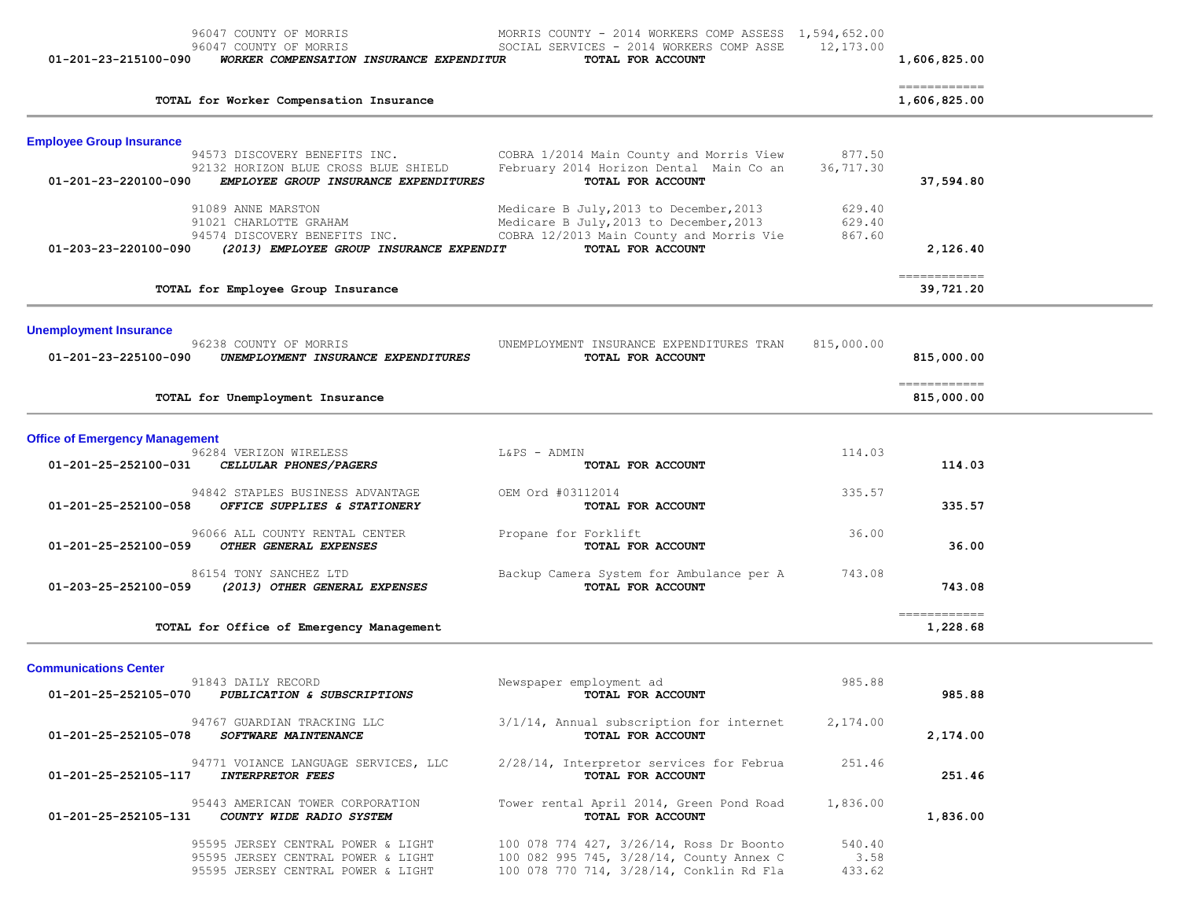| 01-201-23-215100-090                                  | 96047 COUNTY OF MORRIS<br>96047 COUNTY OF MORRIS<br>WORKER COMPENSATION INSURANCE EXPENDITUR                              | MORRIS COUNTY - 2014 WORKERS COMP ASSESS 1,594,652.00<br>SOCIAL SERVICES - 2014 WORKERS COMP ASSE<br>TOTAL FOR ACCOUNT                              | 12,173.00                  | 1,606,825.00                                                                                                                                                                                                                                                                                                                                                                                                                                                                                       |  |
|-------------------------------------------------------|---------------------------------------------------------------------------------------------------------------------------|-----------------------------------------------------------------------------------------------------------------------------------------------------|----------------------------|----------------------------------------------------------------------------------------------------------------------------------------------------------------------------------------------------------------------------------------------------------------------------------------------------------------------------------------------------------------------------------------------------------------------------------------------------------------------------------------------------|--|
|                                                       | TOTAL for Worker Compensation Insurance                                                                                   |                                                                                                                                                     |                            | ============<br>1,606,825.00                                                                                                                                                                                                                                                                                                                                                                                                                                                                       |  |
| <b>Employee Group Insurance</b>                       | 94573 DISCOVERY BENEFITS INC.<br>92132 HORIZON BLUE CROSS BLUE SHIELD                                                     | COBRA 1/2014 Main County and Morris View<br>February 2014 Horizon Dental Main Co an                                                                 | 877.50<br>36,717.30        |                                                                                                                                                                                                                                                                                                                                                                                                                                                                                                    |  |
| 01-201-23-220100-090                                  | EMPLOYEE GROUP INSURANCE EXPENDITURES                                                                                     | TOTAL FOR ACCOUNT                                                                                                                                   |                            | 37,594.80                                                                                                                                                                                                                                                                                                                                                                                                                                                                                          |  |
| 01-203-23-220100-090                                  | 91089 ANNE MARSTON<br>91021 CHARLOTTE GRAHAM<br>94574 DISCOVERY BENEFITS INC.<br>(2013) EMPLOYEE GROUP INSURANCE EXPENDIT | Medicare B July, 2013 to December, 2013<br>Medicare B July, 2013 to December, 2013<br>COBRA 12/2013 Main County and Morris Vie<br>TOTAL FOR ACCOUNT | 629.40<br>629.40<br>867.60 | 2,126.40                                                                                                                                                                                                                                                                                                                                                                                                                                                                                           |  |
|                                                       | TOTAL for Employee Group Insurance                                                                                        |                                                                                                                                                     |                            | 39,721.20                                                                                                                                                                                                                                                                                                                                                                                                                                                                                          |  |
| <b>Unemployment Insurance</b><br>01-201-23-225100-090 | 96238 COUNTY OF MORRIS<br>UNEMPLOYMENT INSURANCE EXPENDITURES                                                             | UNEMPLOYMENT INSURANCE EXPENDITURES TRAN<br>TOTAL FOR ACCOUNT                                                                                       | 815,000.00                 | 815,000.00                                                                                                                                                                                                                                                                                                                                                                                                                                                                                         |  |
|                                                       | TOTAL for Unemployment Insurance                                                                                          |                                                                                                                                                     |                            | -------------<br>815,000.00                                                                                                                                                                                                                                                                                                                                                                                                                                                                        |  |
| <b>Office of Emergency Management</b>                 |                                                                                                                           |                                                                                                                                                     |                            |                                                                                                                                                                                                                                                                                                                                                                                                                                                                                                    |  |
| 01-201-25-252100-031                                  | 96284 VERIZON WIRELESS<br>CELLULAR PHONES/PAGERS                                                                          | L&PS - ADMIN<br>TOTAL FOR ACCOUNT                                                                                                                   | 114.03                     | 114.03                                                                                                                                                                                                                                                                                                                                                                                                                                                                                             |  |
| 01-201-25-252100-058                                  | 94842 STAPLES BUSINESS ADVANTAGE<br>OFFICE SUPPLIES & STATIONERY                                                          | OEM Ord #03112014<br>TOTAL FOR ACCOUNT                                                                                                              | 335.57                     | 335.57                                                                                                                                                                                                                                                                                                                                                                                                                                                                                             |  |
| 01-201-25-252100-059                                  | 96066 ALL COUNTY RENTAL CENTER<br>OTHER GENERAL EXPENSES                                                                  | Propane for Forklift<br>TOTAL FOR ACCOUNT                                                                                                           | 36.00                      | 36.00                                                                                                                                                                                                                                                                                                                                                                                                                                                                                              |  |
| 01-203-25-252100-059                                  | 86154 TONY SANCHEZ LTD<br>(2013) OTHER GENERAL EXPENSES                                                                   | Backup Camera System for Ambulance per A<br>TOTAL FOR ACCOUNT                                                                                       | 743.08                     | 743.08                                                                                                                                                                                                                                                                                                                                                                                                                                                                                             |  |
|                                                       | TOTAL for Office of Emergency Management                                                                                  |                                                                                                                                                     |                            | $\begin{array}{cccccccccc} \multicolumn{2}{c}{} & \multicolumn{2}{c}{} & \multicolumn{2}{c}{} & \multicolumn{2}{c}{} & \multicolumn{2}{c}{} & \multicolumn{2}{c}{} & \multicolumn{2}{c}{} & \multicolumn{2}{c}{} & \multicolumn{2}{c}{} & \multicolumn{2}{c}{} & \multicolumn{2}{c}{} & \multicolumn{2}{c}{} & \multicolumn{2}{c}{} & \multicolumn{2}{c}{} & \multicolumn{2}{c}{} & \multicolumn{2}{c}{} & \multicolumn{2}{c}{} & \multicolumn{2}{c}{} & \multicolumn{2}{c}{} & \mult$<br>1,228.68 |  |
| <b>Communications Center</b>                          |                                                                                                                           |                                                                                                                                                     |                            |                                                                                                                                                                                                                                                                                                                                                                                                                                                                                                    |  |
| 01-201-25-252105-070                                  | 91843 DAILY RECORD<br>PUBLICATION & SUBSCRIPTIONS                                                                         | Newspaper employment ad<br>TOTAL FOR ACCOUNT                                                                                                        | 985.88                     | 985.88                                                                                                                                                                                                                                                                                                                                                                                                                                                                                             |  |
| 01-201-25-252105-078                                  | 94767 GUARDIAN TRACKING LLC<br>SOFTWARE MAINTENANCE                                                                       | 3/1/14, Annual subscription for internet<br>TOTAL FOR ACCOUNT                                                                                       | 2,174.00                   | 2,174.00                                                                                                                                                                                                                                                                                                                                                                                                                                                                                           |  |
| 01-201-25-252105-117                                  | 94771 VOIANCE LANGUAGE SERVICES, LLC<br><b>INTERPRETOR FEES</b>                                                           | 2/28/14, Interpretor services for Februa<br>TOTAL FOR ACCOUNT                                                                                       | 251.46                     | 251.46                                                                                                                                                                                                                                                                                                                                                                                                                                                                                             |  |
| 01-201-25-252105-131                                  | 95443 AMERICAN TOWER CORPORATION<br>COUNTY WIDE RADIO SYSTEM                                                              | Tower rental April 2014, Green Pond Road<br>TOTAL FOR ACCOUNT                                                                                       | 1,836.00                   | 1,836.00                                                                                                                                                                                                                                                                                                                                                                                                                                                                                           |  |
|                                                       | 95595 JERSEY CENTRAL POWER & LIGHT<br>95595 JERSEY CENTRAL POWER & LIGHT<br>95595 JERSEY CENTRAL POWER & LIGHT            | 100 078 774 427, 3/26/14, Ross Dr Boonto<br>100 082 995 745, 3/28/14, County Annex C<br>100 078 770 714, 3/28/14, Conklin Rd Fla                    | 540.40<br>3.58<br>433.62   |                                                                                                                                                                                                                                                                                                                                                                                                                                                                                                    |  |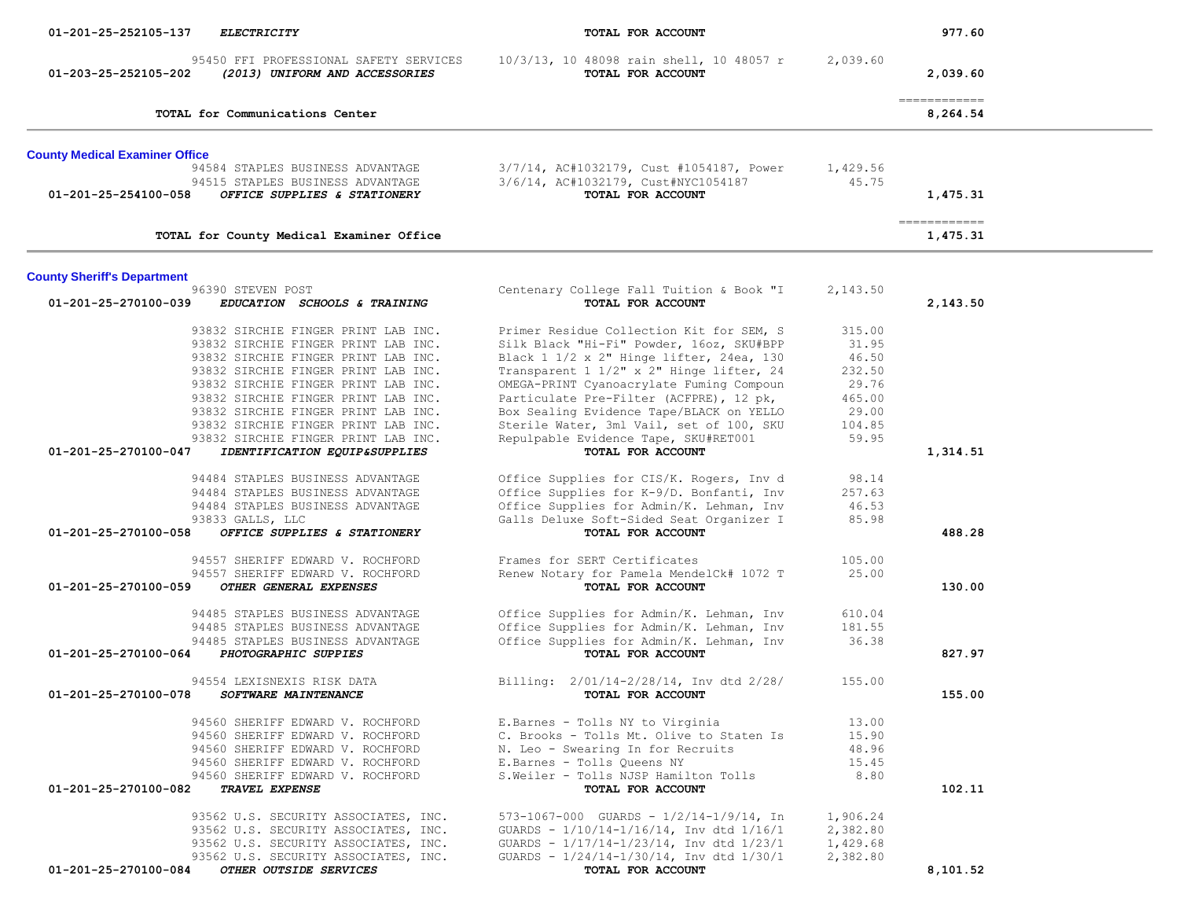| 01-201-25-252105-137<br>ELECTRICITY                                                              | TOTAL FOR ACCOUNT                                                                    |                 | 977.60                    |  |
|--------------------------------------------------------------------------------------------------|--------------------------------------------------------------------------------------|-----------------|---------------------------|--|
| 95450 FFI PROFESSIONAL SAFETY SERVICES<br>01-203-25-252105-202<br>(2013) UNIFORM AND ACCESSORIES | 10/3/13, 10 48098 rain shell, 10 48057 r<br>TOTAL FOR ACCOUNT                        | 2,039.60        | 2,039.60                  |  |
| TOTAL for Communications Center                                                                  |                                                                                      |                 | -------------<br>8,264.54 |  |
| <b>County Medical Examiner Office</b>                                                            |                                                                                      |                 |                           |  |
| 94584 STAPLES BUSINESS ADVANTAGE                                                                 | 3/7/14, AC#1032179, Cust #1054187, Power                                             | 1,429.56        |                           |  |
| 94515 STAPLES BUSINESS ADVANTAGE<br>01-201-25-254100-058<br>OFFICE SUPPLIES & STATIONERY         | 3/6/14, AC#1032179, Cust#NYC1054187<br>TOTAL FOR ACCOUNT                             | 45.75           | 1,475.31                  |  |
| TOTAL for County Medical Examiner Office                                                         |                                                                                      |                 | -------------<br>1,475.31 |  |
| <b>County Sheriff's Department</b>                                                               |                                                                                      |                 |                           |  |
| 96390 STEVEN POST<br>01-201-25-270100-039<br>EDUCATION SCHOOLS & TRAINING                        | Centenary College Fall Tuition & Book "I<br>TOTAL FOR ACCOUNT                        | 2,143.50        | 2,143.50                  |  |
| 93832 SIRCHIE FINGER PRINT LAB INC.                                                              | Primer Residue Collection Kit for SEM, S                                             | 315.00          |                           |  |
| 93832 SIRCHIE FINGER PRINT LAB INC.                                                              | Silk Black "Hi-Fi" Powder, 16oz, SKU#BPP                                             | 31.95           |                           |  |
| 93832 SIRCHIE FINGER PRINT LAB INC.<br>93832 SIRCHIE FINGER PRINT LAB INC.                       | Black 1 1/2 x 2" Hinge lifter, 24ea, 130<br>Transparent 1 1/2" x 2" Hinge lifter, 24 | 46.50<br>232.50 |                           |  |
| 93832 SIRCHIE FINGER PRINT LAB INC.                                                              | OMEGA-PRINT Cyanoacrylate Fuming Compoun                                             | 29.76           |                           |  |
| 93832 SIRCHIE FINGER PRINT LAB INC.                                                              | Particulate Pre-Filter (ACFPRE), 12 pk,                                              | 465.00          |                           |  |
| 93832 SIRCHIE FINGER PRINT LAB INC.                                                              | Box Sealing Evidence Tape/BLACK on YELLO                                             | 29.00           |                           |  |
| 93832 SIRCHIE FINGER PRINT LAB INC.                                                              | Sterile Water, 3ml Vail, set of 100, SKU                                             | 104.85          |                           |  |
| 93832 SIRCHIE FINGER PRINT LAB INC.<br>01-201-25-270100-047<br>IDENTIFICATION EQUIP&SUPPLIES     | Repulpable Evidence Tape, SKU#RET001<br>TOTAL FOR ACCOUNT                            | 59.95           | 1,314.51                  |  |
| 94484 STAPLES BUSINESS ADVANTAGE                                                                 | Office Supplies for CIS/K. Rogers, Inv d                                             | 98.14           |                           |  |
| 94484 STAPLES BUSINESS ADVANTAGE                                                                 | Office Supplies for K-9/D. Bonfanti, Inv                                             | 257.63          |                           |  |
| 94484 STAPLES BUSINESS ADVANTAGE                                                                 | Office Supplies for Admin/K. Lehman, Inv                                             | 46.53           |                           |  |
| 93833 GALLS, LLC                                                                                 | Galls Deluxe Soft-Sided Seat Organizer I                                             | 85.98           |                           |  |
| 01-201-25-270100-058<br>OFFICE SUPPLIES & STATIONERY                                             | TOTAL FOR ACCOUNT                                                                    |                 | 488.28                    |  |
| 94557 SHERIFF EDWARD V. ROCHFORD                                                                 | Frames for SERT Certificates                                                         | 105.00          |                           |  |
| 94557 SHERIFF EDWARD V. ROCHFORD                                                                 | Renew Notary for Pamela MendelCk# 1072 T                                             | 25.00           |                           |  |
| 01-201-25-270100-059<br>OTHER GENERAL EXPENSES                                                   | TOTAL FOR ACCOUNT                                                                    |                 | 130.00                    |  |
| 94485 STAPLES BUSINESS ADVANTAGE                                                                 | Office Supplies for Admin/K. Lehman, Inv                                             | 610.04          |                           |  |
| 94485 STAPLES BUSINESS ADVANTAGE                                                                 | Office Supplies for Admin/K. Lehman, Inv                                             | 181.55          |                           |  |
| 94485 STAPLES BUSINESS ADVANTAGE<br>01-201-25-270100-064                                         | Office Supplies for Admin/K. Lehman, Inv                                             | 36.38           |                           |  |
| PHOTOGRAPHIC SUPPIES                                                                             | TOTAL FOR ACCOUNT                                                                    |                 | 827.97                    |  |
| 94554 LEXISNEXIS RISK DATA                                                                       | Billing: 2/01/14-2/28/14, Inv dtd 2/28/                                              | 155.00          |                           |  |
| 01-201-25-270100-078<br>SOFTWARE MAINTENANCE                                                     | TOTAL FOR ACCOUNT                                                                    |                 | 155.00                    |  |
| 94560 SHERIFF EDWARD V. ROCHFORD                                                                 | E. Barnes - Tolls NY to Virginia                                                     | 13.00           |                           |  |
| 94560 SHERIFF EDWARD V. ROCHFORD                                                                 | C. Brooks - Tolls Mt. Olive to Staten Is                                             | 15.90           |                           |  |
| 94560 SHERIFF EDWARD V. ROCHFORD<br>94560 SHERIFF EDWARD V. ROCHFORD                             | N. Leo - Swearing In for Recruits<br>E.Barnes - Tolls Queens NY                      | 48.96<br>15.45  |                           |  |
| 94560 SHERIFF EDWARD V. ROCHFORD                                                                 | S. Weiler - Tolls NJSP Hamilton Tolls                                                | 8.80            |                           |  |
| 01-201-25-270100-082<br>TRAVEL EXPENSE                                                           | TOTAL FOR ACCOUNT                                                                    |                 | 102.11                    |  |
| 93562 U.S. SECURITY ASSOCIATES, INC.                                                             | 573-1067-000 GUARDS - $1/2/14-1/9/14$ , In                                           | 1,906.24        |                           |  |
| 93562 U.S. SECURITY ASSOCIATES, INC.                                                             | GUARDS - 1/10/14-1/16/14, Inv dtd 1/16/1                                             | 2,382.80        |                           |  |
| 93562 U.S. SECURITY ASSOCIATES, INC.                                                             | GUARDS - 1/17/14-1/23/14, Inv dtd 1/23/1                                             | 1,429.68        |                           |  |
| 93562 U.S. SECURITY ASSOCIATES, INC.                                                             | GUARDS - $1/24/14-1/30/14$ , Inv dtd $1/30/1$                                        | 2,382.80        |                           |  |
| 01-201-25-270100-084<br>OTHER OUTSIDE SERVICES                                                   | TOTAL FOR ACCOUNT                                                                    |                 | 8,101.52                  |  |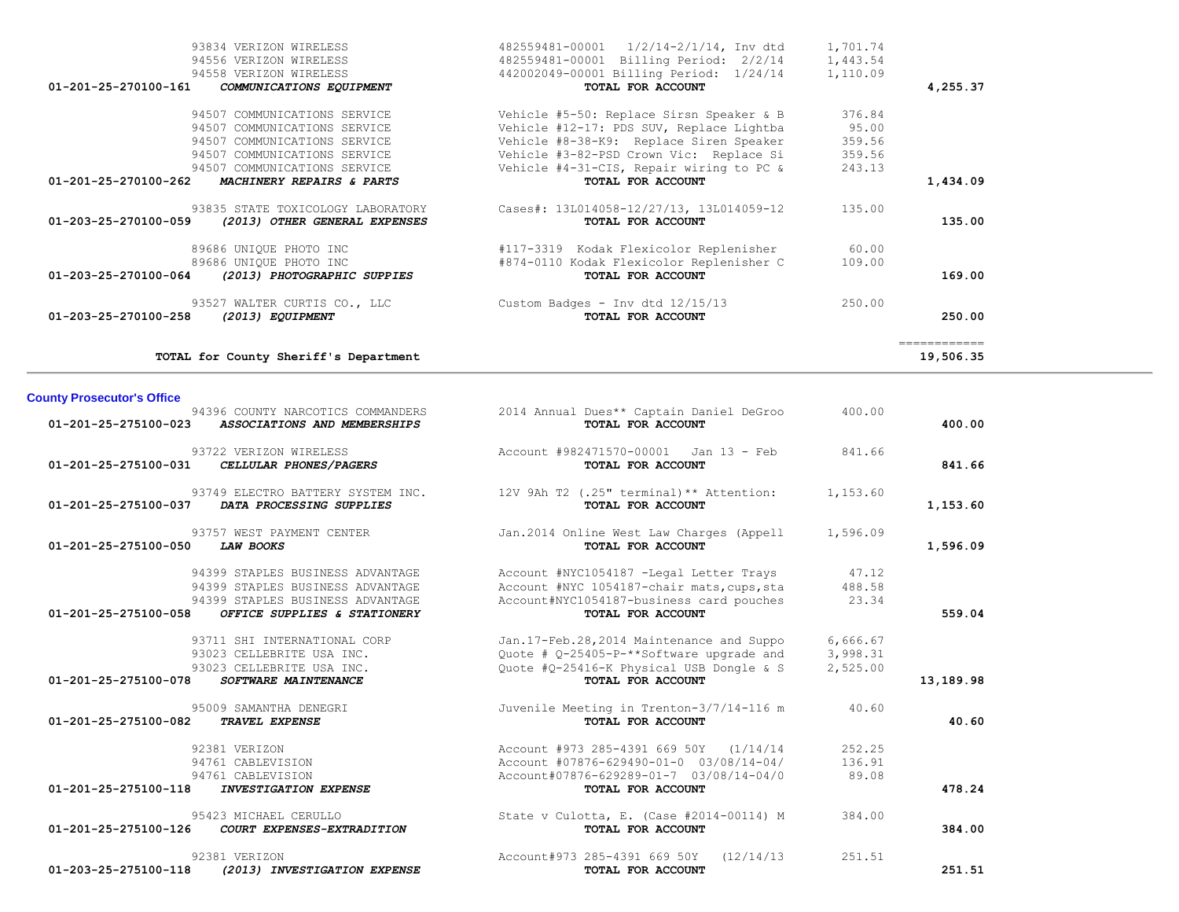| <b>County Prosecutor's Office</b>                                                      |                                                                                                 |                 |           |
|----------------------------------------------------------------------------------------|-------------------------------------------------------------------------------------------------|-----------------|-----------|
| 94396 COUNTY NARCOTICS COMMANDERS<br>01-201-25-275100-023 ASSOCIATIONS AND MEMBERSHIPS | 2014 Annual Dues** Captain Daniel DeGroo<br>TOTAL FOR ACCOUNT                                   | 400.00          | 400.00    |
| 93722 VERIZON WIRELESS<br>01-201-25-275100-031<br>CELLULAR PHONES/PAGERS               | Account #982471570-00001 Jan 13 - Feb<br>TOTAL FOR ACCOUNT                                      | 841.66          | 841.66    |
| 01-201-25-275100-037<br>DATA PROCESSING SUPPLIES                                       | 93749 ELECTRO BATTERY SYSTEM INC. 12V 9Ah T2 (.25" terminal) ** Attention:<br>TOTAL FOR ACCOUNT | 1,153.60        | 1,153.60  |
| 93757 WEST PAYMENT CENTER<br>01-201-25-275100-050<br><b>LAW BOOKS</b>                  | Jan.2014 Online West Law Charges (Appell<br>TOTAL FOR ACCOUNT                                   | 1,596.09        | 1,596.09  |
| 94399 STAPLES BUSINESS ADVANTAGE                                                       | Account #NYC1054187 -Legal Letter Trays                                                         | 47.12           |           |
| 94399 STAPLES BUSINESS ADVANTAGE<br>94399 STAPLES BUSINESS ADVANTAGE                   | Account #NYC 1054187-chair mats, cups, sta<br>Account#NYC1054187-business card pouches          | 488.58<br>23.34 |           |
| 01-201-25-275100-058<br>OFFICE SUPPLIES & STATIONERY                                   | TOTAL FOR ACCOUNT                                                                               |                 | 559.04    |
| 93711 SHI INTERNATIONAL CORP                                                           | Jan.17-Feb.28,2014 Maintenance and Suppo                                                        | 6,666.67        |           |
| 93023 CELLEBRITE USA INC.                                                              | Ouote # 0-25405-P-**Software upgrade and                                                        | 3,998.31        |           |
| 93023 CELLEBRITE USA INC.<br>01-201-25-275100-078<br>SOFTWARE MAINTENANCE              | Quote #Q-25416-K Physical USB Dongle & S<br>TOTAL FOR ACCOUNT                                   | 2,525.00        | 13,189.98 |
| 95009 SAMANTHA DENEGRI                                                                 | Juvenile Meeting in Trenton-3/7/14-116 m                                                        | 40.60           |           |
| 01-201-25-275100-082<br><b>TRAVEL EXPENSE</b>                                          | TOTAL FOR ACCOUNT                                                                               |                 | 40.60     |
| 92381 VERIZON                                                                          | Account #973 285-4391 669 50Y (1/14/14                                                          | 252.25          |           |
| 94761 CABLEVISION                                                                      | Account #07876-629490-01-0 03/08/14-04/                                                         | 136.91          |           |
| 94761 CABLEVISION<br>01-201-25-275100-118<br><b>INVESTIGATION EXPENSE</b>              | Account#07876-629289-01-7 03/08/14-04/0<br>TOTAL FOR ACCOUNT                                    | 89.08           | 478.24    |
| 95423 MICHAEL CERULLO                                                                  | State v Culotta, E. (Case #2014-00114) M                                                        | 384.00          |           |
| 01-201-25-275100-126<br>COURT EXPENSES-EXTRADITION                                     | TOTAL FOR ACCOUNT                                                                               |                 | 384.00    |
| 92381 VERIZON                                                                          | (12/14/13)<br>Account#973 285-4391 669 50Y                                                      | 251.51          |           |
| 01-203-25-275100-118<br>(2013) INVESTIGATION EXPENSE                                   | TOTAL FOR ACCOUNT                                                                               |                 | 251.51    |

============

**TOTAL for County Sheriff's Department 19,506.35**

| UI-ZU3-Z3-Z/UIUU-U04 | <i>LZVIS) PROTOGRAPRIC SUPPIES</i>                      | TUTAL FOR ACCOUNT                                     | 109.00           |
|----------------------|---------------------------------------------------------|-------------------------------------------------------|------------------|
| 01-203-25-270100-258 | 93527 WALTER CURTIS CO., LLC<br><i>(2013) EOUIPMENT</i> | Custom Badges - Inv dtd 12/15/13<br>TOTAL FOR ACCOUNT | 250.00<br>250.00 |
|                      |                                                         |                                                       |                  |

93834 VERIZON WIRELESS

|  | 89686 UNIQUE PHOTO INC |  |
|--|------------------------|--|
|  | 89686 UNIOUE PHOTO INC |  |

| 94556 VERIZON WIRELESS                                | 482559481-00001 Billing Period: 2/2/14   | 1,443.54 |          |
|-------------------------------------------------------|------------------------------------------|----------|----------|
| 94558 VERIZON WIRELESS                                | 442002049-00001 Billing Period: 1/24/14  | 1,110.09 |          |
| 01-201-25-270100-161<br>COMMUNICATIONS EQUIPMENT      | TOTAL FOR ACCOUNT                        |          | 4,255.37 |
| 94507 COMMUNICATIONS SERVICE                          | Vehicle #5-50: Replace Sirsn Speaker & B | 376.84   |          |
| 94507 COMMUNICATIONS SERVICE                          | Vehicle #12-17: PDS SUV, Replace Lightba | 95.00    |          |
| 94507 COMMUNICATIONS SERVICE                          | Vehicle #8-38-K9: Replace Siren Speaker  | 359.56   |          |
| 94507 COMMUNICATIONS SERVICE                          | Vehicle #3-82-PSD Crown Vic: Replace Si  | 359.56   |          |
| 94507 COMMUNICATIONS SERVICE                          | Vehicle #4-31-CIS, Repair wiring to PC & | 243.13   |          |
| 01-201-25-270100-262<br>MACHINERY REPAIRS & PARTS     | TOTAL FOR ACCOUNT                        |          | 1,434.09 |
| 93835 STATE TOXICOLOGY LABORATORY                     | Cases#: 13L014058-12/27/13, 13L014059-12 | 135.00   |          |
| 01-203-25-270100-059<br>(2013) OTHER GENERAL EXPENSES | TOTAL FOR ACCOUNT                        |          | 135.00   |
| 89686 UNIOUE PHOTO INC                                | #117-3319 Kodak Flexicolor Replenisher   | 60.00    |          |
| 89686 UNIOUE PHOTO INC                                | #874-0110 Kodak Flexicolor Replenisher C | 109.00   |          |
| 01-203-25-270100-064<br>(2013) PHOTOGRAPHIC SUPPIES   | TOTAL FOR ACCOUNT                        |          | 169.00   |

| 4,255    | TOTAL FOR ACCOUNT                       |                 |
|----------|-----------------------------------------|-----------------|
| 1,110.09 | 442002049-00001 Billing Period: 1/24/14 |                 |
| 1,443.54 | 482559481-00001 Billing Period: 2/2/14  |                 |
| 1,701.74 | $1/2/14-2/1/14$ , Inv dtd               | 482559481-00001 |
|          |                                         |                 |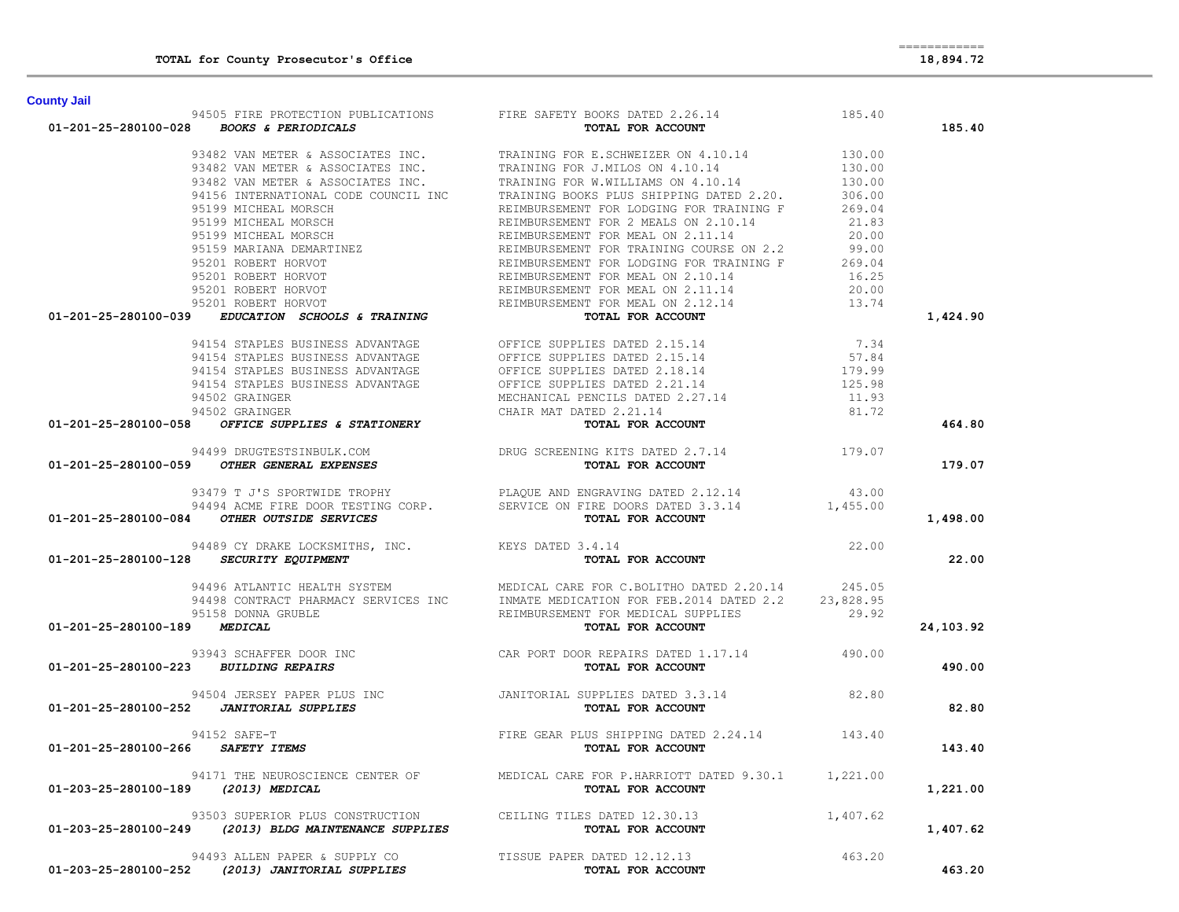| <b>County Jail</b>           |                                                                          |                                                                                                                                                                                                                                                     |          |           |
|------------------------------|--------------------------------------------------------------------------|-----------------------------------------------------------------------------------------------------------------------------------------------------------------------------------------------------------------------------------------------------|----------|-----------|
|                              |                                                                          | 94505 FIRE PROTECTION PUBLICATIONS FIRE SAFETY BOOKS DATED 2.26.14<br><b>01-201-25-280100-028</b> BOOKS & PERIODICALS <b>FIRE SAFETY BOOKS DATED 2.26.14</b>                                                                                        |          | 185.40    |
|                              |                                                                          |                                                                                                                                                                                                                                                     |          |           |
|                              |                                                                          |                                                                                                                                                                                                                                                     |          |           |
|                              |                                                                          |                                                                                                                                                                                                                                                     |          |           |
|                              |                                                                          |                                                                                                                                                                                                                                                     |          |           |
|                              |                                                                          |                                                                                                                                                                                                                                                     |          |           |
|                              |                                                                          |                                                                                                                                                                                                                                                     |          |           |
|                              |                                                                          |                                                                                                                                                                                                                                                     |          |           |
|                              |                                                                          |                                                                                                                                                                                                                                                     |          |           |
|                              |                                                                          |                                                                                                                                                                                                                                                     |          |           |
|                              |                                                                          |                                                                                                                                                                                                                                                     |          |           |
|                              |                                                                          |                                                                                                                                                                                                                                                     |          |           |
|                              |                                                                          |                                                                                                                                                                                                                                                     |          |           |
|                              |                                                                          | 95201 ROBERT HORVOT BEINBURSEMENT FUR MEAL ON 2.11.14<br>95201 ROBERT HORVOT REIMBURSEMENT FOR MEAL ON 2.12.14<br><b>01-201-25-280100-039 <i>EDUCATION SCHOOLS &amp; TRAINING</i></b> TOTAL FOR ACCOUNT                                             |          | 1,424.90  |
|                              |                                                                          |                                                                                                                                                                                                                                                     |          |           |
|                              |                                                                          |                                                                                                                                                                                                                                                     |          |           |
|                              |                                                                          |                                                                                                                                                                                                                                                     |          |           |
|                              |                                                                          |                                                                                                                                                                                                                                                     |          |           |
|                              |                                                                          |                                                                                                                                                                                                                                                     |          |           |
|                              |                                                                          |                                                                                                                                                                                                                                                     |          |           |
|                              |                                                                          | 95201 ROBERT HORVOT<br><b>EDUCATION SCHOOLS &amp; TRAINING</b><br>94154 STAPLES BUSINESS ADVANTAGE<br>94154 STAPLES BUSINESS ADVANTAGE<br>94154 STAPLES BUSINESS ADVANTAGE<br>94154 STAPLES BUSINESS ADVANTAGE<br>94502 GRAINGER BUSINESS ADVANTAGE |          | 464.80    |
|                              |                                                                          |                                                                                                                                                                                                                                                     |          |           |
|                              |                                                                          |                                                                                                                                                                                                                                                     |          | 179.07    |
|                              |                                                                          | 93479 T J'S SPORTWIDE TROPHY<br>94494 ACME FIRE DOOR TESTING CORP.<br><b>01-201-25-280100-084 OTHER OUTSIDE SERVICES EXAMPLE SERVICE</b> ON FIRE DOORS DATED 3.3.14<br><b>01-201-25-280100-084 OTHER OUTSIDE SERVICES</b>                           |          |           |
|                              |                                                                          |                                                                                                                                                                                                                                                     |          |           |
|                              |                                                                          |                                                                                                                                                                                                                                                     |          | 1,498.00  |
|                              | 94489 CY DRAKE LOCKSMITHS, INC.<br>3 SECURITY EQUIPMENT CONTROL TOTAL IS | 3.4.14<br>TOTAL FOR ACCOUNT 22.00                                                                                                                                                                                                                   |          |           |
|                              | 01-201-25-280100-128 SECURITY EQUIPMENT                                  |                                                                                                                                                                                                                                                     |          | 22.00     |
|                              |                                                                          | 94496 ATLANTIC HEALTH SYSTEM MEDICAL CARE FOR C.BOLITHO DATED 2.20.14 245.05                                                                                                                                                                        |          |           |
|                              |                                                                          | 94498 CONTRACT PHARMACY SERVICES INC INMATE MEDICATION FOR FEB.2014 DATED 2.2 23,828.95                                                                                                                                                             |          |           |
|                              | 95158 DONNA GRUBLE                                                       | REIMBURSEMENT FOR MEDICAL SUPPLIES 29.92                                                                                                                                                                                                            |          |           |
| 01-201-25-280100-189 MEDICAL |                                                                          |                                                                                                                                                                                                                                                     |          | 24,103.92 |
|                              |                                                                          |                                                                                                                                                                                                                                                     |          |           |
|                              | 01-201-25-280100-223 BUILDING REPAIRS                                    |                                                                                                                                                                                                                                                     |          | 490.00    |
|                              |                                                                          |                                                                                                                                                                                                                                                     |          |           |
|                              |                                                                          | 94504 JERSEY PAPER PLUS INC<br>01-201-25-280100-252 JANITORIAL SUPPLIES TOTAL FOR ACCOUNT                                                                                                                                                           |          | 82.80     |
|                              |                                                                          |                                                                                                                                                                                                                                                     |          |           |
|                              | 94152 SAFE-T                                                             | FIRE GEAR PLUS SHIPPING DATED 2.24.14 143.40                                                                                                                                                                                                        |          |           |
| 01-201-25-280100-266         | SAFETY ITEMS                                                             |                                                                                                                                                                                                                                                     |          | 143.40    |
|                              |                                                                          | 94171 THE NEUROSCIENCE CENTER OF MEDICAL CARE FOR P.HARRIOTT DATED 9.30.1 1,221.00                                                                                                                                                                  |          |           |
|                              | 01-203-25-280100-189 (2013) MEDICAL                                      | TOTAL FOR ACCOUNT                                                                                                                                                                                                                                   |          | 1,221.00  |
|                              | 93503 SUPERIOR PLUS CONSTRUCTION CEILING TILES DATED 12.30.13            |                                                                                                                                                                                                                                                     | 1,407.62 |           |
|                              | 01-203-25-280100-249 (2013) BLDG MAINTENANCE SUPPLIES                    | TOTAL FOR ACCOUNT                                                                                                                                                                                                                                   |          | 1,407.62  |
|                              | 94493 ALLEN PAPER & SUPPLY CO                                            | TISSUE PAPER DATED 12.12.13                                                                                                                                                                                                                         | 463.20   |           |
|                              | 01-203-25-280100-252 (2013) JANITORIAL SUPPLIES                          | TOTAL FOR ACCOUNT                                                                                                                                                                                                                                   |          | 463.20    |

**TOTAL for County Prosecutor's Office 18,894.72**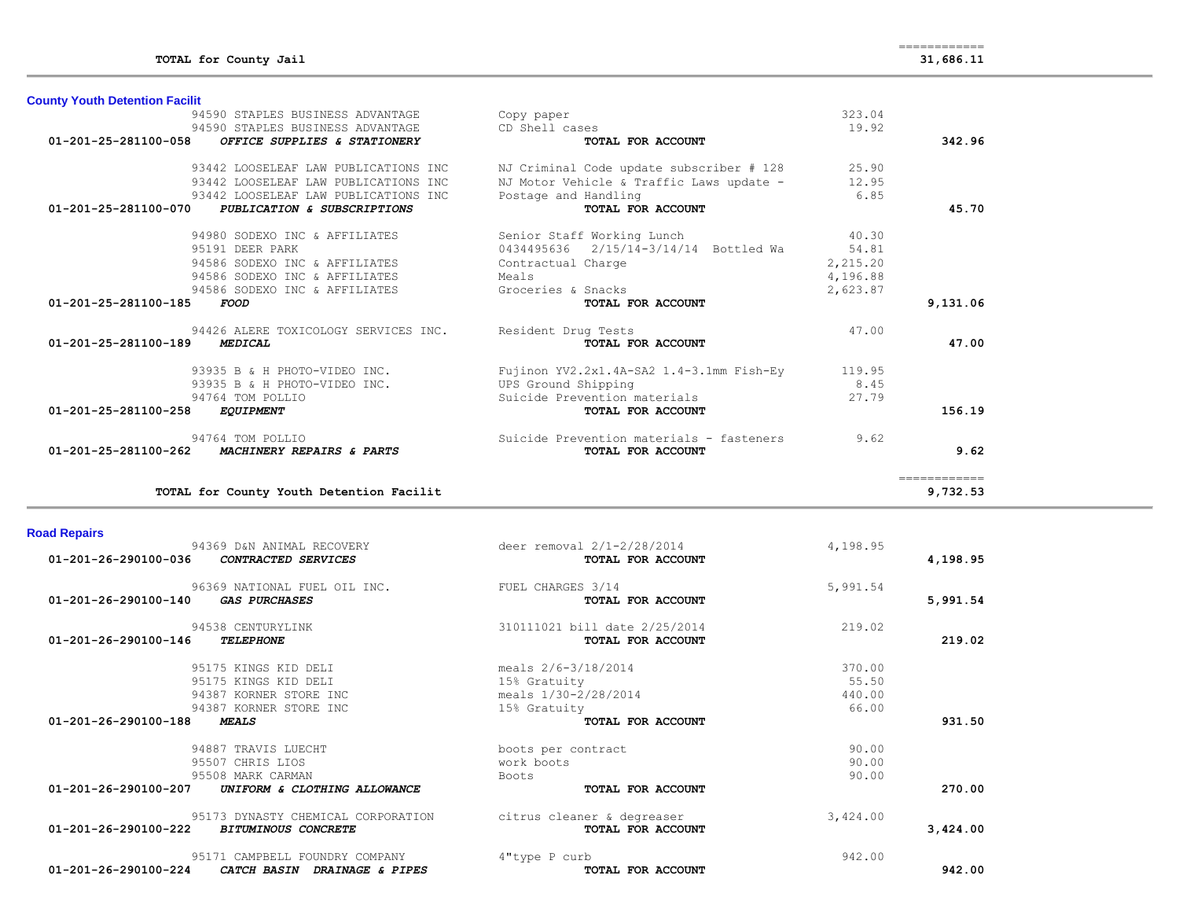| <b>Road Repairs</b>                                                                |                                                 |          |          |
|------------------------------------------------------------------------------------|-------------------------------------------------|----------|----------|
| 94369 D&N ANIMAL RECOVERY<br>$01 - 201 - 26 - 290100 - 036$<br>CONTRACTED SERVICES | deer removal 2/1-2/28/2014<br>TOTAL FOR ACCOUNT | 4,198.95 | 4,198.95 |
| 96369 NATIONAL FUEL OIL INC.<br>01-201-26-290100-140<br><b>GAS PURCHASES</b>       | FUEL CHARGES 3/14<br>TOTAL FOR ACCOUNT          | 5,991.54 | 5,991.54 |
|                                                                                    |                                                 |          |          |
| 94538 CENTURYLINK                                                                  | 310111021 bill date 2/25/2014                   | 219.02   |          |
| $01 - 201 - 26 - 290100 - 146$<br><b>TELEPHONE</b>                                 | TOTAL FOR ACCOUNT                               |          | 219.02   |
| 95175 KINGS KID DELI                                                               | meals 2/6-3/18/2014                             | 370.00   |          |
| 95175 KINGS KID DELI                                                               | 15% Gratuity                                    | 55.50    |          |
| 94387 KORNER STORE INC                                                             | meals 1/30-2/28/2014                            | 440.00   |          |
| 94387 KORNER STORE INC                                                             | 15% Gratuity                                    | 66.00    |          |
| $01 - 201 - 26 - 290100 - 188$<br><b>MEALS</b>                                     | TOTAL FOR ACCOUNT                               |          | 931.50   |
| 94887 TRAVIS LUECHT                                                                | boots per contract                              | 90.00    |          |
| 95507 CHRIS LIOS                                                                   | work boots                                      | 90.00    |          |
| 95508 MARK CARMAN                                                                  | <b>Boots</b>                                    | 90.00    |          |
| $01 - 201 - 26 - 290100 - 207$<br>UNIFORM & CLOTHING ALLOWANCE                     | TOTAL FOR ACCOUNT                               |          | 270.00   |
| 95173 DYNASTY CHEMICAL CORPORATION                                                 | citrus cleaner & degreaser                      | 3,424.00 |          |
| $01 - 201 - 26 - 290100 - 222$<br><b>BITUMINOUS CONCRETE</b>                       | TOTAL FOR ACCOUNT                               |          | 3,424.00 |
| 95171 CAMPBELL FOUNDRY COMPANY                                                     | 4"type P curb                                   | 942.00   |          |
| 01-201-26-290100-224<br><b>CATCH BASIN</b><br>DRAINAGE & PIPES                     | TOTAL FOR ACCOUNT                               |          | 942.00   |

| <b>Road Repairs</b> |
|---------------------|

| <b>County Youth Detention Facilit</b>                |                                          |          |              |
|------------------------------------------------------|------------------------------------------|----------|--------------|
| 94590 STAPLES BUSINESS ADVANTAGE                     | Copy paper                               | 323.04   |              |
| 94590 STAPLES BUSINESS ADVANTAGE                     | CD Shell cases                           | 19.92    |              |
| 01-201-25-281100-058<br>OFFICE SUPPLIES & STATIONERY | TOTAL FOR ACCOUNT                        |          | 342.96       |
| 93442 LOOSELEAF LAW PUBLICATIONS INC                 | NJ Criminal Code update subscriber # 128 | 25.90    |              |
| 93442 LOOSELEAF LAW PUBLICATIONS INC                 | NJ Motor Vehicle & Traffic Laws update - | 12.95    |              |
| 93442 LOOSELEAF LAW PUBLICATIONS INC                 | Postage and Handling                     | 6.85     |              |
| 01-201-25-281100-070<br>PUBLICATION & SUBSCRIPTIONS  | TOTAL FOR ACCOUNT                        |          | 45.70        |
| 94980 SODEXO INC & AFFILIATES                        | Senior Staff Working Lunch               | 40.30    |              |
| 95191 DEER PARK                                      | 0434495636 2/15/14-3/14/14 Bottled Wa    | 54.81    |              |
| 94586 SODEXO INC & AFFILIATES                        | Contractual Charge                       | 2,215.20 |              |
| 94586 SODEXO INC & AFFILIATES                        | Meals                                    | 4,196.88 |              |
| 94586 SODEXO INC & AFFILIATES                        | Groceries & Snacks                       | 2,623.87 |              |
| 01-201-25-281100-185<br><b>FOOD</b>                  | TOTAL FOR ACCOUNT                        |          | 9,131.06     |
| 94426 ALERE TOXICOLOGY SERVICES INC.                 | Resident Drug Tests                      | 47.00    |              |
| 01-201-25-281100-189<br><b>MEDICAL</b>               | TOTAL FOR ACCOUNT                        |          | 47.00        |
| 93935 B & H PHOTO-VIDEO INC.                         | Fujinon YV2.2x1.4A-SA2 1.4-3.1mm Fish-Ey | 119.95   |              |
| 93935 B & H PHOTO-VIDEO INC.                         | UPS Ground Shipping                      | 8.45     |              |
| 94764 TOM POLLIO                                     | Suicide Prevention materials             | 27.79    |              |
| 01-201-25-281100-258<br><b>EQUIPMENT</b>             | TOTAL FOR ACCOUNT                        |          | 156.19       |
| 94764 TOM POLLIO                                     | Suicide Prevention materials - fasteners | 9.62     |              |
| 01-201-25-281100-262<br>MACHINERY REPAIRS & PARTS    | <b>TOTAL FOR ACCOUNT</b>                 |          | 9.62         |
|                                                      |                                          |          | ============ |
| TOTAL for County Youth Detention Facilit             |                                          |          | 9,732.53     |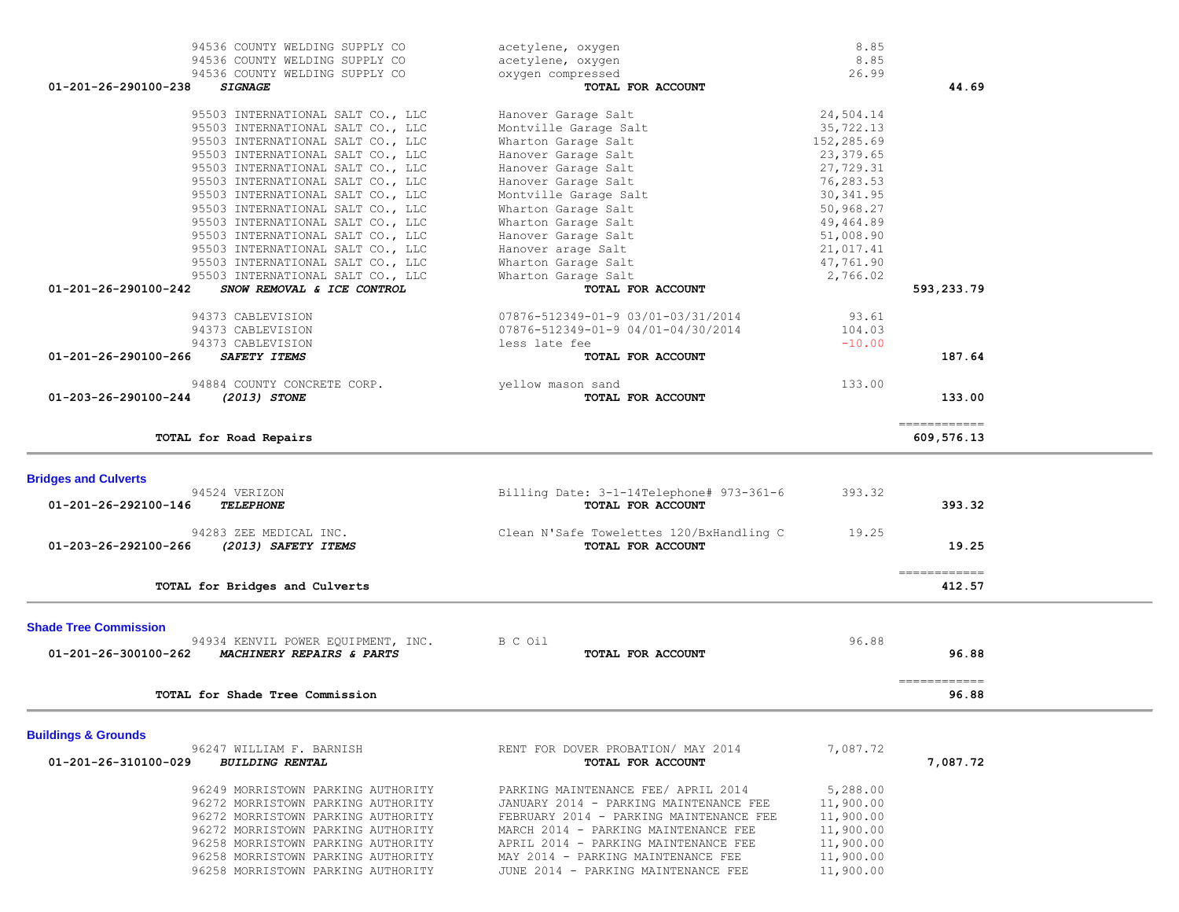| 95503 INTERNATIONAL SALT CO., LLC                                        | Hanover Garage Salt                                                       | 24,504.14              |               |  |
|--------------------------------------------------------------------------|---------------------------------------------------------------------------|------------------------|---------------|--|
|                                                                          | Montville Garage Salt                                                     | 35,722.13              |               |  |
| 95503 INTERNATIONAL SALT CO., LLC                                        | Wharton Garage Salt                                                       | 152,285.69             |               |  |
| 95503 INTERNATIONAL SALT CO., LLC                                        | Hanover Garage Salt                                                       | 23, 379.65             |               |  |
| 95503 INTERNATIONAL SALT CO., LLC                                        | Hanover Garage Salt                                                       | 27,729.31              |               |  |
| 95503 INTERNATIONAL SALT CO., LLC                                        | Hanover Garage Salt                                                       | 76,283.53              |               |  |
| 95503 INTERNATIONAL SALT CO., LLC                                        | Montville Garage Salt                                                     | 30, 341.95             |               |  |
| 95503 INTERNATIONAL SALT CO., LLC                                        | Wharton Garage Salt                                                       | 50,968.27              |               |  |
| 95503 INTERNATIONAL SALT CO., LLC                                        | Wharton Garage Salt                                                       | 49,464.89              |               |  |
| 95503 INTERNATIONAL SALT CO., LLC                                        | Hanover Garage Salt                                                       | 51,008.90              |               |  |
|                                                                          |                                                                           | 21,017.41              |               |  |
| 95503 INTERNATIONAL SALT CO., LLC                                        | Hanover arage Salt                                                        |                        |               |  |
| 95503 INTERNATIONAL SALT CO., LLC                                        | Wharton Garage Salt                                                       | 47,761.90              |               |  |
| 95503 INTERNATIONAL SALT CO., LLC                                        | Wharton Garage Salt                                                       | 2,766.02               |               |  |
| 01-201-26-290100-242<br>SNOW REMOVAL & ICE CONTROL                       | TOTAL FOR ACCOUNT                                                         |                        | 593,233.79    |  |
| 94373 CABLEVISION                                                        | 07876-512349-01-9 03/01-03/31/2014                                        | 93.61                  |               |  |
| 94373 CABLEVISION                                                        | 07876-512349-01-9 04/01-04/30/2014                                        | 104.03                 |               |  |
| 94373 CABLEVISION                                                        | less late fee                                                             | $-10.00$               |               |  |
| 01-201-26-290100-266<br>SAFETY ITEMS                                     | TOTAL FOR ACCOUNT                                                         |                        | 187.64        |  |
|                                                                          |                                                                           |                        |               |  |
| 94884 COUNTY CONCRETE CORP.                                              | yellow mason sand                                                         | 133.00                 |               |  |
| 01-203-26-290100-244<br>(2013) STONE                                     | TOTAL FOR ACCOUNT                                                         |                        | 133.00        |  |
|                                                                          |                                                                           |                        |               |  |
|                                                                          |                                                                           |                        | ------------- |  |
| TOTAL for Road Repairs                                                   |                                                                           |                        | 609,576.13    |  |
|                                                                          |                                                                           |                        |               |  |
| <b>Bridges and Culverts</b>                                              |                                                                           |                        |               |  |
| 94524 VERIZON                                                            | Billing Date: 3-1-14Telephone# 973-361-6                                  | 393.32                 |               |  |
| 01-201-26-292100-146<br><b>TELEPHONE</b>                                 | TOTAL FOR ACCOUNT                                                         |                        | 393.32        |  |
| 94283 ZEE MEDICAL INC.                                                   | Clean N'Safe Towelettes 120/BxHandling C                                  | 19.25                  |               |  |
| 01-203-26-292100-266<br>(2013) SAFETY ITEMS                              | TOTAL FOR ACCOUNT                                                         |                        | 19.25         |  |
|                                                                          |                                                                           |                        |               |  |
|                                                                          |                                                                           |                        | ------------- |  |
|                                                                          |                                                                           |                        |               |  |
| TOTAL for Bridges and Culverts                                           |                                                                           |                        | 412.57        |  |
|                                                                          |                                                                           |                        |               |  |
| <b>Shade Tree Commission</b>                                             |                                                                           |                        |               |  |
| 94934 KENVIL POWER EQUIPMENT, INC.                                       | B C Oil                                                                   | 96.88                  |               |  |
| MACHINERY REPAIRS & PARTS<br>01-201-26-300100-262                        | TOTAL FOR ACCOUNT                                                         |                        | 96.88         |  |
|                                                                          |                                                                           |                        | ============  |  |
| TOTAL for Shade Tree Commission                                          |                                                                           |                        | 96.88         |  |
|                                                                          |                                                                           |                        |               |  |
| <b>Buildings &amp; Grounds</b>                                           |                                                                           |                        |               |  |
| 96247 WILLIAM F. BARNISH                                                 | RENT FOR DOVER PROBATION/ MAY 2014                                        | 7,087.72               |               |  |
| 01-201-26-310100-029<br><b>BUILDING RENTAL</b>                           | TOTAL FOR ACCOUNT                                                         |                        | 7,087.72      |  |
|                                                                          |                                                                           |                        |               |  |
| 96249 MORRISTOWN PARKING AUTHORITY                                       | PARKING MAINTENANCE FEE/ APRIL 2014                                       | 5,288.00               |               |  |
| 96272 MORRISTOWN PARKING AUTHORITY                                       | JANUARY 2014 - PARKING MAINTENANCE FEE                                    | 11,900.00              |               |  |
| 96272 MORRISTOWN PARKING AUTHORITY                                       | FEBRUARY 2014 - PARKING MAINTENANCE FEE                                   | 11,900.00              |               |  |
| 96272 MORRISTOWN PARKING AUTHORITY                                       | MARCH 2014 - PARKING MAINTENANCE FEE                                      | 11,900.00              |               |  |
| 96258 MORRISTOWN PARKING AUTHORITY                                       | APRIL 2014 - PARKING MAINTENANCE FEE                                      | 11,900.00              |               |  |
| 96258 MORRISTOWN PARKING AUTHORITY<br>96258 MORRISTOWN PARKING AUTHORITY | MAY 2014 - PARKING MAINTENANCE FEE<br>JUNE 2014 - PARKING MAINTENANCE FEE | 11,900.00<br>11,900.00 |               |  |

94536 COUNTY WELDING SUPPLY CO acetylene, oxygen 8.85 94536 COUNTY WELDING SUPPLY CO acetylene, oxygen 8.85 94536 COUNTY WELDING SUPPLY CO oxygen compressed 26.99

 **01-201-26-290100-238** *SIGNAGE* **TOTAL FOR ACCOUNT 44.69**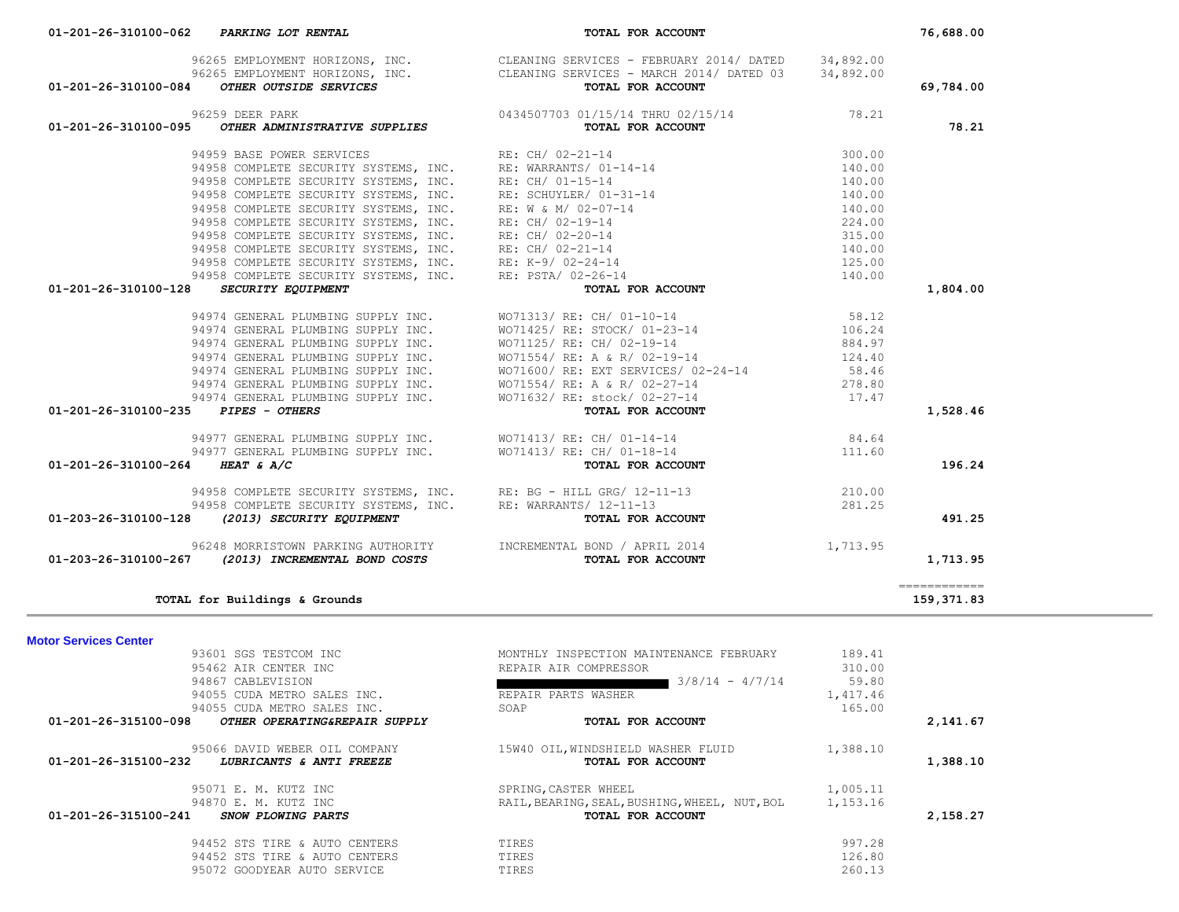|                                     | 94958 COMPLETE SECURITY SYSTEMS, INC.                                                                                                        | RE: K-9/ 02-24-14                                                                                            | 125.00   |                             |  |
|-------------------------------------|----------------------------------------------------------------------------------------------------------------------------------------------|--------------------------------------------------------------------------------------------------------------|----------|-----------------------------|--|
|                                     | 94958 COMPLETE SECURITY SYSTEMS, INC.                                                                                                        | RE: PSTA/ 02-26-14                                                                                           | 140.00   |                             |  |
| 01-201-26-310100-128                | SECURITY EQUIPMENT                                                                                                                           | TOTAL FOR ACCOUNT                                                                                            |          | 1,804.00                    |  |
|                                     |                                                                                                                                              | 94974 GENERAL PLUMBING SUPPLY INC. WO71313/RE: CH/01-10-14                                                   | 58.12    |                             |  |
|                                     | 94974 GENERAL PLUMBING SUPPLY INC.                                                                                                           | WO71425/ RE: STOCK/ 01-23-14                                                                                 | 106.24   |                             |  |
|                                     | 94974 GENERAL PLUMBING SUPPLY INC.                                                                                                           | WO71125/ RE: CH/ 02-19-14                                                                                    | 884.97   |                             |  |
|                                     |                                                                                                                                              |                                                                                                              | 124.40   |                             |  |
|                                     |                                                                                                                                              | 94974 GENERAL PLUMBING SUPPLY INC.<br>94974 GENERAL PLUMBING SUPPLY INC. WO71600/ RE: EXT SERVICES/ 02-24-14 | 58.46    |                             |  |
|                                     |                                                                                                                                              |                                                                                                              | 278.80   |                             |  |
|                                     | 94974 GENERAL PLUMBING SUPPLY INC.<br>94974 GENERAL PLUMBING SUPPLY INC.<br>94974 GENERAL PLUMBING SUPPLY INC.<br>9671632/RE: stock/02-27-14 |                                                                                                              | 17.47    |                             |  |
| 01-201-26-310100-235 PIPES - OTHERS |                                                                                                                                              | TOTAL FOR ACCOUNT                                                                                            |          | 1,528.46                    |  |
|                                     | 94977 GENERAL PLUMBING SUPPLY INC. WO71413/RE: CH/ 01-14-14                                                                                  |                                                                                                              | 84.64    |                             |  |
|                                     | 94977 GENERAL PLUMBING SUPPLY INC. WO71413/RE: CH/ 01-18-14                                                                                  |                                                                                                              | 111.60   |                             |  |
| 01-201-26-310100-264 HEAT & A/C     |                                                                                                                                              | TOTAL FOR ACCOUNT                                                                                            |          | 196.24                      |  |
|                                     | 94958 COMPLETE SECURITY SYSTEMS, INC. RE: BG - HILL GRG/ 12-11-13                                                                            |                                                                                                              | 210.00   |                             |  |
|                                     | 94958 COMPLETE SECURITY SYSTEMS, INC. RE: WARRANTS/ 12-11-13                                                                                 |                                                                                                              | 281.25   |                             |  |
| 01-203-26-310100-128                | (2013) SECURITY EQUIPMENT                                                                                                                    | TOTAL FOR ACCOUNT                                                                                            |          | 491.25                      |  |
|                                     | 96248 MORRISTOWN PARKING AUTHORITY TINCREMENTAL BOND / APRIL 2014                                                                            |                                                                                                              | 1,713.95 |                             |  |
| 01-203-26-310100-267                | (2013) INCREMENTAL BOND COSTS                                                                                                                | TOTAL FOR ACCOUNT                                                                                            |          | 1,713.95                    |  |
|                                     |                                                                                                                                              |                                                                                                              |          | $=$ = = = = = = = = = = = = |  |
|                                     | TOTAL for Buildings & Grounds                                                                                                                |                                                                                                              |          | 159,371.83                  |  |
|                                     |                                                                                                                                              |                                                                                                              |          |                             |  |
| <b>Motor Services Center</b>        | 93601 SGS TESTCOM INC                                                                                                                        | MONTHLY INSPECTION MAINTENANCE FEBRUARY                                                                      | 189.41   |                             |  |
|                                     | 95462 AIR CENTER INC                                                                                                                         | REPAIR AIR COMPRESSOR                                                                                        | 310.00   |                             |  |
|                                     | 94867 CABLEVISION                                                                                                                            | $3/8/14 - 4/7/14$<br><u> Anglický architekt</u>                                                              | 59.80    |                             |  |
|                                     | 94055 CUDA METRO SALES INC.                                                                                                                  | REPAIR PARTS WASHER                                                                                          | 1,417.46 |                             |  |
|                                     | 94055 CUDA METRO SALES INC.                                                                                                                  | SOAP                                                                                                         | 165.00   |                             |  |
|                                     | 01-201-26-315100-098 OTHER OPERATING&REPAIR SUPPLY                                                                                           | TOTAL FOR ACCOUNT                                                                                            |          | 2,141.67                    |  |
|                                     | 95066 DAVID WEBER OIL COMPANY                                                                                                                | 15W40 OIL, WINDSHIELD WASHER FLUID                                                                           | 1,388.10 |                             |  |
|                                     | 01-201-26-315100-232 LUBRICANTS & ANTI FREEZE                                                                                                | TOTAL FOR ACCOUNT                                                                                            |          | 1,388.10                    |  |
|                                     | 95071 E. M. KUTZ INC                                                                                                                         | SPRING, CASTER WHEEL                                                                                         | 1,005.11 |                             |  |
|                                     | 94870 E. M. KUTZ INC                                                                                                                         | RAIL, BEARING, SEAL, BUSHING, WHEEL, NUT, BOL                                                                | 1,153.16 |                             |  |
|                                     | 01-201-26-315100-241 SNOW PLOWING PARTS                                                                                                      | TOTAL FOR ACCOUNT                                                                                            |          | 2,158.27                    |  |
|                                     |                                                                                                                                              |                                                                                                              |          |                             |  |
|                                     | 94452 STS TIRE & AUTO CENTERS                                                                                                                | TIRES                                                                                                        | 997.28   |                             |  |
|                                     | 94452 STS TIRE & AUTO CENTERS                                                                                                                | TIRES                                                                                                        | 126.80   |                             |  |
|                                     | 95072 GOODYEAR AUTO SERVICE                                                                                                                  | TIRES                                                                                                        | 260.13   |                             |  |
|                                     |                                                                                                                                              |                                                                                                              |          |                             |  |
|                                     |                                                                                                                                              |                                                                                                              |          |                             |  |

| 01-201-26-310100-062 | PARKING LOT RENTAL | FOR ACCOUNT<br>TOTAL | 76,688.00 |
|----------------------|--------------------|----------------------|-----------|

 96265 EMPLOYMENT HORIZONS, INC. CLEANING SERVICES - FEBRUARY 2014/ DATED 34,892.00 96265 EMPLOYMENT HORIZONS, INC. CLEANING SERVICES - MARCH 2014/ DATED 03 34,892.00

94958 COMPLETE SECURITY SYSTEMS, INC. RE: WARRANTS/ 01-14-14 140.00 94958 COMPLETE SECURITY SYSTEMS, INC. RE: CH/ 01-15-14 140.00 94958 COMPLETE SECURITY SYSTEMS, INC. RE: SCHUYLER/ 01-31-14 140.00

 94958 COMPLETE SECURITY SYSTEMS, INC. RE: CH/ 02-19-14 224.00 94958 COMPLETE SECURITY SYSTEMS, INC. RE: CH/ 02-20-14 315.00 94958 COMPLETE SECURITY SYSTEMS, INC. RE: CH/ 02-21-14 140.00

 **01-201-26-310100-084** *OTHER OUTSIDE SERVICES* **TOTAL FOR ACCOUNT 69,784.00**

 96259 DEER PARK 0434507703 01/15/14 THRU 02/15/14 78.21  **01-201-26-310100-095** *OTHER ADMINISTRATIVE SUPPLIES* **TOTAL FOR ACCOUNT 78.21**

94959 BASE POWER SERVICES RE: CH/ 02-21-14 300.00

94958 COMPLETE SECURITY SYSTEMS, INC. RE: W & M/ 02-07-14 140.00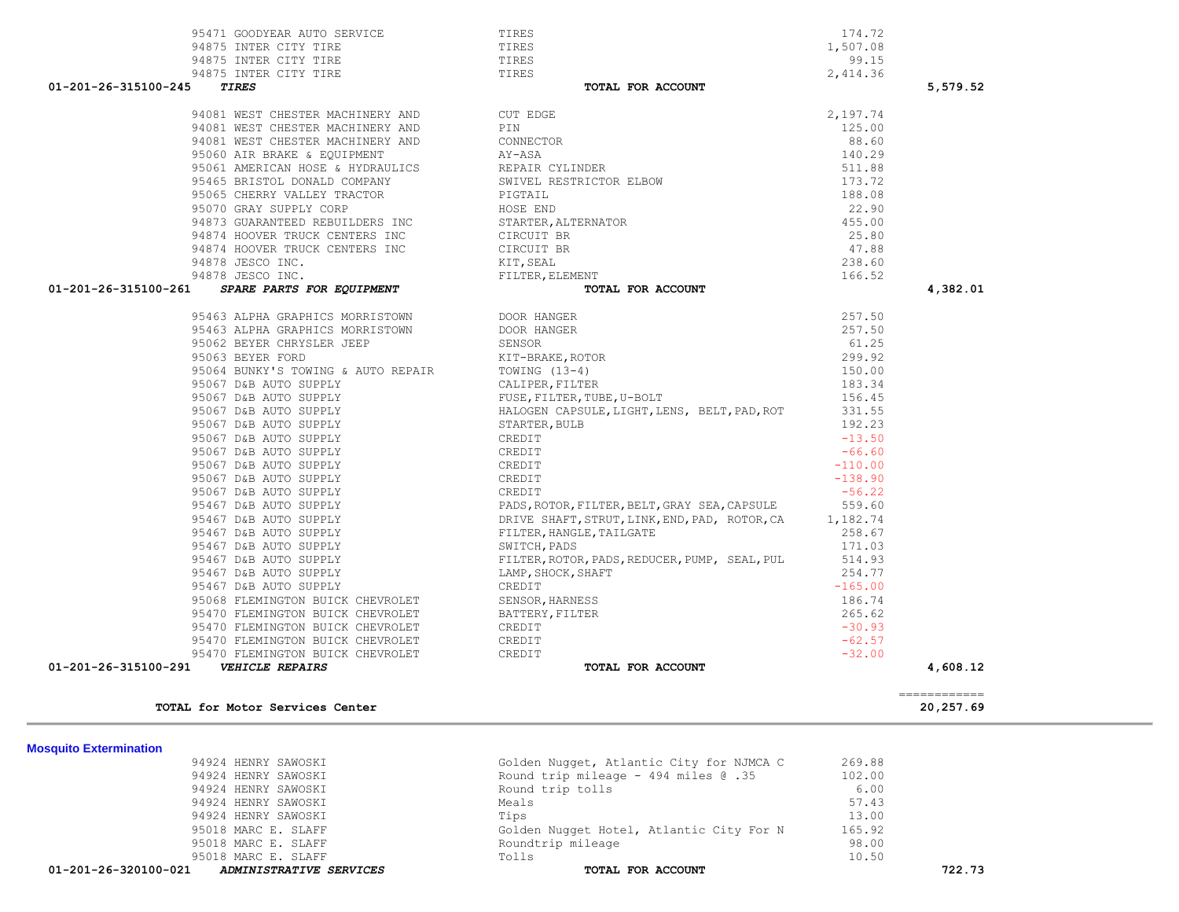| TOTAL for Motor Services Center                                                                |                                                                                                                                   |                   |                           |
|------------------------------------------------------------------------------------------------|-----------------------------------------------------------------------------------------------------------------------------------|-------------------|---------------------------|
|                                                                                                |                                                                                                                                   |                   | ============<br>20,257.69 |
| 01-201-26-315100-291    VEHICLE REPAIRS                                                        | TOTAL FOR ACCOUNT                                                                                                                 |                   | 4,608.12                  |
| 95470 FLEMINGTON BUICK CHEVROLET                                                               | CREDIT                                                                                                                            | $-32.00$          |                           |
| 95470 FLEMINGTON BUICK CHEVROLET                                                               | CREDIT                                                                                                                            | $-62.57$          |                           |
| 95470 FLEMINGTON BUICK CHEVROLET                                                               | CREDIT                                                                                                                            | $-30.93$          |                           |
| 95470 FLEMINGTON BUICK CHEVROLET                                                               | BATTERY, FILTER                                                                                                                   | 265.62            |                           |
| 95068 FLEMINGTON BUICK CHEVROLET                                                               | SENSOR, HARNESS                                                                                                                   | 186.74            |                           |
| 95467 D&B AUTO SUPPLY                                                                          | CREDIT                                                                                                                            | $-165.00$         |                           |
| 95467 D&B AUTO SUPPLY                                                                          | LAMP, SHOCK, SHAFT                                                                                                                | 254.77            |                           |
| 95467 D&B AUTO SUPPLY                                                                          | FILTER, ROTOR, PADS, REDUCER, PUMP, SEAL, PUL                                                                                     | 514.93            |                           |
| 95467 D&B AUTO SUPPLY                                                                          | SWITCH, PADS                                                                                                                      | 171.03            |                           |
| 95467 D&B AUTO SUPPLY                                                                          | FILTER, HANGLE, TAILGATE                                                                                                          | 258.67            |                           |
| 95467 D&B AUTO SUPPLY                                                                          | DRIVE SHAFT, STRUT, LINK, END, PAD, ROTOR, CA                                                                                     | 1,182.74          |                           |
| 95467 D&B AUTO SUPPLY                                                                          | PADS, ROTOR, FILTER, BELT, GRAY SEA, CAPSULE                                                                                      | 559.60            |                           |
| 95067 D&B AUTO SUPPLY                                                                          | CREDIT                                                                                                                            | $-56.22$          |                           |
| 95067 D&B AUTO SUPPLY                                                                          | CREDIT                                                                                                                            | $-138.90$         |                           |
| 95067 D&B AUTO SUPPLY                                                                          | CREDIT                                                                                                                            | $-110.00$         |                           |
| 95067 D&B AUTO SUPPLY                                                                          | CREDIT                                                                                                                            | $-66.60$          |                           |
| 95067 D&B AUTO SUPPLY                                                                          | CREDIT                                                                                                                            | $-13.50$          |                           |
| 95067 D&B AUTO SUPPLY                                                                          | STARTER, BULB                                                                                                                     | 192.23            |                           |
| 95067 D&B AUTO SUPPLY<br>95067 D&B AUTO SUPPLY                                                 | HALOGEN CAPSULE, LIGHT, LENS, BELT, PAD, ROT                                                                                      | 331.55            |                           |
|                                                                                                | FUSE, FILTER, TUBE, U-BOLT                                                                                                        | 156.45            |                           |
| 95067 D&B AUTO SUPPLY                                                                          | CALIPER, FILTER                                                                                                                   | 183.34            |                           |
| 95064 BUNKY'S TOWING & AUTO REPAIR                                                             | KIT-BRAKE, ROTOR<br>TOWING (13-4)<br>CALIPER, FILTER                                                                              | 150.00            |                           |
| 95063 BEYER FORD                                                                               |                                                                                                                                   | 299.92            |                           |
| 95062 BEYER CHRYSLER JEEP                                                                      | SENSOR                                                                                                                            | 61.25             |                           |
| 95463 ALPHA GRAPHICS MORRISTOWN                                                                | DOOR HANGER                                                                                                                       | 257.50            |                           |
| 95463 ALPHA GRAPHICS MORRISTOWN                                                                | DOOR HANGER                                                                                                                       | 257.50            |                           |
|                                                                                                | TOTAL FOR ACCOUNT                                                                                                                 |                   |                           |
| 94878 JESCO INC.<br>01-201-26-315100-261 SPARE PARTS FOR EQUIPMENT                             | SWIVEL RESTRICTOR ELBOW<br>PIGTAIL<br>HOSE END<br>STARTER, ALTERNATOR<br>CIRCUIT BR<br>CIRCUIT BR<br>KIT, SEAL<br>FILTER, ELEMENT | 166.52            | 4,382.01                  |
| 94878 JESCO INC.                                                                               | KIT, SEAL                                                                                                                         | 238.60            |                           |
| 94874 HOOVER TRUCK CENTERS INC                                                                 |                                                                                                                                   | 47.88             |                           |
|                                                                                                |                                                                                                                                   | 25.80             |                           |
| 94873 GUARANTEED REBUILDERS INC<br>94874 HOOVER TRUCK CENTERS INC                              |                                                                                                                                   | 455.00            |                           |
| 95070 GRAY SUPPLY CORP                                                                         | HOSE END                                                                                                                          | 22.90             |                           |
| 95065 CHERRY VALLEY TRACTOR                                                                    | CONNECTOR<br>AY-ASA<br>REPAIR CYLINDER<br>SWIVEL RESTRICTOR ELBOW<br>PIGTAIL<br>HOSE END<br>PIGTAIL                               | 188.08            |                           |
| 95465 BRISTOL DONALD COMPANY                                                                   |                                                                                                                                   | 173.72            |                           |
|                                                                                                |                                                                                                                                   | 511.88            |                           |
| 95060 AIR BRAKE & EOUIPMENT<br>95060 AIR BRAKE & EQUIPMENT<br>95061 AMERICAN HOSE & HYDRAULICS |                                                                                                                                   | 140.29            |                           |
| 94081 WEST CHESTER MACHINERY AND                                                               |                                                                                                                                   | 88.60             |                           |
| 94081 WEST CHESTER MACHINERY AND                                                               |                                                                                                                                   | 125.00            |                           |
| 94081 WEST CHESTER MACHINERY AND                                                               | CUT EDGE                                                                                                                          | 2,197.74          |                           |
|                                                                                                |                                                                                                                                   |                   |                           |
| 01-201-26-315100-245<br><b><i>TIRES</i></b>                                                    | TOTAL FOR ACCOUNT                                                                                                                 |                   | 5,579.52                  |
| 94875 INTER CITY TIRE                                                                          | TIRES                                                                                                                             | 2,414.36          |                           |
| 94875 INTER CITY TIRE<br>94875 INTER CITY TIRE                                                 | TIRES<br>TIRES                                                                                                                    | 1,507.08<br>99.15 |                           |
| 95471 GOODYEAR AUTO SERVICE                                                                    | TIRES                                                                                                                             | 174.72            |                           |
|                                                                                                |                                                                                                                                   |                   |                           |

| 01-201-26-320100-021 ADMINISTRATIVE SERVICES | TOTAL FOR ACCOUNT                        |        | 722.73 |
|----------------------------------------------|------------------------------------------|--------|--------|
| 95018 MARC E. SLAFF                          | Tolls                                    | 10.50  |        |
| 95018 MARC E. SLAFF                          | Roundtrip mileage                        | 98.00  |        |
| 95018 MARC E. SLAFF                          | Golden Nugget Hotel, Atlantic City For N | 165.92 |        |
| 94924 HENRY SAWOSKI                          | Tips                                     | 13.00  |        |
| 94924 HENRY SAWOSKI                          | Meals                                    | 57.43  |        |
| 94924 HENRY SAWOSKI                          | Round trip tolls                         | 6.00   |        |
| 94924 HENRY SAWOSKI                          | Round trip mileage - 494 miles @ .35     | 102.00 |        |
| 94924 HENRY SAWOSKI                          | Golden Nugget, Atlantic City for NJMCA C | 269.88 |        |
|                                              |                                          |        |        |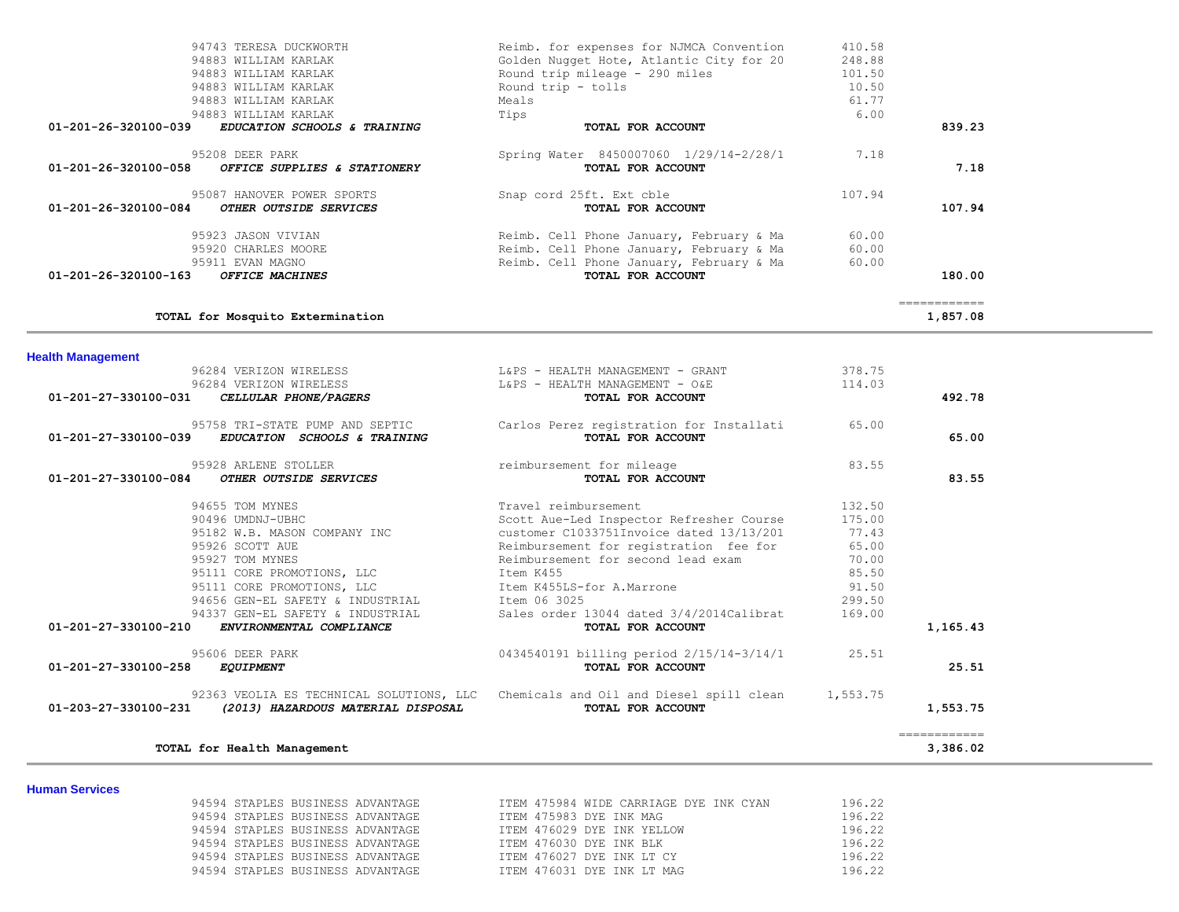|                          | 94883 WILLIAM KARLAK                     | Tips                                     | 6.00     |              |  |
|--------------------------|------------------------------------------|------------------------------------------|----------|--------------|--|
| 01-201-26-320100-039     | EDUCATION SCHOOLS & TRAINING             | TOTAL FOR ACCOUNT                        |          | 839.23       |  |
|                          | 95208 DEER PARK                          | Spring Water 8450007060 1/29/14-2/28/1   | 7.18     |              |  |
| 01-201-26-320100-058     | OFFICE SUPPLIES & STATIONERY             | TOTAL FOR ACCOUNT                        |          | 7.18         |  |
|                          | 95087 HANOVER POWER SPORTS               | Snap cord 25ft. Ext cble                 | 107.94   |              |  |
| 01-201-26-320100-084     | OTHER OUTSIDE SERVICES                   | TOTAL FOR ACCOUNT                        |          | 107.94       |  |
|                          | 95923 JASON VIVIAN                       | Reimb. Cell Phone January, February & Ma | 60.00    |              |  |
|                          | 95920 CHARLES MOORE                      | Reimb. Cell Phone January, February & Ma | 60.00    |              |  |
|                          | 95911 EVAN MAGNO                         | Reimb. Cell Phone January, February & Ma | 60.00    |              |  |
| 01-201-26-320100-163     | OFFICE MACHINES                          | TOTAL FOR ACCOUNT                        |          | 180.00       |  |
|                          |                                          |                                          |          | ============ |  |
|                          | TOTAL for Mosquito Extermination         |                                          |          | 1,857.08     |  |
| <b>Health Management</b> |                                          |                                          |          |              |  |
|                          | 96284 VERIZON WIRELESS                   | L&PS - HEALTH MANAGEMENT - GRANT         | 378.75   |              |  |
|                          | 96284 VERIZON WIRELESS                   | L&PS - HEALTH MANAGEMENT - O&E           | 114.03   |              |  |
| 01-201-27-330100-031     | CELLULAR PHONE/PAGERS                    | TOTAL FOR ACCOUNT                        |          | 492.78       |  |
|                          | 95758 TRI-STATE PUMP AND SEPTIC          | Carlos Perez registration for Installati | 65.00    |              |  |
| 01-201-27-330100-039     | EDUCATION SCHOOLS & TRAINING             | TOTAL FOR ACCOUNT                        |          | 65.00        |  |
|                          | 95928 ARLENE STOLLER                     | reimbursement for mileage                | 83.55    |              |  |
| 01-201-27-330100-084     | OTHER OUTSIDE SERVICES                   | TOTAL FOR ACCOUNT                        |          | 83.55        |  |
|                          | 94655 TOM MYNES                          | Travel reimbursement                     | 132.50   |              |  |
|                          | 90496 UMDNJ-UBHC                         | Scott Aue-Led Inspector Refresher Course | 175.00   |              |  |
|                          | 95182 W.B. MASON COMPANY INC             | customer C1033751Invoice dated 13/13/201 | 77.43    |              |  |
|                          | 95926 SCOTT AUE                          | Reimbursement for registration fee for   | 65.00    |              |  |
|                          | 95927 TOM MYNES                          | Reimbursement for second lead exam       | 70.00    |              |  |
|                          | 95111 CORE PROMOTIONS, LLC               | Item K455                                | 85.50    |              |  |
|                          | 95111 CORE PROMOTIONS, LLC               | Item K455LS-for A.Marrone                | 91.50    |              |  |
|                          | 94656 GEN-EL SAFETY & INDUSTRIAL         | Ttem 06 3025                             | 299.50   |              |  |
|                          | 94337 GEN-EL SAFETY & INDUSTRIAL         | Sales order 13044 dated 3/4/2014Calibrat | 169.00   |              |  |
| 01-201-27-330100-210     | ENVIRONMENTAL COMPLIANCE                 | TOTAL FOR ACCOUNT                        |          | 1,165.43     |  |
|                          | 95606 DEER PARK                          | 0434540191 billing period 2/15/14-3/14/1 | 25.51    |              |  |
| 01-201-27-330100-258     | <b>EQUIPMENT</b>                         | TOTAL FOR ACCOUNT                        |          | 25.51        |  |
|                          | 92363 VEOLIA ES TECHNICAL SOLUTIONS, LLC | Chemicals and Oil and Diesel spill clean | 1,553.75 |              |  |
| 01-203-27-330100-231     | (2013) HAZARDOUS MATERIAL DISPOSAL       | TOTAL FOR ACCOUNT                        |          | 1,553.75     |  |
|                          |                                          |                                          |          | ============ |  |
|                          |                                          |                                          |          |              |  |
|                          | TOTAL for Health Management              |                                          |          | 3,386.02     |  |

94743 TERESA DUCKWORTH THE Reimb. for expenses for NJMCA Convention and the 410.58<br>94883 WILLIAM KARLAK THE Golden Nugget Hote, Atlantic City for 20 248.88 94883 WILLIAM KARLAK Golden Nugget Hote, Atlantic City for 20 248.88

 94883 WILLIAM KARLAK Round trip - tolls 10.50 94883 WILLIAM KARLAK Meals 61.77

Provid trip mileage - 290 miles 101.50<br>
Round trip - tolls 10.50

#### **Human Services**

| 94594 STAPLES BUSINESS ADVANTAGE |  | ITEM 475984 WIDE CARRIAGE DYE INK CYAN | 196.22 |
|----------------------------------|--|----------------------------------------|--------|
| 94594 STAPLES BUSINESS ADVANTAGE |  | ITEM 475983 DYE INK MAG                | 196.22 |
| 94594 STAPLES BUSINESS ADVANTAGE |  | TTEM 476029 DYE INK YELLOW             | 196.22 |
| 94594 STAPLES BUSINESS ADVANTAGE |  | ITEM 476030 DYE INK BLK                | 196.22 |
| 94594 STAPLES BUSINESS ADVANTAGE |  | ITEM 476027 DYE INK LT CY              | 196.22 |
| 94594 STAPLES BUSINESS ADVANTAGE |  | ITEM 476031 DYE INK LT MAG             | 196.22 |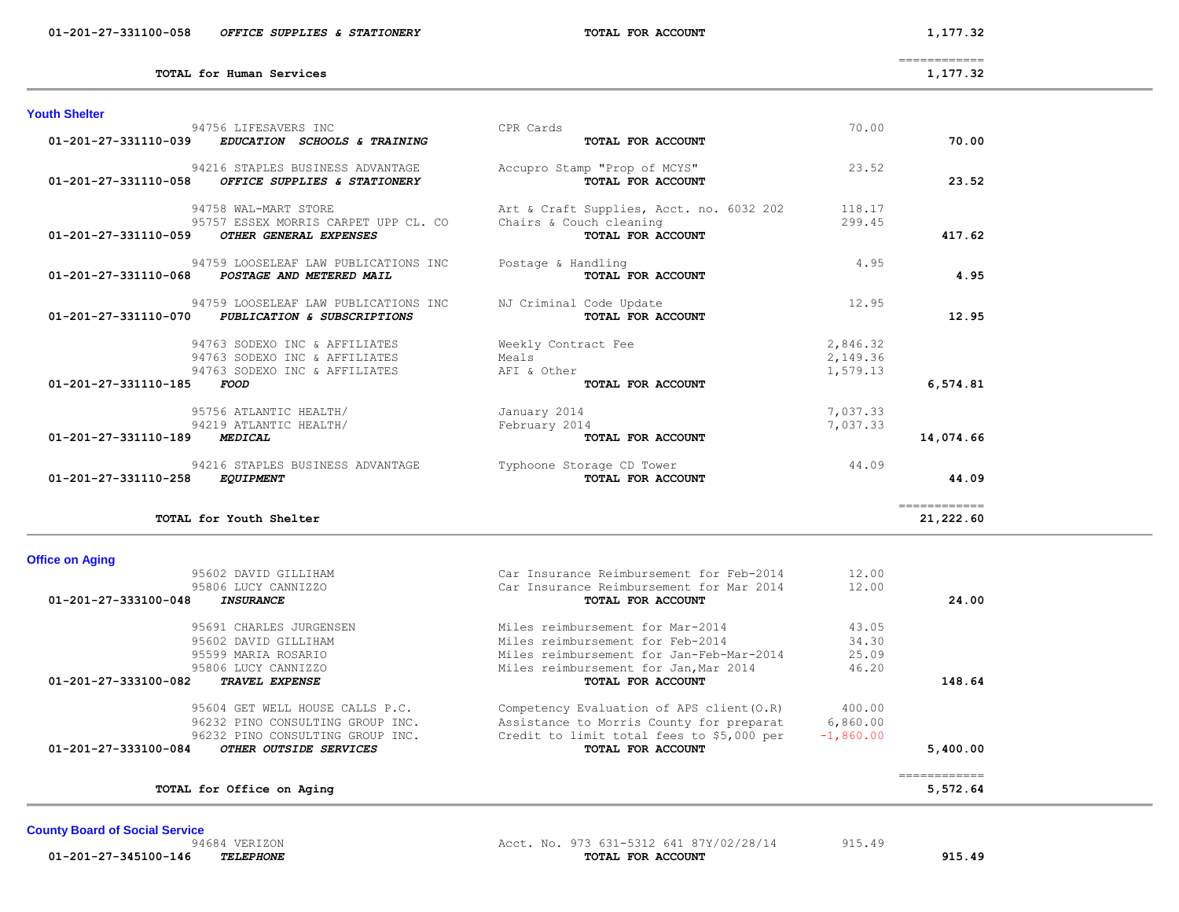| <b>Office on Aging</b>                         |                                           |             |          |
|------------------------------------------------|-------------------------------------------|-------------|----------|
| 95602 DAVID GILLIHAM                           | Car Insurance Reimbursement for Feb-2014  | 12.00       |          |
| 95806 LUCY CANNIZZO                            | Car Insurance Reimbursement for Mar 2014  | 12.00       |          |
| 01-201-27-333100-048<br><b>INSURANCE</b>       | TOTAL FOR ACCOUNT                         |             | 24.00    |
| 95691 CHARLES JURGENSEN                        | Miles reimbursement for Mar-2014          | 43.05       |          |
| 95602 DAVID GILLIHAM                           | Miles reimbursement for Feb-2014          | 34.30       |          |
| 95599 MARTA ROSARTO                            | Miles reimbursement for Jan-Feb-Mar-2014  | 25.09       |          |
| 95806 LUCY CANNIZZO                            | Miles reimbursement for Jan, Mar 2014     | 46.20       |          |
| 01-201-27-333100-082<br><b>TRAVEL EXPENSE</b>  | TOTAL FOR ACCOUNT                         |             | 148.64   |
| 95604 GET WELL HOUSE CALLS P.C.                | Competency Evaluation of APS client (O.R) | 400.00      |          |
| 96232 PINO CONSULTING GROUP INC.               | Assistance to Morris County for preparat  | 6,860.00    |          |
| 96232 PINO CONSULTING GROUP INC.               | Credit to limit total fees to \$5,000 per | $-1,860.00$ |          |
| 01-201-27-333100-084<br>OTHER OUTSIDE SERVICES | TOTAL FOR ACCOUNT                         |             | 5,400.00 |

**TOTAL for Youth Shelter 21,222.60**

#### **Of**

|                      | TOTAL for Human Services             |                                          |          | 1,177.32  |
|----------------------|--------------------------------------|------------------------------------------|----------|-----------|
| <b>Youth Shelter</b> |                                      |                                          |          |           |
|                      | 94756 LIFESAVERS INC                 | CPR Cards                                | 70.00    |           |
| 01-201-27-331110-039 | EDUCATION SCHOOLS & TRAINING         | TOTAL FOR ACCOUNT                        |          | 70.00     |
|                      | 94216 STAPLES BUSINESS ADVANTAGE     | Accupro Stamp "Prop of MCYS"             | 23.52    |           |
| 01-201-27-331110-058 | OFFICE SUPPLIES & STATIONERY         | TOTAL FOR ACCOUNT                        |          | 23.52     |
|                      | 94758 WAL-MART STORE                 | Art & Craft Supplies, Acct. no. 6032 202 | 118.17   |           |
|                      | 95757 ESSEX MORRIS CARPET UPP CL. CO | Chairs & Couch cleaning                  | 299.45   |           |
| 01-201-27-331110-059 | OTHER GENERAL EXPENSES               | TOTAL FOR ACCOUNT                        |          | 417.62    |
|                      | 94759 LOOSELEAF LAW PUBLICATIONS INC | Postage & Handling                       | 4.95     |           |
| 01-201-27-331110-068 | POSTAGE AND METERED MAIL             | TOTAL FOR ACCOUNT                        |          | 4.95      |
|                      | 94759 LOOSELEAF LAW PUBLICATIONS INC | NJ Criminal Code Update                  | 12.95    |           |
| 01-201-27-331110-070 | PUBLICATION & SUBSCRIPTIONS          | TOTAL FOR ACCOUNT                        |          | 12.95     |
|                      | 94763 SODEXO INC & AFFILIATES        | Weekly Contract Fee                      | 2,846.32 |           |
|                      | 94763 SODEXO INC & AFFILIATES        | Meals                                    | 2,149.36 |           |
|                      | 94763 SODEXO INC & AFFILIATES        | AFI & Other                              | 1,579.13 |           |
| 01-201-27-331110-185 | <i>FOOD</i>                          | TOTAL FOR ACCOUNT                        |          | 6,574.81  |
|                      | 95756 ATLANTIC HEALTH/               | January 2014                             | 7,037.33 |           |
|                      | 94219 ATLANTIC HEALTH/               | February 2014                            | 7,037.33 |           |
| 01-201-27-331110-189 | <b>MEDICAL</b>                       | TOTAL FOR ACCOUNT                        |          | 14,074.66 |
|                      | 94216 STAPLES BUSINESS ADVANTAGE     | Typhoone Storage CD Tower                | 44.09    |           |
| 01-201-27-331110-258 | <b>EQUIPMENT</b>                     | TOTAL FOR ACCOUNT                        |          | 44.09     |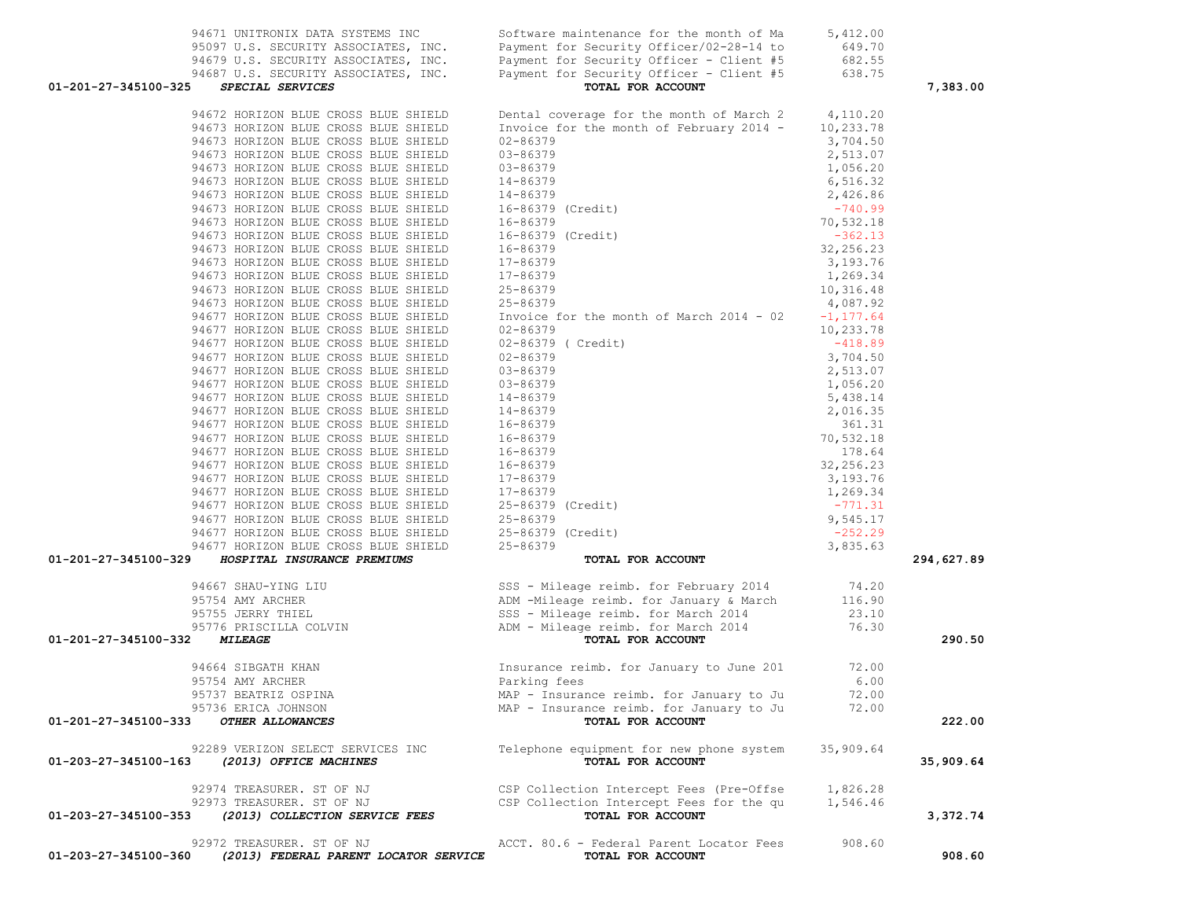| 95097 U.S. SECURITY ASSOCIATES, INC.                                                       | Payment for Security Officer/02-28-14 to                                                                                                                                                                                                                   | 649.70       |            |
|--------------------------------------------------------------------------------------------|------------------------------------------------------------------------------------------------------------------------------------------------------------------------------------------------------------------------------------------------------------|--------------|------------|
|                                                                                            | 94679 U.S. SECURITY ASSOCIATES, INC. Payment for Security Officer - Client #5<br>94687 U.S. SECURITY ASSOCIATES, INC. Payment for Security Officer - Client #5                                                                                             | 682.55       |            |
|                                                                                            |                                                                                                                                                                                                                                                            | 638.75       |            |
| 01-201-27-345100-325<br>SPECIAL SERVICES                                                   | TOTAL FOR ACCOUNT                                                                                                                                                                                                                                          |              | 7,383.00   |
| 94672 HORIZON BLUE CROSS BLUE SHIELD<br>11153 HORIZON BLUE CROSS BLUE SHIELD               | Dental coverage for the month of March 2                                                                                                                                                                                                                   | 4,110.20     |            |
| 94673 HORIZON BLUE CROSS BLUE SHIELD                                                       | Invoice for the month of February 2014 -                                                                                                                                                                                                                   | 10,233.78    |            |
| 94673 HORIZON BLUE CROSS BLUE SHIELD                                                       | 02-86379                                                                                                                                                                                                                                                   | 3,704.50     |            |
|                                                                                            |                                                                                                                                                                                                                                                            | 2,513.07     |            |
|                                                                                            |                                                                                                                                                                                                                                                            | 1,056.20     |            |
|                                                                                            | 94673 HORIZON BLUE CROSS BLUE SHIELD<br>94673 HORIZON BLUE CROSS BLUE SHIELD<br>94673 HORIZON BLUE CROSS BLUE SHIELD<br>94673 HORIZON BLUE CROSS BLUE SHIELD<br>94673 HORIZON BLUE CROSS BLUE SHIELD<br>94673 HORIZON BLUE CROSS BLUE SH                   | 6,516.32     |            |
|                                                                                            |                                                                                                                                                                                                                                                            | 2,426.86     |            |
|                                                                                            |                                                                                                                                                                                                                                                            | $-740.99$    |            |
|                                                                                            |                                                                                                                                                                                                                                                            | 70,532.18    |            |
|                                                                                            |                                                                                                                                                                                                                                                            | $-362.13$    |            |
|                                                                                            |                                                                                                                                                                                                                                                            | 32,256.23    |            |
|                                                                                            |                                                                                                                                                                                                                                                            | 3,193.76     |            |
|                                                                                            |                                                                                                                                                                                                                                                            | 1,269.34     |            |
| 94673 HORIZON BLUE CROSS BLUE SHIELD                                                       | 17-86379<br>25-86379                                                                                                                                                                                                                                       | 10,316.48    |            |
| 94673 HORIZON BLUE CROSS BLUE SHIELD                                                       |                                                                                                                                                                                                                                                            | 4,087.92     |            |
| 94677 HORIZON BLUE CROSS BLUE SHIELD                                                       | Invoice for the month of March 2014 - 02                                                                                                                                                                                                                   | $-1, 177.64$ |            |
| 94677 HORIZON BLUE CROSS BLUE SHIELD                                                       |                                                                                                                                                                                                                                                            | 10,233.78    |            |
|                                                                                            | 25-86379<br>Invoice<br>02-86379<br>02-86379                                                                                                                                                                                                                | $-418.89$    |            |
|                                                                                            |                                                                                                                                                                                                                                                            | 3,704.50     |            |
|                                                                                            |                                                                                                                                                                                                                                                            | 2,513.07     |            |
|                                                                                            |                                                                                                                                                                                                                                                            | 1,056.20     |            |
|                                                                                            |                                                                                                                                                                                                                                                            | 5,438.14     |            |
|                                                                                            |                                                                                                                                                                                                                                                            | 2,016.35     |            |
|                                                                                            |                                                                                                                                                                                                                                                            | 361.31       |            |
|                                                                                            |                                                                                                                                                                                                                                                            | 70,532.18    |            |
|                                                                                            |                                                                                                                                                                                                                                                            | 178.64       |            |
|                                                                                            |                                                                                                                                                                                                                                                            | 32, 256.23   |            |
|                                                                                            |                                                                                                                                                                                                                                                            | 3,193.76     |            |
|                                                                                            |                                                                                                                                                                                                                                                            | 1,269.34     |            |
|                                                                                            |                                                                                                                                                                                                                                                            | $-771.31$    |            |
|                                                                                            |                                                                                                                                                                                                                                                            |              |            |
|                                                                                            |                                                                                                                                                                                                                                                            | 9,545.17     |            |
|                                                                                            |                                                                                                                                                                                                                                                            | $-252.29$    |            |
| HOSPITAL INSURANCE PREMIUMS<br>01-201-27-345100-329                                        | 94677 HORIZON BLUE CROSS BLUE SHIELD 02-86379<br>94677 HORIZON BLUE CROSS BLUE SHIELD 02-86379 (Credit)<br>94677 HORIZON BLUE CROSS BLUE SHIELD 02-86379<br>94677 HORIZON BLUE CROSS BLUE SHIELD 03-86379<br>94677 HORIZON BLUE CROSS<br>TOTAL FOR ACCOUNT | 3,835.63     | 294,627.89 |
|                                                                                            |                                                                                                                                                                                                                                                            |              |            |
|                                                                                            | 94667 SHAU-YING LIU SSS - Mileage reimb. for February 2014 14.20<br>95754 AMY ARCHER ADM - Mileage reimb. for January & March 116.90<br>95755 JERRY THIEL SSS - Mileage reimb. for March 2014 23.10<br>95776 PRISCILLA COLVIN ADM -                        |              |            |
|                                                                                            |                                                                                                                                                                                                                                                            |              |            |
|                                                                                            |                                                                                                                                                                                                                                                            |              |            |
|                                                                                            |                                                                                                                                                                                                                                                            |              |            |
| 01-201-27-345100-332                                                                       |                                                                                                                                                                                                                                                            |              | 290.50     |
|                                                                                            |                                                                                                                                                                                                                                                            |              |            |
|                                                                                            |                                                                                                                                                                                                                                                            | 72.00        |            |
|                                                                                            | 94664 SIBGATH KHAN SALE SERIES INSURANCE THE SERIES OF JANUARY TO JUNE 2019<br>95754 AMY ARCHER SALE SERIES Parking fees                                                                                                                                   | 6.00         |            |
| 95737 BEATRIZ OSPINA                                                                       | MAP - Insurance reimb. for January to Ju                                                                                                                                                                                                                   | 72.00        |            |
| 95736 ERICA JOHNSON                                                                        | MAP - Insurance reimb. for January to Ju                                                                                                                                                                                                                   | 72.00        |            |
| 01-201-27-345100-333 OTHER ALLOWANCES                                                      | TOTAL FOR ACCOUNT                                                                                                                                                                                                                                          |              | 222.00     |
|                                                                                            |                                                                                                                                                                                                                                                            |              |            |
| 92289 VERIZON SELECT SERVICES INC                                                          | Telephone equipment for new phone system                                                                                                                                                                                                                   | 35,909.64    |            |
| 01-203-27-345100-163 (2013) OFFICE MACHINES                                                | TOTAL FOR ACCOUNT                                                                                                                                                                                                                                          |              | 35,909.64  |
| 92974 TREASURER. ST OF NJ                                                                  | CSP Collection Intercept Fees (Pre-Offse                                                                                                                                                                                                                   | 1,826.28     |            |
| 92973 TREASURER. ST OF NJ                                                                  | CSP Collection Intercept Fees for the qu                                                                                                                                                                                                                   | 1,546.46     |            |
| 01-203-27-345100-353<br>(2013) COLLECTION SERVICE FEES                                     | TOTAL FOR ACCOUNT                                                                                                                                                                                                                                          |              | 3,372.74   |
|                                                                                            |                                                                                                                                                                                                                                                            |              |            |
| 92972 TREASURER. ST OF NJ<br>01-203-27-345100-360<br>(2013) FEDERAL PARENT LOCATOR SERVICE | ACCT. 80.6 - Federal Parent Locator Fees<br>TOTAL FOR ACCOUNT                                                                                                                                                                                              | 908.60       | 908.60     |

94671 UNITRONIX DATA SYSTEMS INC Software maintenance for the month of Ma 5,412.00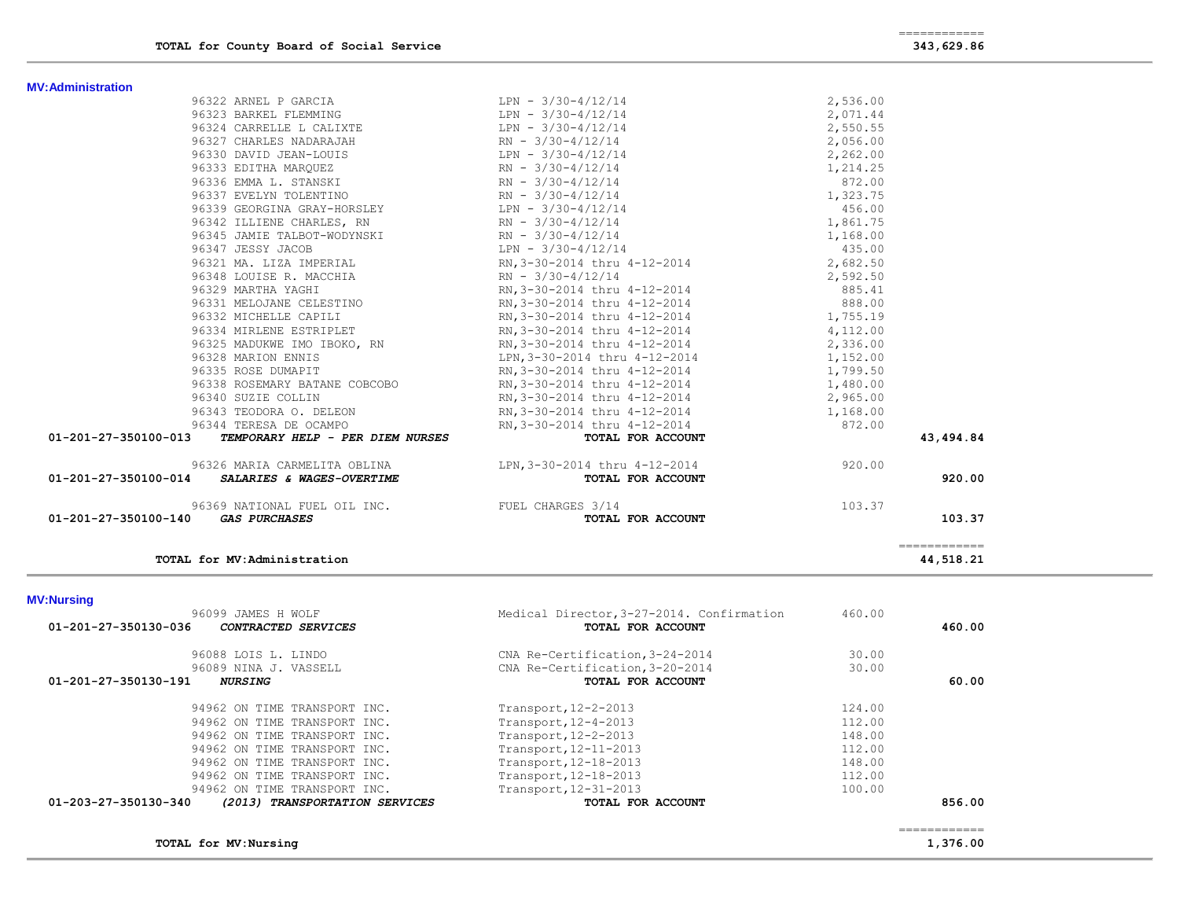| <b>MV:Administration</b> |
|--------------------------|
|--------------------------|

| MV:Administration    |                                                                                                                                                     |                                                                                                                                                                                                                                        |          |                           |
|----------------------|-----------------------------------------------------------------------------------------------------------------------------------------------------|----------------------------------------------------------------------------------------------------------------------------------------------------------------------------------------------------------------------------------------|----------|---------------------------|
|                      | 96322 ARNEL P GARCIA                                                                                                                                | LPN - 3/30-4/12/14                                                                                                                                                                                                                     | 2,536.00 |                           |
|                      | 96323 BARKEL FLEMMING                                                                                                                               | $LPN - 3/30-4/12/14$                                                                                                                                                                                                                   | 2,071.44 |                           |
|                      |                                                                                                                                                     |                                                                                                                                                                                                                                        | 2,550.55 |                           |
|                      | 96327 CHARLES NADARAJAH RN - 3/30-4/12/14                                                                                                           |                                                                                                                                                                                                                                        | 2,056.00 |                           |
|                      |                                                                                                                                                     |                                                                                                                                                                                                                                        | 2,262.00 |                           |
|                      | 96330 DAVID JEAN-LOUIS<br>96333 EDITHA MARQUEZ<br>96336 EMMA L. STANSKI<br>96336 EMMA L. STANSKI<br>96336 EMMA L. STANSKI<br>96337 EVELYM MOLENTING |                                                                                                                                                                                                                                        | 1,214.25 |                           |
|                      |                                                                                                                                                     |                                                                                                                                                                                                                                        | 872.00   |                           |
|                      | 96337 EVELYN TOLENTINO                                                                                                                              | $RN - 3/30-4/12/14$                                                                                                                                                                                                                    | 1,323.75 |                           |
|                      | 96339 GEORGINA GRAY-HORSLEY LPN - 3/30-4/12/14                                                                                                      |                                                                                                                                                                                                                                        | 456.00   |                           |
|                      | 96342 ILLIENE CHARLES, RN                                                                                                                           | $RN - 3/30-4/12/14$                                                                                                                                                                                                                    | 1,861.75 |                           |
|                      | 96345 JAMIE TALBOT-WODYNSKI RN - 3/30-4/12/14                                                                                                       |                                                                                                                                                                                                                                        | 1,168.00 |                           |
|                      | 96347 JESSY JACOB                                                                                                                                   | $LPN - 3/30-4/12/14$                                                                                                                                                                                                                   | 435.00   |                           |
|                      | 96321 MA. LIZA IMPERIAL RN, 3-30-2014 thru 4-12-2014                                                                                                |                                                                                                                                                                                                                                        | 2,682.50 |                           |
|                      |                                                                                                                                                     |                                                                                                                                                                                                                                        |          |                           |
|                      |                                                                                                                                                     | 96348 LOUISE R. MACCHIA RN - 3/30-4/12/14<br>96329 MARTHA YAGHI RN 3-30-2014 thru 4-12-2014<br>96321 MELOJANE CELESTINO RN, 3-30-2014 thru 4-12-2014<br>96332 MICHELLE CAPILI RN, 3-30-2014 thru 4-12-2014<br>96332 MICHELLE CAPILI RN |          |                           |
|                      |                                                                                                                                                     |                                                                                                                                                                                                                                        |          |                           |
|                      |                                                                                                                                                     |                                                                                                                                                                                                                                        |          |                           |
|                      | 96334 MIRLENE ESTRIPLET                                                                                                                             | RN, 3-30-2014 thru 4-12-2014 4, 112.00                                                                                                                                                                                                 |          |                           |
|                      |                                                                                                                                                     | 96325 MADUKWE IMO IBOKO, RN RN, 3-30-2014 thru 4-12-2014 2,336.00                                                                                                                                                                      |          |                           |
|                      | 96328 MARION ENNIS                                                                                                                                  | LPN, 3-30-2014 thru 4-12-2014 1, 152.00                                                                                                                                                                                                |          |                           |
|                      | 96335 ROSE DUMAPIT                                                                                                                                  | RN, 3-30-2014 thru 4-12-2014 1, 799.50                                                                                                                                                                                                 |          |                           |
|                      | 96338 ROSEMARY BATANE COBCOBO                                                                                                                       | RN, 3-30-2014 thru 4-12-2014 1, 480.00                                                                                                                                                                                                 |          |                           |
|                      | 96340 SUZIE COLLIN                                                                                                                                  | RN, 3-30-2014 thru 4-12-2014 2, 965.00                                                                                                                                                                                                 |          |                           |
|                      | 96343 TEODORA O. DELEON                                                                                                                             |                                                                                                                                                                                                                                        |          |                           |
|                      | 96344 TERESA DE OCAMPO                                                                                                                              | RN, 3-30-2014 thru 4-12-2014<br>RN, 3-30-2014 thru 4-12-2014<br><b>TOTAL FOR ACCOUNT</b> 672.00                                                                                                                                        |          |                           |
| 01-201-27-350100-013 | TEMPORARY HELP - PER DIEM NURSES                                                                                                                    |                                                                                                                                                                                                                                        |          | 43,494.84                 |
|                      |                                                                                                                                                     | 920.00 96326 MARIA CARMELITA OBLINA 620.00 LPN, 3-30-2014 thru 4-12-2014                                                                                                                                                               |          |                           |
|                      | 01-201-27-350100-014 SALARIES & WAGES-OVERTIME                                                                                                      | TOTAL FOR ACCOUNT                                                                                                                                                                                                                      |          | 920.00                    |
|                      | 96369 NATIONAL FUEL OIL INC. TUEL CHARGES 3/14                                                                                                      |                                                                                                                                                                                                                                        | 103.37   |                           |
| 01-201-27-350100-140 | <i>GAS PURCHASES</i>                                                                                                                                | TOTAL FOR ACCOUNT                                                                                                                                                                                                                      |          | 103.37                    |
|                      | TOTAL for MV:Administration                                                                                                                         |                                                                                                                                                                                                                                        |          | ============<br>44,518.21 |
|                      |                                                                                                                                                     |                                                                                                                                                                                                                                        |          |                           |

**MV:Nursing** 

| <b>MV:Nursing</b>                                      |                                           |        |        |
|--------------------------------------------------------|-------------------------------------------|--------|--------|
| 96099 JAMES H WOLF                                     | Medical Director, 3-27-2014. Confirmation | 460.00 |        |
| 01-201-27-350130-036<br>CONTRACTED SERVICES            | TOTAL FOR ACCOUNT                         |        | 460.00 |
| 96088 LOIS L. LINDO                                    | CNA Re-Certification, 3-24-2014           | 30.00  |        |
| 96089 NINA J. VASSELL                                  | CNA Re-Certification, 3-20-2014           | 30.00  |        |
| 01-201-27-350130-191<br><i><b>NURSING</b></i>          | TOTAL FOR ACCOUNT                         |        | 60.00  |
| 94962 ON TIME TRANSPORT INC.                           | Transport, 12-2-2013                      | 124.00 |        |
| 94962 ON TIME TRANSPORT INC.                           | Transport, 12-4-2013                      | 112.00 |        |
| 94962 ON TIME TRANSPORT INC.                           | Transport, 12-2-2013                      | 148.00 |        |
| 94962 ON TIME TRANSPORT INC.                           | Transport, 12-11-2013                     | 112.00 |        |
| 94962 ON TIME TRANSPORT INC.                           | Transport, 12-18-2013                     | 148.00 |        |
| 94962 ON TIME TRANSPORT INC.                           | Transport, 12-18-2013                     | 112.00 |        |
| 94962 ON TIME TRANSPORT INC.                           | Transport, 12-31-2013                     | 100.00 |        |
| 01-203-27-350130-340<br>(2013) TRANSPORTATION SERVICES | TOTAL FOR ACCOUNT                         |        | 856.00 |
|                                                        |                                           |        |        |
|                                                        |                                           |        |        |

**TOTAL for MV:Nursing 1,376.00**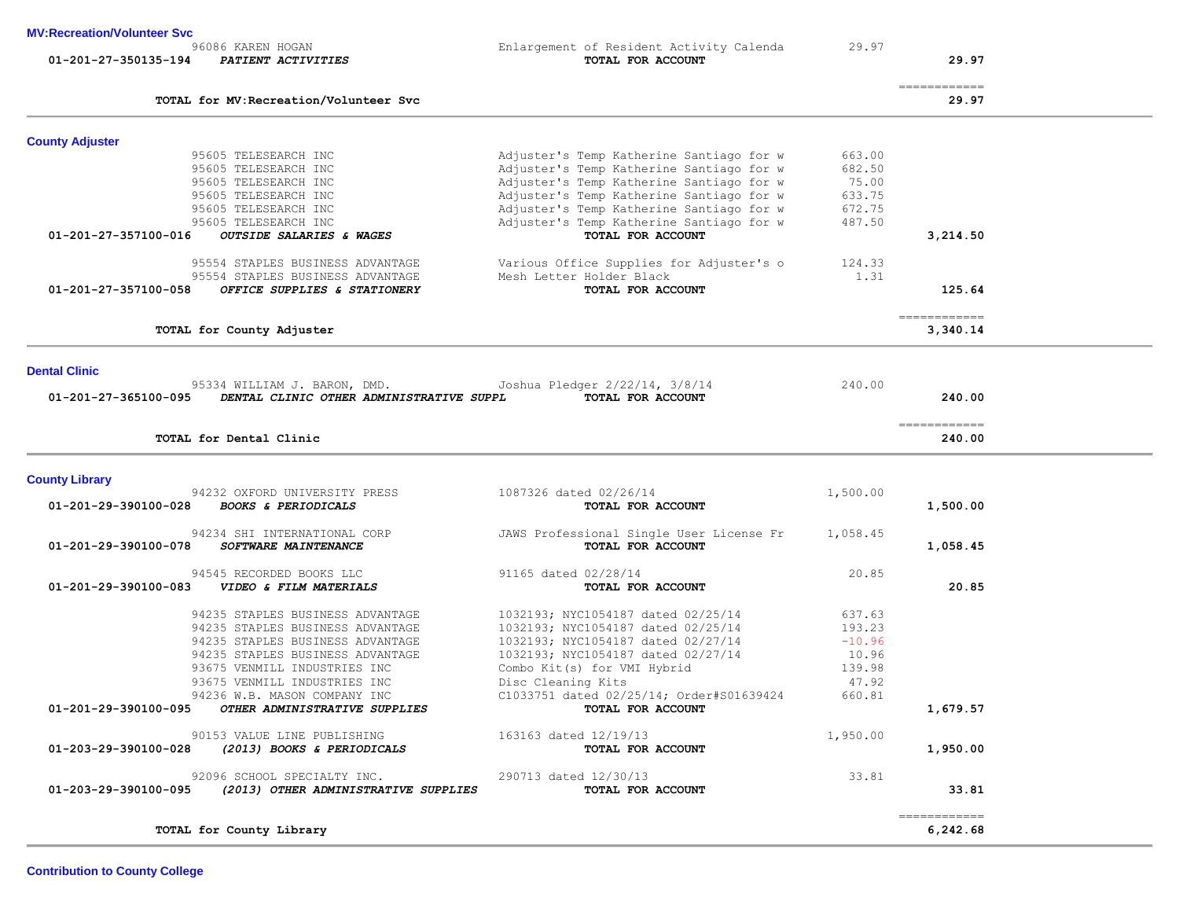**Contribution to County College**

| TOTAL for MV: Recreation/Volunteer Svc                                                                           |                                                               |          | 29.97                  |
|------------------------------------------------------------------------------------------------------------------|---------------------------------------------------------------|----------|------------------------|
| <b>County Adjuster</b>                                                                                           |                                                               |          |                        |
| 95605 TELESEARCH INC                                                                                             | Adjuster's Temp Katherine Santiago for w                      | 663.00   |                        |
| 95605 TELESEARCH INC                                                                                             | Adjuster's Temp Katherine Santiago for w                      | 682.50   |                        |
| 95605 TELESEARCH INC                                                                                             | Adjuster's Temp Katherine Santiago for w                      | 75.00    |                        |
| 95605 TELESEARCH INC                                                                                             | Adjuster's Temp Katherine Santiago for w                      | 633.75   |                        |
| 95605 TELESEARCH INC                                                                                             | Adjuster's Temp Katherine Santiago for w                      | 672.75   |                        |
| 95605 TELESEARCH INC                                                                                             | Adjuster's Temp Katherine Santiago for w                      | 487.50   |                        |
| 01-201-27-357100-016<br>OUTSIDE SALARIES & WAGES                                                                 | TOTAL FOR ACCOUNT                                             |          | 3,214.50               |
| 95554 STAPLES BUSINESS ADVANTAGE                                                                                 | Various Office Supplies for Adjuster's o                      | 124.33   |                        |
| 95554 STAPLES BUSINESS ADVANTAGE                                                                                 | Mesh Letter Holder Black                                      | 1.31     |                        |
| OFFICE SUPPLIES & STATIONERY<br>01-201-27-357100-058                                                             | TOTAL FOR ACCOUNT                                             |          | 125.64                 |
|                                                                                                                  |                                                               |          | =============          |
| TOTAL for County Adjuster                                                                                        |                                                               |          | 3,340.14               |
| <b>Dental Clinic</b>                                                                                             |                                                               |          |                        |
| 95334 WILLIAM J. BARON, DMD.                                                                                     | Joshua Pledger 2/22/14, 3/8/14                                | 240.00   |                        |
| 01-201-27-365100-095<br>DENTAL CLINIC OTHER ADMINISTRATIVE SUPPL                                                 | TOTAL FOR ACCOUNT                                             |          | 240.00                 |
|                                                                                                                  |                                                               |          |                        |
|                                                                                                                  |                                                               |          |                        |
| TOTAL for Dental Clinic                                                                                          |                                                               |          | ============<br>240.00 |
|                                                                                                                  |                                                               |          |                        |
|                                                                                                                  |                                                               |          |                        |
| <b>County Library</b><br>94232 OXFORD UNIVERSITY PRESS<br>01-201-29-390100-028<br><b>BOOKS &amp; PERIODICALS</b> | 1087326 dated 02/26/14<br>TOTAL FOR ACCOUNT                   | 1,500.00 | 1,500.00               |
| 94234 SHI INTERNATIONAL CORP                                                                                     | JAWS Professional Single User License Fr                      | 1,058.45 |                        |
| 01-201-29-390100-078<br>SOFTWARE MAINTENANCE                                                                     | TOTAL FOR ACCOUNT                                             |          | 1,058.45               |
| 94545 RECORDED BOOKS LLC                                                                                         | 91165 dated 02/28/14                                          | 20.85    |                        |
| 01-201-29-390100-083<br>VIDEO & FILM MATERIALS                                                                   | TOTAL FOR ACCOUNT                                             |          | 20.85                  |
|                                                                                                                  |                                                               |          |                        |
| 94235 STAPLES BUSINESS ADVANTAGE                                                                                 | 1032193; NYC1054187 dated 02/25/14                            | 637.63   |                        |
| 94235 STAPLES BUSINESS ADVANTAGE                                                                                 | 1032193; NYC1054187 dated 02/25/14                            | 193.23   |                        |
| 94235 STAPLES BUSINESS ADVANTAGE                                                                                 | 1032193; NYC1054187 dated 02/27/14                            | $-10.96$ |                        |
| 94235 STAPLES BUSINESS ADVANTAGE                                                                                 | 1032193; NYC1054187 dated 02/27/14                            | 10.96    |                        |
| 93675 VENMILL INDUSTRIES INC                                                                                     | Combo Kit(s) for VMI Hybrid                                   | 139.98   |                        |
| 93675 VENMILL INDUSTRIES INC                                                                                     | Disc Cleaning Kits                                            | 47.92    |                        |
| 94236 W.B. MASON COMPANY INC<br>01-201-29-390100-095<br>OTHER ADMINISTRATIVE SUPPLIES                            | C1033751 dated 02/25/14; Order#S01639424<br>TOTAL FOR ACCOUNT | 660.81   | 1,679.57               |
| 90153 VALUE LINE PUBLISHING                                                                                      | 163163 dated 12/19/13                                         | 1,950.00 |                        |
| 01-203-29-390100-028<br>(2013) BOOKS & PERIODICALS                                                               | TOTAL FOR ACCOUNT                                             |          | 1,950.00               |
| 92096 SCHOOL SPECIALTY INC.                                                                                      | 290713 dated 12/30/13                                         | 33.81    |                        |
| 01-203-29-390100-095<br>(2013) OTHER ADMINISTRATIVE SUPPLIES                                                     | TOTAL FOR ACCOUNT                                             |          | 33.81                  |

**MV:Recreation/Volunteer Svc**

Enlargement of Resident Activity Calenda 29.97<br> **TOTAL FOR ACCOUNT 01-201-27-350135-194** *PATIENT ACTIVITIES* **TOTAL FOR ACCOUNT 29.97**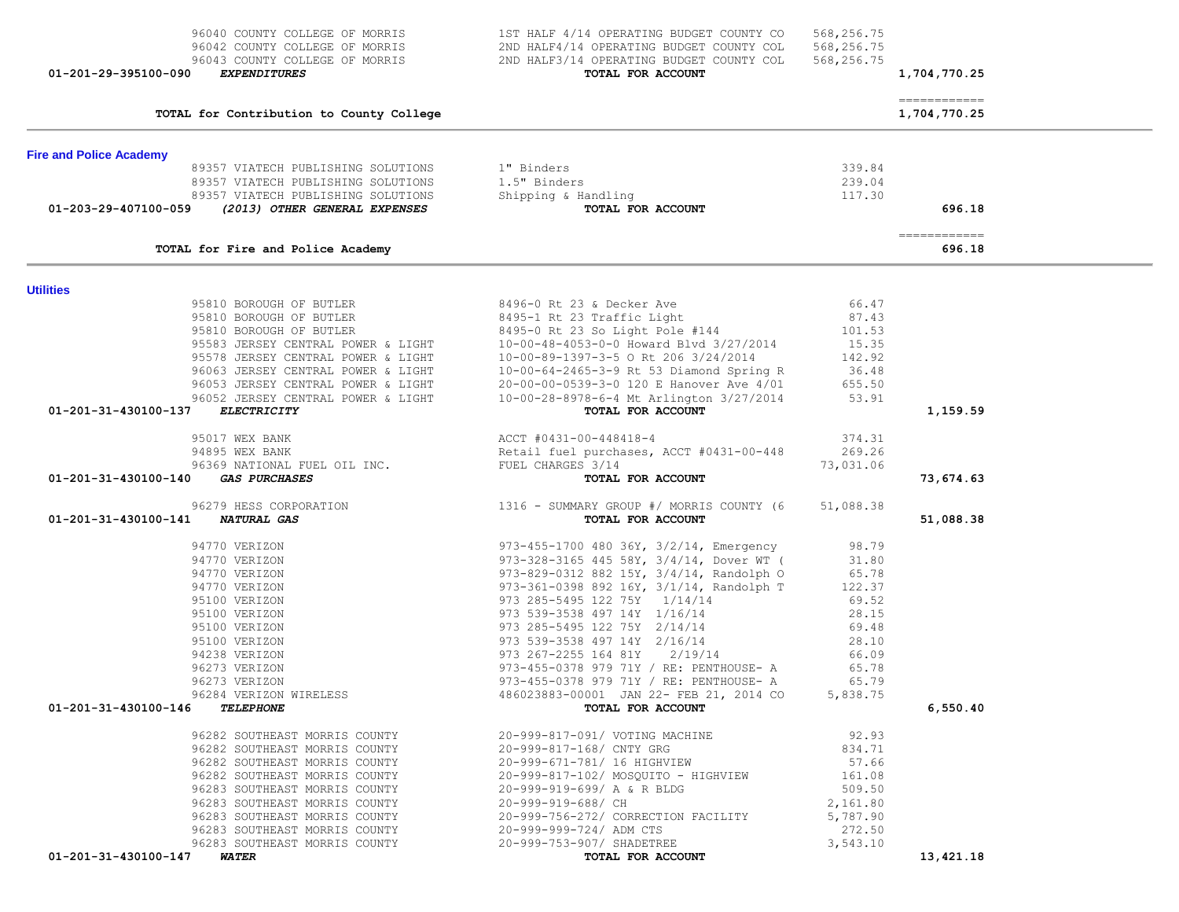| 96042 COUNTY COLLEGE OF MORRIS<br>96043 COUNTY COLLEGE OF MORRIS<br>01-201-29-395100-090<br><b>EXPENDITURES</b> | 2ND HALF4/14 OPERATING BUDGET COUNTY COL<br>2ND HALF3/14 OPERATING BUDGET COUNTY COL<br>TOTAL FOR ACCOUNT | 568,256.75<br>568,256.75 | 1,704,770.25                 |  |
|-----------------------------------------------------------------------------------------------------------------|-----------------------------------------------------------------------------------------------------------|--------------------------|------------------------------|--|
| TOTAL for Contribution to County College                                                                        |                                                                                                           |                          | ============<br>1,704,770.25 |  |
| <b>Fire and Police Academy</b>                                                                                  |                                                                                                           |                          |                              |  |
| 89357 VIATECH PUBLISHING SOLUTIONS                                                                              | 1" Binders                                                                                                | 339.84                   |                              |  |
| 89357 VIATECH PUBLISHING SOLUTIONS                                                                              | 1.5" Binders                                                                                              | 239.04                   |                              |  |
| 89357 VIATECH PUBLISHING SOLUTIONS                                                                              | Shipping & Handling                                                                                       | 117.30                   |                              |  |
| 01-203-29-407100-059<br>(2013) OTHER GENERAL EXPENSES                                                           | TOTAL FOR ACCOUNT                                                                                         |                          | 696.18                       |  |
| TOTAL for Fire and Police Academy                                                                               |                                                                                                           |                          | =============<br>696.18      |  |
|                                                                                                                 |                                                                                                           |                          |                              |  |
| <b>Utilities</b>                                                                                                |                                                                                                           |                          |                              |  |
| 95810 BOROUGH OF BUTLER<br>95810 BOROUGH OF BUTLER                                                              | 8496-0 Rt 23 & Decker Ave<br>8495-1 Rt 23 Traffic Light                                                   | 66.47<br>87.43           |                              |  |
|                                                                                                                 | 8495-0 Rt 23 So Light Pole #144                                                                           | 101.53                   |                              |  |
| 95810 BOROUGH OF DUIDDIN<br>95583 JERSEY CENTRAL POWER & LIGHT<br>- CINTRAL POWER & LIGHT                       | 10-00-48-4053-0-0 Howard Blvd 3/27/2014                                                                   | 15.35                    |                              |  |
|                                                                                                                 | 10-00-89-1397-3-5 O Rt 206 3/24/2014                                                                      | 142.92                   |                              |  |
| 96063 JERSEY CENTRAL POWER & LIGHT                                                                              |                                                                                                           | 36.48                    |                              |  |
| 96053 JERSEY CENTRAL POWER & LIGHT                                                                              | 10-00-64-2465-3-9 Rt 53 Diamond Spring R<br>20-00-00-0539-3-0 120 E Hanover Ave 4/01                      | 655.50                   |                              |  |
| 96052 JERSEY CENTRAL POWER & LIGHT                                                                              | 10-00-28-8978-6-4 Mt Arlington 3/27/2014                                                                  | 53.91                    |                              |  |
| 01-201-31-430100-137<br><b>ELECTRICITY</b>                                                                      | TOTAL FOR ACCOUNT                                                                                         |                          | 1,159.59                     |  |
| 95017 WEX BANK                                                                                                  | ACCT #0431-00-448418-4                                                                                    | 374.31                   |                              |  |
|                                                                                                                 |                                                                                                           | 269.26                   |                              |  |
| 94895 WEX BANK<br>94895 WEX BANK<br>96369 NATIONAL FUEL OIL INC.                                                | Retail fuel purchases, ACCT #0431-00-448<br>FUEL CHARGES 3/14                                             | 73,031.06                |                              |  |
| 01-201-31-430100-140<br><b>GAS PURCHASES</b>                                                                    | TOTAL FOR ACCOUNT                                                                                         |                          | 73,674.63                    |  |
| 96279 HESS CORPORATION                                                                                          | 1316 - SUMMARY GROUP #/ MORRIS COUNTY (6                                                                  | 51,088.38                |                              |  |
| 01-201-31-430100-141 NATURAL GAS                                                                                | TOTAL FOR ACCOUNT                                                                                         |                          | 51,088.38                    |  |
| 94770 VERIZON                                                                                                   | 973-455-1700 480 36Y, 3/2/14, Emergency                                                                   | 98.79                    |                              |  |
| 94770 VERIZON                                                                                                   | 973-328-3165 445 58Y, 3/4/14, Dover WT (                                                                  | 31.80                    |                              |  |
| 94770 VERIZON                                                                                                   | 973-829-0312 882 15Y, 3/4/14, Randolph O                                                                  | 65.78                    |                              |  |
| 94770 VERIZON                                                                                                   | 973-361-0398 892 16Y, 3/1/14, Randolph T                                                                  | 122.37                   |                              |  |
| 95100 VERIZON                                                                                                   | 973 285-5495 122 75Y 1/14/14                                                                              | 69.52                    |                              |  |
| 95100 VERIZON                                                                                                   | 973 539-3538 497 14Y 1/16/14                                                                              | 28.15                    |                              |  |
| 95100 VERIZON                                                                                                   | 973 285-5495 122 75Y 2/14/14                                                                              | 69.48                    |                              |  |
| 95100 VERIZON                                                                                                   | 973 539-3538 497 14Y 2/16/14                                                                              | 28.10                    |                              |  |
| 94238 VERIZON                                                                                                   | 973 267-2255 164 81Y 2/19/14                                                                              | 66.09                    |                              |  |
| 96273 VERIZON                                                                                                   | 973-455-0378 979 71Y / RE: PENTHOUSE- A                                                                   | 65.78                    |                              |  |
| 96273 VERIZON                                                                                                   | 973-455-0378 979 71Y / RE: PENTHOUSE- A                                                                   | 65.79                    |                              |  |
| 96284 VERIZON WIRELESS                                                                                          | 486023883-00001 JAN 22- FEB 21, 2014 CO                                                                   | 5,838.75                 |                              |  |
| 01-201-31-430100-146 TELEPHONE                                                                                  | TOTAL FOR ACCOUNT                                                                                         |                          | 6,550.40                     |  |
| 96282 SOUTHEAST MORRIS COUNTY                                                                                   | 20-999-817-091/ VOTING MACHINE                                                                            | 92.93                    |                              |  |
| 96282 SOUTHEAST MORRIS COUNTY                                                                                   | 20-999-817-168/ CNTY GRG                                                                                  | 834.71                   |                              |  |
| 96282 SOUTHEAST MORRIS COUNTY                                                                                   | 20-999-671-781/ 16 HIGHVIEW                                                                               | 57.66                    |                              |  |
| 96282 SOUTHEAST MORRIS COUNTY                                                                                   | 20-999-817-102/ MOSQUITO - HIGHVIEW                                                                       | 161.08                   |                              |  |
| 96283 SOUTHEAST MORRIS COUNTY                                                                                   | 20-999-919-699/ A & R BLDG                                                                                | 509.50                   |                              |  |
| 96283 SOUTHEAST MORRIS COUNTY                                                                                   | 20-999-919-688/ CH                                                                                        | 2,161.80                 |                              |  |
| 96283 SOUTHEAST MORRIS COUNTY                                                                                   | 20-999-756-272/ CORRECTION FACILITY                                                                       | 5,787.90                 |                              |  |
| 96283 SOUTHEAST MORRIS COUNTY                                                                                   | 20-999-999-724/ ADM CTS                                                                                   | 272.50                   |                              |  |
| 96283 SOUTHEAST MORRIS COUNTY                                                                                   | 20-999-753-907/ SHADETREE                                                                                 | 3,543.10                 |                              |  |
| 01-201-31-430100-147 WATER                                                                                      | TOTAL FOR ACCOUNT                                                                                         |                          | 13,421.18                    |  |

96040 COUNTY COLLEGE OF MORRIS 1ST HALF 4/14 OPERATING BUDGET COUNTY CO 568,256.75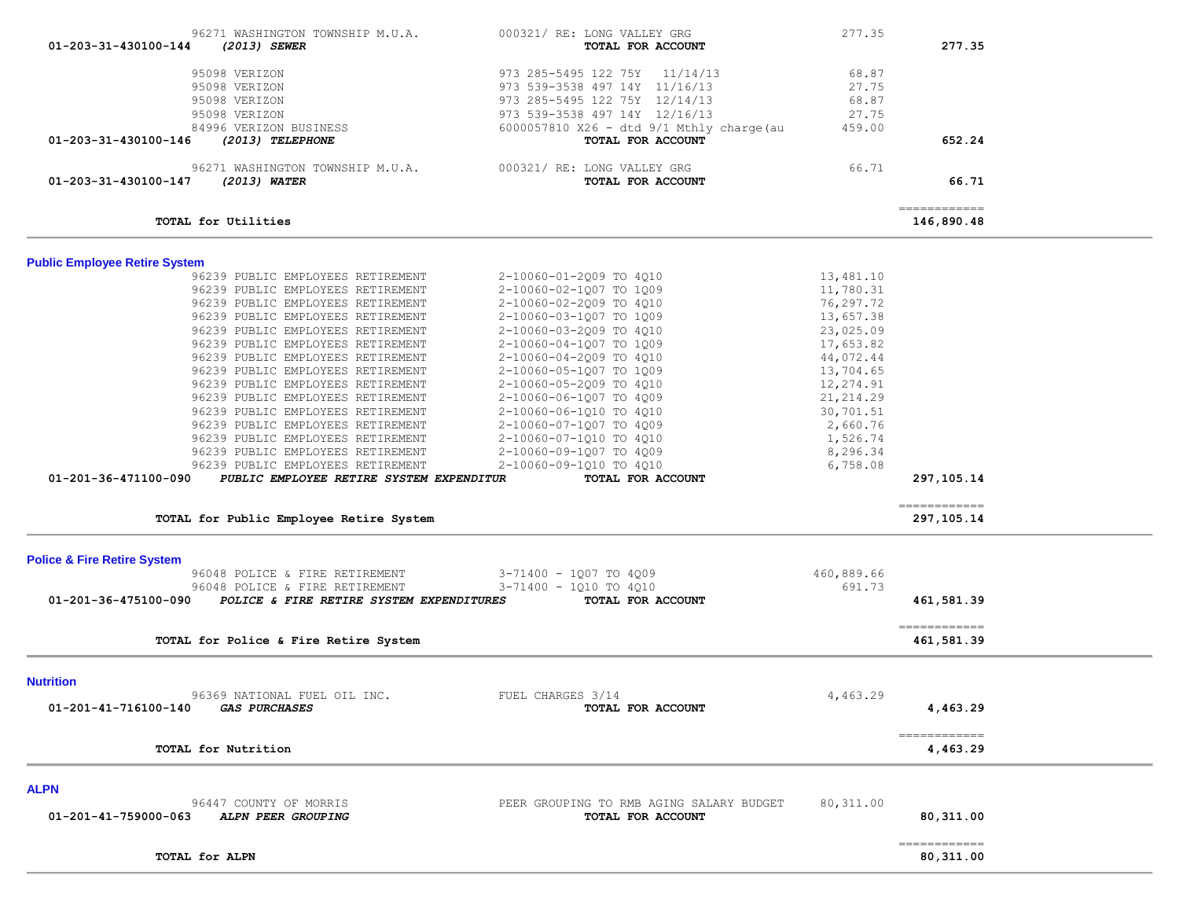| TOTAL for ALPN                                                                                                                                                                                                                                                                                                                                                           |                                                                                                                                                                                                                                           |                                                                                                   | 80,311.00                   |  |
|--------------------------------------------------------------------------------------------------------------------------------------------------------------------------------------------------------------------------------------------------------------------------------------------------------------------------------------------------------------------------|-------------------------------------------------------------------------------------------------------------------------------------------------------------------------------------------------------------------------------------------|---------------------------------------------------------------------------------------------------|-----------------------------|--|
| <b>ALPN</b><br>96447 COUNTY OF MORRIS<br>01-201-41-759000-063<br>ALPN PEER GROUPING                                                                                                                                                                                                                                                                                      | PEER GROUPING TO RMB AGING SALARY BUDGET<br>TOTAL FOR ACCOUNT                                                                                                                                                                             | 80, 311.00                                                                                        | 80,311.00<br>-------------  |  |
| TOTAL for Nutrition                                                                                                                                                                                                                                                                                                                                                      |                                                                                                                                                                                                                                           |                                                                                                   | -------------<br>4,463.29   |  |
| <b>Nutrition</b><br>96369 NATIONAL FUEL OIL INC.<br>01-201-41-716100-140<br><i><b>GAS PURCHASES</b></i>                                                                                                                                                                                                                                                                  | FUEL CHARGES 3/14<br>TOTAL FOR ACCOUNT                                                                                                                                                                                                    | 4,463.29                                                                                          | 4,463.29                    |  |
| TOTAL for Police & Fire Retire System                                                                                                                                                                                                                                                                                                                                    |                                                                                                                                                                                                                                           |                                                                                                   | 461,581.39                  |  |
| 96048 POLICE & FIRE RETIREMENT<br>01-201-36-475100-090<br>POLICE & FIRE RETIRE SYSTEM EXPENDITURES                                                                                                                                                                                                                                                                       | 3-71400 - 1Q10 TO 4Q10<br>TOTAL FOR ACCOUNT                                                                                                                                                                                               | 691.73                                                                                            | 461,581.39<br>------------- |  |
| <b>Police &amp; Fire Retire System</b><br>96048 POLICE & FIRE RETIREMENT                                                                                                                                                                                                                                                                                                 | 3-71400 - 1Q07 TO 4Q09                                                                                                                                                                                                                    | 460,889.66                                                                                        |                             |  |
| TOTAL for Public Employee Retire System                                                                                                                                                                                                                                                                                                                                  |                                                                                                                                                                                                                                           |                                                                                                   | -------------<br>297,105.14 |  |
| 96239 PUBLIC EMPLOYEES RETIREMENT<br>96239 PUBLIC EMPLOYEES RETIREMENT<br>96239 PUBLIC EMPLOYEES RETIREMENT<br>96239 PUBLIC EMPLOYEES RETIREMENT<br>96239 PUBLIC EMPLOYEES RETIREMENT<br>96239 PUBLIC EMPLOYEES RETIREMENT<br>96239 PUBLIC EMPLOYEES RETIREMENT<br>96239 PUBLIC EMPLOYEES RETIREMENT<br>PUBLIC EMPLOYEE RETIRE SYSTEM EXPENDITUR<br>01-201-36-471100-090 | 2-10060-05-1Q07 TO 1Q09<br>2-10060-05-2009 TO 4010<br>2-10060-06-1Q07 TO 4Q09<br>2-10060-06-1Q10 TO 4Q10<br>2-10060-07-1Q07 TO 4Q09<br>2-10060-07-1Q10 TO 4Q10<br>2-10060-09-1Q07 TO 4Q09<br>2-10060-09-1Q10 TO 4Q10<br>TOTAL FOR ACCOUNT | 13,704.65<br>12,274.91<br>21, 214.29<br>30,701.51<br>2,660.76<br>1,526.74<br>8,296.34<br>6,758.08 | 297,105.14                  |  |
| <b>Public Employee Retire System</b><br>96239 PUBLIC EMPLOYEES RETIREMENT<br>96239 PUBLIC EMPLOYEES RETIREMENT<br>96239 PUBLIC EMPLOYEES RETIREMENT<br>96239 PUBLIC EMPLOYEES RETIREMENT<br>96239 PUBLIC EMPLOYEES RETIREMENT<br>96239 PUBLIC EMPLOYEES RETIREMENT<br>96239 PUBLIC EMPLOYEES RETIREMENT                                                                  | 2-10060-01-2009 TO 4010<br>2-10060-02-1Q07 TO 1Q09<br>2-10060-02-2009 TO 4010<br>2-10060-03-1Q07 TO 1Q09<br>2-10060-03-2009 TO 4010<br>2-10060-04-1Q07 TO 1Q09<br>2-10060-04-2009 TO 4010                                                 | 13,481.10<br>11,780.31<br>76,297.72<br>13,657.38<br>23,025.09<br>17,653.82<br>44,072.44           |                             |  |
| TOTAL for Utilities                                                                                                                                                                                                                                                                                                                                                      |                                                                                                                                                                                                                                           |                                                                                                   | -------------<br>146,890.48 |  |
| 96271 WASHINGTON TOWNSHIP M.U.A.<br>(2013) WATER<br>01-203-31-430100-147                                                                                                                                                                                                                                                                                                 | 000321/ RE: LONG VALLEY GRG<br>TOTAL FOR ACCOUNT                                                                                                                                                                                          | 66.71                                                                                             | 66.71                       |  |
| 84996 VERIZON BUSINESS<br>01-203-31-430100-146<br>(2013) TELEPHONE                                                                                                                                                                                                                                                                                                       | $6000057810$ X26 - dtd $9/1$ Mthly charge (au<br>TOTAL FOR ACCOUNT                                                                                                                                                                        | 459.00                                                                                            | 652.24                      |  |
| 95098 VERIZON<br>95098 VERIZON<br>95098 VERIZON<br>95098 VERIZON                                                                                                                                                                                                                                                                                                         | 973 285-5495 122 75Y 11/14/13<br>973 539-3538 497 14Y 11/16/13<br>973 285-5495 122 75Y 12/14/13<br>973 539-3538 497 14Y 12/16/13                                                                                                          | 68.87<br>27.75<br>68.87<br>27.75                                                                  |                             |  |
| 96271 WASHINGTON TOWNSHIP M.U.A.<br>01-203-31-430100-144<br>(2013) SEWER                                                                                                                                                                                                                                                                                                 | 000321/ RE: LONG VALLEY GRG<br>TOTAL FOR ACCOUNT                                                                                                                                                                                          | 277.35                                                                                            | 277.35                      |  |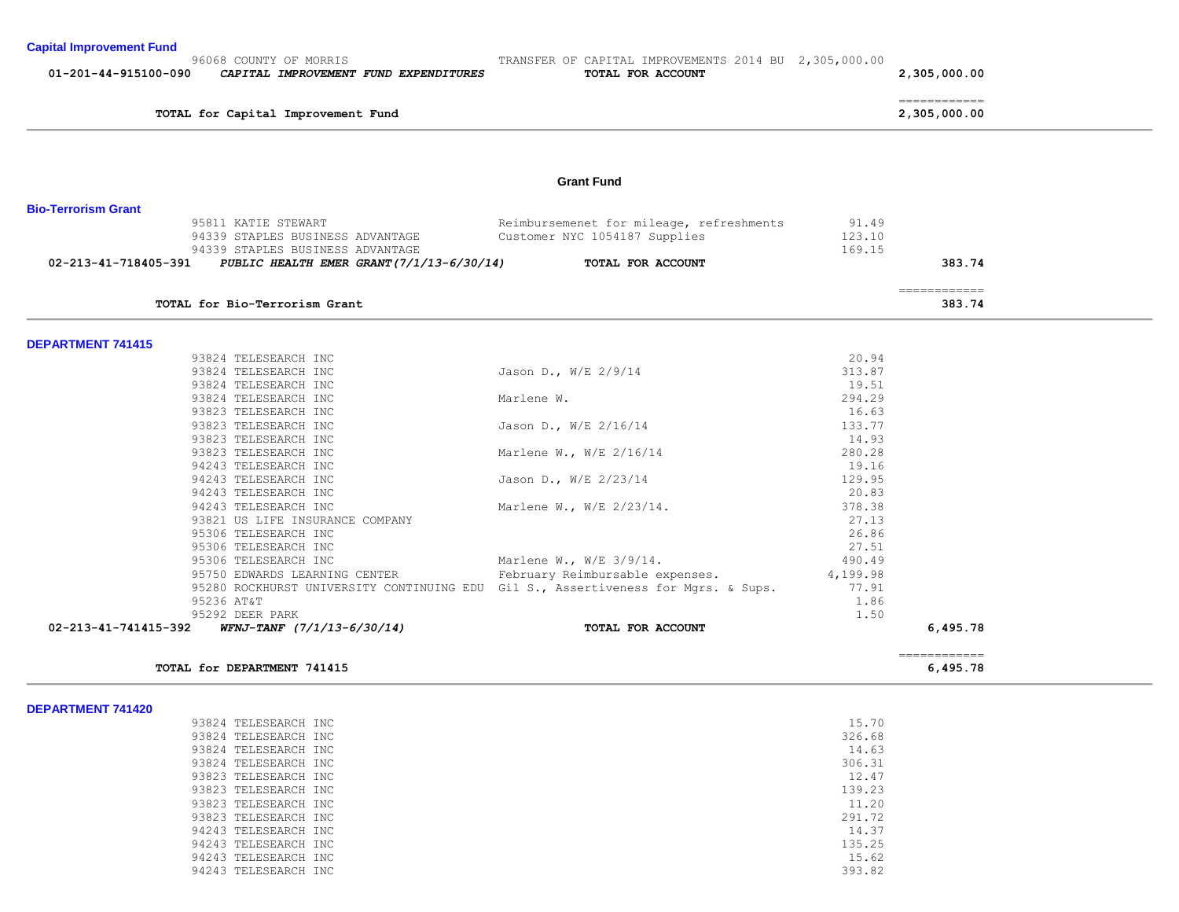| <b>Capital Improvement Fund</b> |  |  |  |
|---------------------------------|--|--|--|
|---------------------------------|--|--|--|

| 01-201-44-915100-090<br>CAPITAL IMPROVEMENT FUND EXPENDITURES                               | TOTAL FOR ACCOUNT                                                                 |                           | 2,305,000.00                  |  |
|---------------------------------------------------------------------------------------------|-----------------------------------------------------------------------------------|---------------------------|-------------------------------|--|
| TOTAL for Capital Improvement Fund                                                          |                                                                                   |                           | =============<br>2,305,000.00 |  |
|                                                                                             | <b>Grant Fund</b>                                                                 |                           |                               |  |
| <b>Bio-Terrorism Grant</b>                                                                  |                                                                                   |                           |                               |  |
| 95811 KATIE STEWART<br>94339 STAPLES BUSINESS ADVANTAGE<br>94339 STAPLES BUSINESS ADVANTAGE | Reimbursemenet for mileage, refreshments<br>Customer NYC 1054187 Supplies         | 91.49<br>123.10<br>169.15 |                               |  |
| 02-213-41-718405-391<br>PUBLIC HEALTH EMER GRANT $(7/1/13-6/30/14)$                         | TOTAL FOR ACCOUNT                                                                 |                           | 383.74                        |  |
|                                                                                             |                                                                                   |                           | ============                  |  |
| TOTAL for Bio-Terrorism Grant                                                               |                                                                                   |                           | 383.74                        |  |
|                                                                                             |                                                                                   |                           |                               |  |
| <b>DEPARTMENT 741415</b><br>93824 TELESEARCH INC                                            |                                                                                   | 20.94                     |                               |  |
| 93824 TELESEARCH INC                                                                        | Jason D., W/E $2/9/14$                                                            | 313.87                    |                               |  |
| 93824 TELESEARCH INC                                                                        |                                                                                   | 19.51                     |                               |  |
| 93824 TELESEARCH INC                                                                        | Marlene W.                                                                        | 294.29                    |                               |  |
| 93823 TELESEARCH INC                                                                        |                                                                                   | 16.63                     |                               |  |
| 93823 TELESEARCH INC                                                                        | Jason D., W/E 2/16/14                                                             | 133.77                    |                               |  |
| 93823 TELESEARCH INC                                                                        |                                                                                   | 14.93                     |                               |  |
| 93823 TELESEARCH INC                                                                        | Marlene W., W/E 2/16/14                                                           | 280.28                    |                               |  |
| 94243 TELESEARCH INC                                                                        |                                                                                   | 19.16                     |                               |  |
| 94243 TELESEARCH INC                                                                        | Jason D., W/E 2/23/14                                                             | 129.95                    |                               |  |
| 94243 TELESEARCH INC                                                                        |                                                                                   | 20.83                     |                               |  |
| 94243 TELESEARCH INC                                                                        | Marlene W., W/E 2/23/14.                                                          | 378.38                    |                               |  |
| 93821 US LIFE INSURANCE COMPANY<br>95306 TELESEARCH INC                                     |                                                                                   | 27.13<br>26.86            |                               |  |
| 95306 TELESEARCH INC                                                                        |                                                                                   | 27.51                     |                               |  |
| 95306 TELESEARCH INC                                                                        | Marlene W., W/E 3/9/14.                                                           | 490.49                    |                               |  |
| 95750 EDWARDS LEARNING CENTER                                                               | February Reimbursable expenses.                                                   | 4,199.98                  |                               |  |
|                                                                                             | 95280 ROCKHURST UNIVERSITY CONTINUING EDU Gil S., Assertiveness for Mqrs. & Sups. | 77.91                     |                               |  |
| 95236 AT&T                                                                                  |                                                                                   | 1.86                      |                               |  |
| 95292 DEER PARK                                                                             |                                                                                   | 1.50                      |                               |  |
| WFNJ-TANF (7/1/13-6/30/14)<br>02-213-41-741415-392                                          | TOTAL FOR ACCOUNT                                                                 |                           | 6,495.78                      |  |
|                                                                                             |                                                                                   |                           | -------------                 |  |

|  | <b>DEPARTMENT 741420</b> |
|--|--------------------------|
|  |                          |

| 93824 TELESEARCH INC | 15.70  |
|----------------------|--------|
| 93824 TELESEARCH INC | 326.68 |
| 93824 TELESEARCH INC | 14.63  |
| 93824 TELESEARCH INC | 306.31 |
| 93823 TELESEARCH INC | 12.47  |
| 93823 TELESEARCH INC | 139.23 |
| 93823 TELESEARCH INC | 11.20  |
| 93823 TELESEARCH INC | 291.72 |
| 94243 TELESEARCH INC | 14.37  |
| 94243 TELESEARCH INC | 135.25 |
| 94243 TELESEARCH INC | 15.62  |
| 94243 TELESEARCH INC | 393.82 |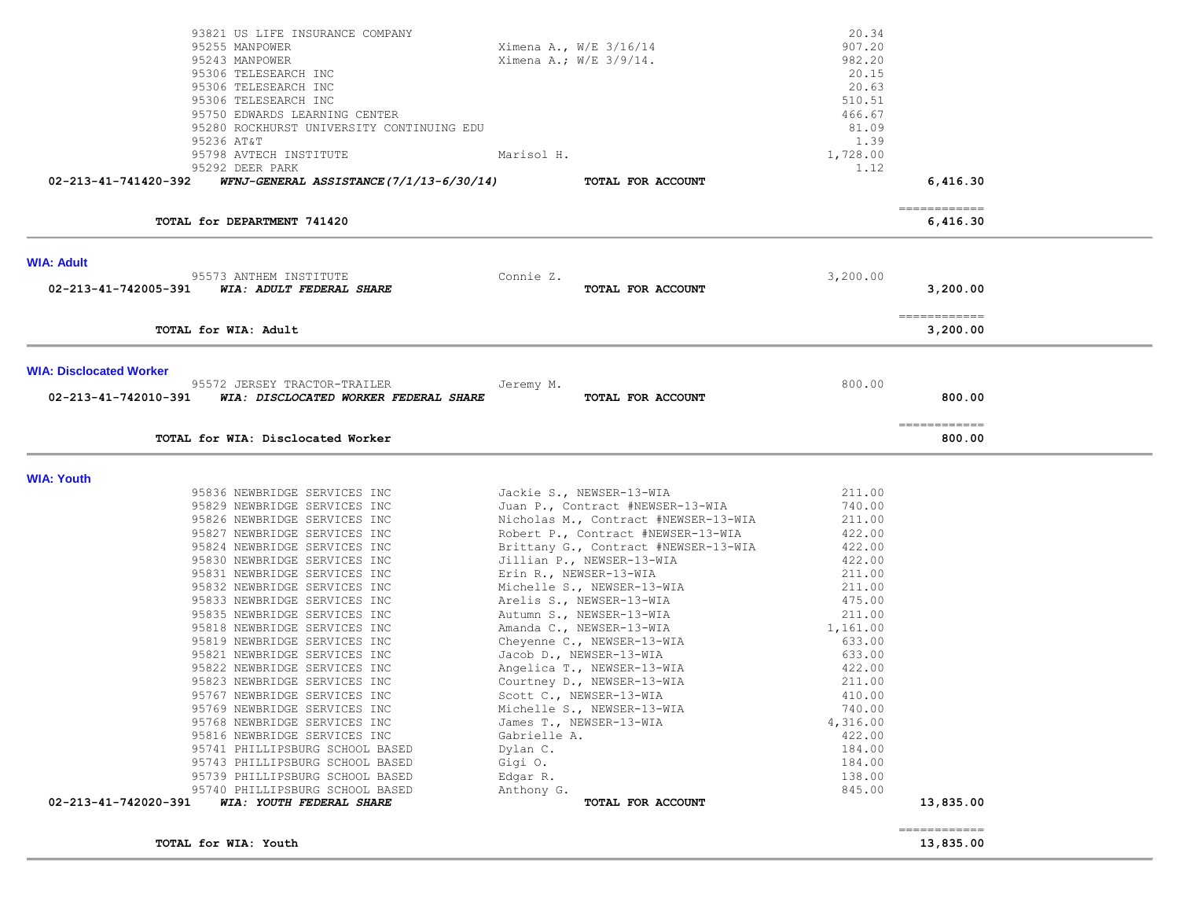|                                | 93821 US LIFE INSURANCE COMPANY<br>95255 MANPOWER<br>95243 MANPOWER<br>95306 TELESEARCH INC<br>95306 TELESEARCH INC<br>95306 TELESEARCH INC<br>95750 EDWARDS LEARNING CENTER<br>95280 ROCKHURST UNIVERSITY CONTINUING EDU<br>95236 AT&T<br>95798 AVTECH INSTITUTE | Ximena A., W/E 3/16/14<br>Ximena A.; W/E 3/9/14.<br>Marisol H. | 20.34<br>907.20<br>982.20<br>20.15<br>20.63<br>510.51<br>466.67<br>81.09<br>1.39<br>1,728.00 |                                       |  |
|--------------------------------|-------------------------------------------------------------------------------------------------------------------------------------------------------------------------------------------------------------------------------------------------------------------|----------------------------------------------------------------|----------------------------------------------------------------------------------------------|---------------------------------------|--|
| 02-213-41-741420-392           | 95292 DEER PARK<br>WFNJ-GENERAL ASSISTANCE(7/1/13-6/30/14)                                                                                                                                                                                                        | TOTAL FOR ACCOUNT                                              | 1.12                                                                                         | 6,416.30                              |  |
|                                |                                                                                                                                                                                                                                                                   |                                                                |                                                                                              |                                       |  |
|                                | TOTAL for DEPARTMENT 741420                                                                                                                                                                                                                                       |                                                                |                                                                                              | -------------<br>6,416.30             |  |
| <b>WIA: Adult</b>              |                                                                                                                                                                                                                                                                   |                                                                |                                                                                              |                                       |  |
|                                | 95573 ANTHEM INSTITUTE<br>02-213-41-742005-391 WIA: ADULT FEDERAL SHARE                                                                                                                                                                                           | Connie Z.<br>TOTAL FOR ACCOUNT                                 | 3,200.00                                                                                     | 3,200.00                              |  |
|                                | TOTAL for WIA: Adult                                                                                                                                                                                                                                              |                                                                |                                                                                              | ------------<br>3,200.00              |  |
| <b>WIA: Disclocated Worker</b> |                                                                                                                                                                                                                                                                   |                                                                |                                                                                              |                                       |  |
| 02-213-41-742010-391           | 95572 JERSEY TRACTOR-TRAILER<br>WIA: DISCLOCATED WORKER FEDERAL SHARE                                                                                                                                                                                             | Jeremy M.<br>TOTAL FOR ACCOUNT                                 | 800.00                                                                                       | 800.00                                |  |
|                                | TOTAL for WIA: Disclocated Worker                                                                                                                                                                                                                                 |                                                                |                                                                                              | $=$ = = = = = = = = = = = =<br>800.00 |  |
| <b>WIA: Youth</b>              |                                                                                                                                                                                                                                                                   |                                                                |                                                                                              |                                       |  |
|                                | 95836 NEWBRIDGE SERVICES INC                                                                                                                                                                                                                                      | Jackie S., NEWSER-13-WIA                                       | 211.00                                                                                       |                                       |  |
|                                | 95829 NEWBRIDGE SERVICES INC                                                                                                                                                                                                                                      | Juan P., Contract #NEWSER-13-WIA                               | 740.00                                                                                       |                                       |  |
|                                | 95826 NEWBRIDGE SERVICES INC                                                                                                                                                                                                                                      | Nicholas M., Contract #NEWSER-13-WIA                           | 211.00                                                                                       |                                       |  |
|                                | 95827 NEWBRIDGE SERVICES INC                                                                                                                                                                                                                                      | Robert P., Contract #NEWSER-13-WIA                             | 422.00                                                                                       |                                       |  |
|                                | 95824 NEWBRIDGE SERVICES INC                                                                                                                                                                                                                                      | Brittany G., Contract #NEWSER-13-WIA                           | 422.00                                                                                       |                                       |  |
|                                | 95830 NEWBRIDGE SERVICES INC                                                                                                                                                                                                                                      | Jillian P., NEWSER-13-WIA                                      | 422.00                                                                                       |                                       |  |
|                                | 95831 NEWBRIDGE SERVICES INC                                                                                                                                                                                                                                      | Erin R., NEWSER-13-WIA                                         | 211.00                                                                                       |                                       |  |
|                                | 95832 NEWBRIDGE SERVICES INC                                                                                                                                                                                                                                      | Michelle S., NEWSER-13-WIA                                     | 211.00<br>475.00                                                                             |                                       |  |
|                                | 95833 NEWBRIDGE SERVICES INC<br>95835 NEWBRIDGE SERVICES INC                                                                                                                                                                                                      | Arelis S., NEWSER-13-WIA<br>Autumn S., NEWSER-13-WIA           | 211.00                                                                                       |                                       |  |
|                                | 95818 NEWBRIDGE SERVICES INC                                                                                                                                                                                                                                      | Amanda C., NEWSER-13-WIA                                       | 1,161.00                                                                                     |                                       |  |
|                                | 95819 NEWBRIDGE SERVICES INC                                                                                                                                                                                                                                      | Cheyenne C., NEWSER-13-WIA                                     | 633.00                                                                                       |                                       |  |
|                                | 95821 NEWBRIDGE SERVICES INC                                                                                                                                                                                                                                      | Jacob D., NEWSER-13-WIA                                        | 633.00                                                                                       |                                       |  |
|                                | 95822 NEWBRIDGE SERVICES INC                                                                                                                                                                                                                                      | Angelica T., NEWSER-13-WIA                                     | 422.00                                                                                       |                                       |  |
|                                | 95823 NEWBRIDGE SERVICES INC                                                                                                                                                                                                                                      | Courtney D., NEWSER-13-WIA                                     | 211.00                                                                                       |                                       |  |
|                                | 95767 NEWBRIDGE SERVICES INC                                                                                                                                                                                                                                      | Scott C., NEWSER-13-WIA                                        | 410.00                                                                                       |                                       |  |
|                                | 95769 NEWBRIDGE SERVICES INC                                                                                                                                                                                                                                      | Michelle S., NEWSER-13-WIA                                     | 740.00                                                                                       |                                       |  |
|                                | 95768 NEWBRIDGE SERVICES INC                                                                                                                                                                                                                                      | James T., NEWSER-13-WIA                                        | 4,316.00                                                                                     |                                       |  |
|                                | 95816 NEWBRIDGE SERVICES INC                                                                                                                                                                                                                                      | Gabrielle A.                                                   | 422.00                                                                                       |                                       |  |
|                                | 95741 PHILLIPSBURG SCHOOL BASED                                                                                                                                                                                                                                   | Dylan C.                                                       | 184.00                                                                                       |                                       |  |
|                                | 95743 PHILLIPSBURG SCHOOL BASED                                                                                                                                                                                                                                   | Gigi O.                                                        | 184.00                                                                                       |                                       |  |
|                                | 95739 PHILLIPSBURG SCHOOL BASED                                                                                                                                                                                                                                   | Edgar R.                                                       | 138.00                                                                                       |                                       |  |
|                                | 95740 PHILLIPSBURG SCHOOL BASED                                                                                                                                                                                                                                   | Anthony G.                                                     | 845.00                                                                                       |                                       |  |
| 02-213-41-742020-391           | WIA: YOUTH FEDERAL SHARE                                                                                                                                                                                                                                          | TOTAL FOR ACCOUNT                                              |                                                                                              | 13,835.00                             |  |
|                                | TOTAL for WIA: Youth                                                                                                                                                                                                                                              |                                                                |                                                                                              | ------------<br>13,835.00             |  |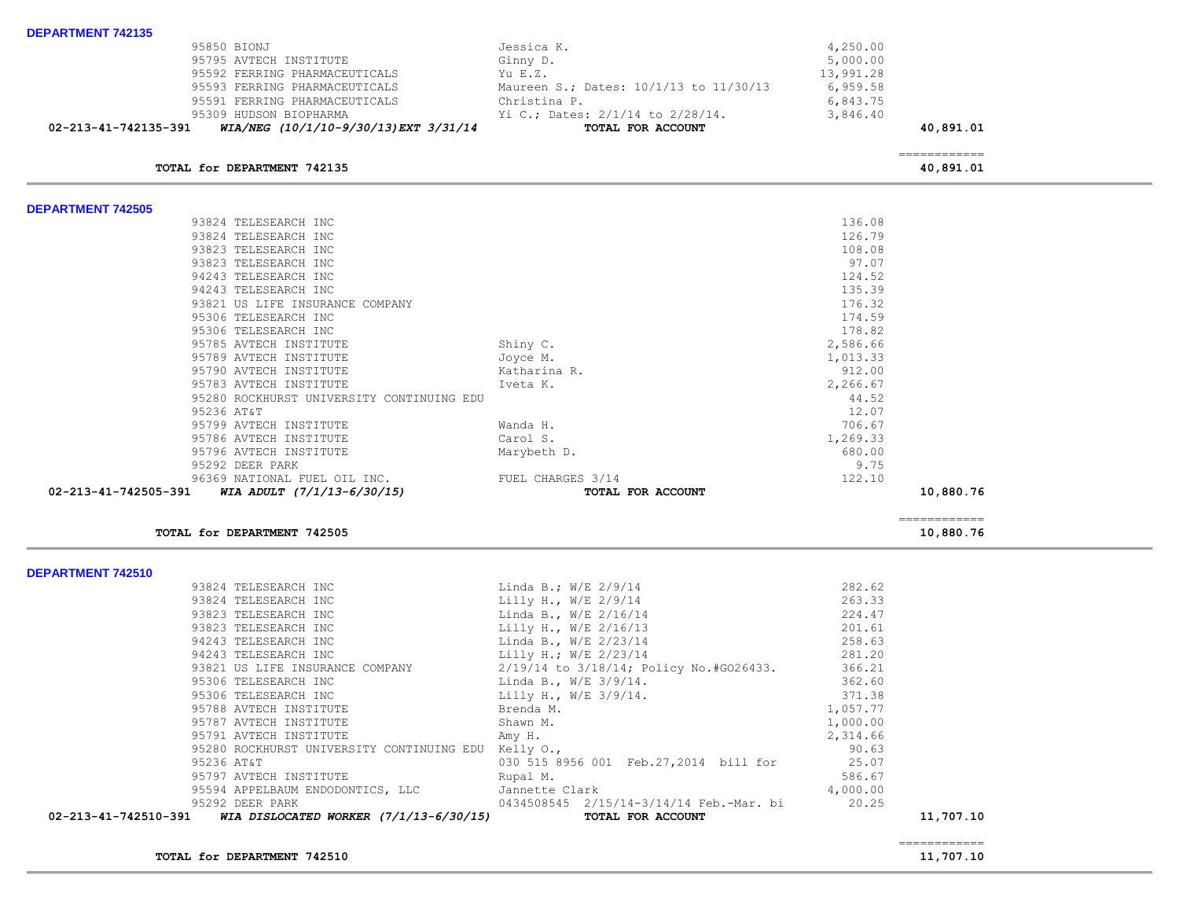| 95795 AVTECH INSTITUTE<br>95592 FERRING PHARMACEUTICALS<br>95593 FERRING PHARMACEUTICALS<br>95591 FERRING PHARMACEUTICALS<br>95309 HUDSON BIOPHARMA<br>WIA/NEG (10/1/10-9/30/13) EXT 3/31/14<br>02-213-41-742135-391 | Ginny D.<br>Yu E.Z.<br>Maureen S.; Dates: 10/1/13 to 11/30/13<br>Christina P.<br>Yi C.; Dates: 2/1/14 to 2/28/14.<br>TOTAL FOR ACCOUNT | 5,000.00<br>13,991.28<br>6,959.58<br>6,843.75<br>3,846.40 | 40,891.01                 |  |
|----------------------------------------------------------------------------------------------------------------------------------------------------------------------------------------------------------------------|----------------------------------------------------------------------------------------------------------------------------------------|-----------------------------------------------------------|---------------------------|--|
| TOTAL for DEPARTMENT 742135                                                                                                                                                                                          |                                                                                                                                        |                                                           | ____________<br>40,891.01 |  |
| <b>DEPARTMENT 742505</b>                                                                                                                                                                                             |                                                                                                                                        |                                                           |                           |  |
| 93824 TELESEARCH INC                                                                                                                                                                                                 |                                                                                                                                        | 136.08                                                    |                           |  |
| 93824 TELESEARCH INC                                                                                                                                                                                                 |                                                                                                                                        | 126.79                                                    |                           |  |
| 93823 TELESEARCH INC                                                                                                                                                                                                 |                                                                                                                                        | 108.08                                                    |                           |  |
| 93823 TELESEARCH INC                                                                                                                                                                                                 |                                                                                                                                        | 97.07                                                     |                           |  |
| 94243 TELESEARCH INC                                                                                                                                                                                                 |                                                                                                                                        | 124.52                                                    |                           |  |
| 94243 TELESEARCH INC                                                                                                                                                                                                 |                                                                                                                                        | 135.39                                                    |                           |  |
| 93821 US LIFE INSURANCE COMPANY                                                                                                                                                                                      |                                                                                                                                        | 176.32                                                    |                           |  |
| 95306 TELESEARCH INC                                                                                                                                                                                                 |                                                                                                                                        | 174.59                                                    |                           |  |
| 95306 TELESEARCH INC                                                                                                                                                                                                 |                                                                                                                                        | 178.82                                                    |                           |  |
| 95785 AVTECH INSTITUTE                                                                                                                                                                                               | Shiny C.                                                                                                                               | 2,586.66                                                  |                           |  |
| 95789 AVTECH INSTITUTE                                                                                                                                                                                               | Joyce M.                                                                                                                               | 1,013.33                                                  |                           |  |
| 95790 AVTECH INSTITUTE                                                                                                                                                                                               | Katharina R.                                                                                                                           | 912.00                                                    |                           |  |
| 95783 AVTECH INSTITUTE                                                                                                                                                                                               | Iveta K.                                                                                                                               | 2,266.67<br>44.52                                         |                           |  |
| 95280 ROCKHURST UNIVERSITY CONTINUING EDU                                                                                                                                                                            |                                                                                                                                        | 12.07                                                     |                           |  |
| 95236 AT&T<br>95799 AVTECH INSTITUTE                                                                                                                                                                                 |                                                                                                                                        | 706.67                                                    |                           |  |
| 95786 AVTECH INSTITUTE                                                                                                                                                                                               | Wanda H.<br>Carol S.                                                                                                                   |                                                           |                           |  |
| 95796 AVTECH INSTITUTE                                                                                                                                                                                               | Marybeth D.                                                                                                                            | 1,269.33<br>680.00                                        |                           |  |
| 95292 DEER PARK                                                                                                                                                                                                      |                                                                                                                                        | 9.75                                                      |                           |  |
| 96369 NATIONAL FUEL OIL INC.                                                                                                                                                                                         | FUEL CHARGES 3/14                                                                                                                      | 122.10                                                    |                           |  |
| 02-213-41-742505-391<br>WIA ADULT $(7/1/13-6/30/15)$                                                                                                                                                                 | TOTAL FOR ACCOUNT                                                                                                                      |                                                           | 10,880.76                 |  |
|                                                                                                                                                                                                                      |                                                                                                                                        |                                                           |                           |  |
| TOTAL for DEPARTMENT 742505                                                                                                                                                                                          |                                                                                                                                        |                                                           | ============<br>10,880.76 |  |
| <b>DEPARTMENT 742510</b>                                                                                                                                                                                             |                                                                                                                                        |                                                           |                           |  |
| 93824 TELESEARCH INC                                                                                                                                                                                                 | Linda B.; W/E 2/9/14                                                                                                                   | 282.62                                                    |                           |  |
| 93824 TELESEARCH INC                                                                                                                                                                                                 | Lilly H., W/E 2/9/14                                                                                                                   | 263.33                                                    |                           |  |
| 93823 TELESEARCH INC                                                                                                                                                                                                 | Linda B., W/E 2/16/14                                                                                                                  | 224.47                                                    |                           |  |
| 93823 TELESEARCH INC                                                                                                                                                                                                 | Lilly H., W/E 2/16/13                                                                                                                  | 201.61                                                    |                           |  |

95850 BIONJ Jessica K. 4,250.00

|  | 93824 TELESEARCH INC | Linda B.;  |  |
|--|----------------------|------------|--|
|  | 93824 TELESEARCH INC | Lilly H.,  |  |
|  | 93823 TELESEARCH INC | Linda B.,  |  |
|  | 93823 TELESEARCH INC | Lilly H.,  |  |
|  | 94243 TELESEARCH INC | Linda B.,  |  |
|  | 94243 TELESEARCH INC | T.illv H.: |  |

| 02-213-41-742510-391 | WIA DISLOCATED WORKER (7/1/13-6/30/15)                                       |                            | TOTAL FOR ACCOUNT                       |          | 11,707.10 |
|----------------------|------------------------------------------------------------------------------|----------------------------|-----------------------------------------|----------|-----------|
|                      | 95292 DEER PARK                                                              |                            | 0434508545 2/15/14-3/14/14 Feb.-Mar. bi | 20.25    |           |
|                      | 95594 APPELBAUM ENDODONTICS, LLC 5annette Clark                              |                            |                                         | 4,000.00 |           |
|                      | 95797 AVTECH INSTITUTE                                                       | Rupal M.                   |                                         | 586.67   |           |
| 95236 AT&T           |                                                                              |                            | 030 515 8956 001 Feb.27,2014 bill for   | 25.07    |           |
|                      | 95280 ROCKHURST UNIVERSITY CONTINUING EDU                                    | Kelly O.,                  |                                         | 90.63    |           |
|                      | 95791 AVTECH INSTITUTE                                                       | Amy H.                     |                                         | 2,314.66 |           |
|                      | 95787 AVTECH INSTITUTE                                                       | Shawn M.                   |                                         | 1,000.00 |           |
|                      | 95788 AVTECH INSTITUTE                                                       | Brenda M.                  |                                         | 1,057.77 |           |
|                      | 95306 TELESEARCH INC                                                         | Lilly H., $W/E = 3/9/14$ . |                                         | 371.38   |           |
|                      | 95306 TELESEARCH INC                                                         | Linda B., W/E 3/9/14.      |                                         | 362.60   |           |
|                      | 93821 US LIFE INSURANCE COMPANY $2/19/14$ to $3/18/14$ ; Policy No.#GO26433. |                            |                                         | 366.21   |           |
|                      | 94243 TELESEARCH INC                                                         | Lilly H.; W/E 2/23/14      |                                         | 281.20   |           |
|                      | 94243 TELESEARCH INC                                                         | Linda B., $W/E$ 2/23/14    |                                         | 258.63   |           |
|                      | 93823 TELESEARCH INC                                                         | Lilly H., W/E 2/16/13      |                                         | 201.61   |           |
|                      | 93823 TELESEARCH INC                                                         | Linda B., W/E 2/16/14      |                                         | 224.47   |           |
|                      | 93824 TELESEARCH INC                                                         | Lilly H., W/E 2/9/14       |                                         | 263.33   |           |
|                      |                                                                              |                            |                                         |          |           |

**TOTAL for DEPARTMENT 742510 11,707.10 11,707.10** 

**DEPARTMENT 742135**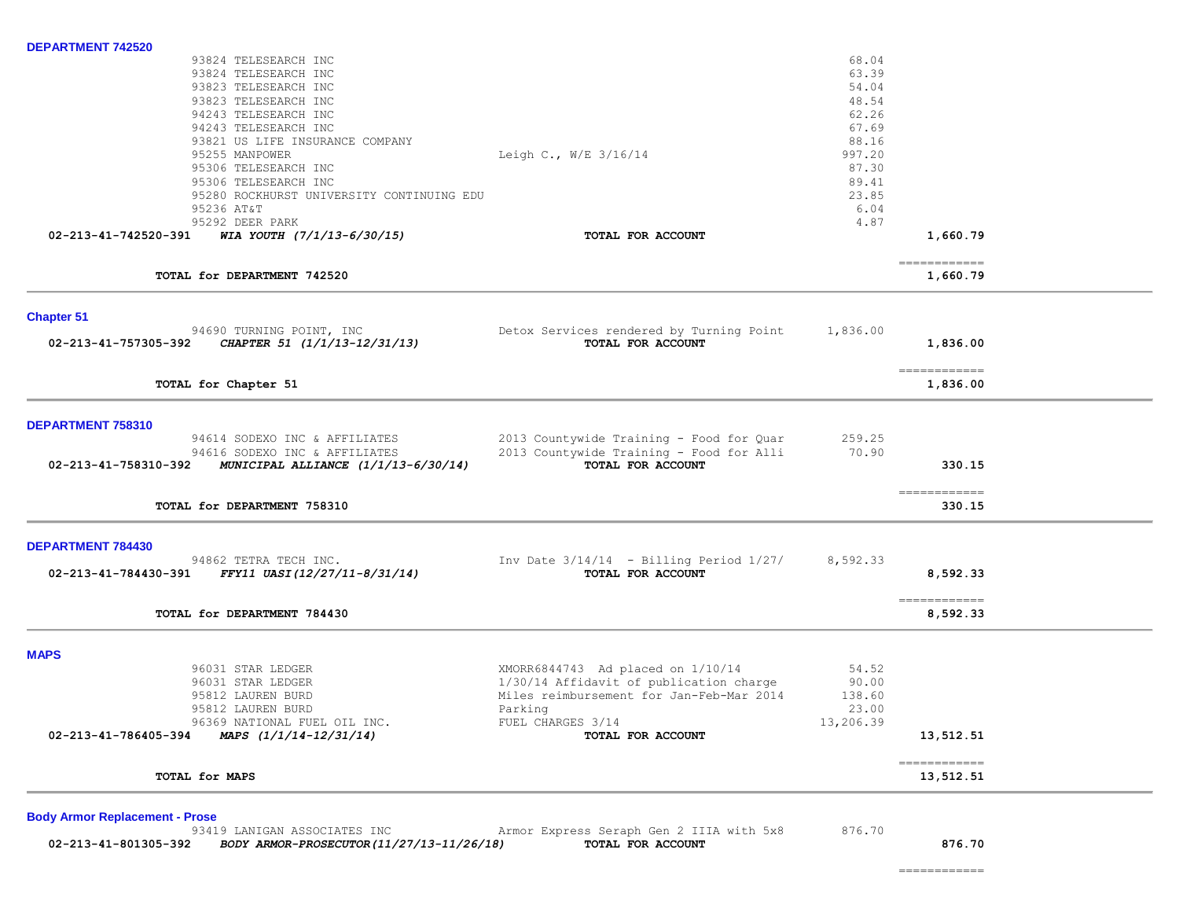|                                             | 68.04                                                                                                                                                                                   |                            |                                                                                           |
|---------------------------------------------|-----------------------------------------------------------------------------------------------------------------------------------------------------------------------------------------|----------------------------|-------------------------------------------------------------------------------------------|
|                                             | 63.39                                                                                                                                                                                   |                            |                                                                                           |
|                                             | 54.04                                                                                                                                                                                   |                            |                                                                                           |
|                                             | 48.54                                                                                                                                                                                   |                            |                                                                                           |
|                                             | 62.26                                                                                                                                                                                   |                            |                                                                                           |
|                                             | 67.69                                                                                                                                                                                   |                            |                                                                                           |
|                                             | 88.16                                                                                                                                                                                   |                            |                                                                                           |
| Leigh C., W/E 3/16/14                       | 997.20                                                                                                                                                                                  |                            |                                                                                           |
|                                             | 87.30                                                                                                                                                                                   |                            |                                                                                           |
|                                             | 89.41                                                                                                                                                                                   |                            |                                                                                           |
|                                             | 23.85                                                                                                                                                                                   |                            |                                                                                           |
|                                             | 6.04                                                                                                                                                                                    |                            |                                                                                           |
|                                             | 4.87                                                                                                                                                                                    |                            |                                                                                           |
| TOTAL FOR ACCOUNT                           |                                                                                                                                                                                         | 1,660.79                   |                                                                                           |
|                                             |                                                                                                                                                                                         | 1,660.79                   |                                                                                           |
|                                             |                                                                                                                                                                                         |                            |                                                                                           |
|                                             |                                                                                                                                                                                         |                            |                                                                                           |
| TOTAL FOR ACCOUNT                           |                                                                                                                                                                                         | 1,836.00                   |                                                                                           |
|                                             |                                                                                                                                                                                         |                            |                                                                                           |
|                                             |                                                                                                                                                                                         | 1,836.00                   |                                                                                           |
|                                             |                                                                                                                                                                                         |                            |                                                                                           |
| 2013 Countywide Training - Food for Quar    | 259.25                                                                                                                                                                                  |                            |                                                                                           |
| 2013 Countywide Training - Food for Alli    | 70.90                                                                                                                                                                                   |                            |                                                                                           |
| TOTAL FOR ACCOUNT                           |                                                                                                                                                                                         | 330.15                     |                                                                                           |
|                                             |                                                                                                                                                                                         |                            |                                                                                           |
|                                             |                                                                                                                                                                                         | 330.15                     |                                                                                           |
|                                             |                                                                                                                                                                                         |                            |                                                                                           |
| Inv Date $3/14/14$ - Billing Period $1/27/$ | 8,592.33                                                                                                                                                                                |                            |                                                                                           |
| TOTAL FOR ACCOUNT                           |                                                                                                                                                                                         | 8,592.33                   |                                                                                           |
|                                             |                                                                                                                                                                                         |                            |                                                                                           |
|                                             |                                                                                                                                                                                         |                            |                                                                                           |
|                                             |                                                                                                                                                                                         |                            |                                                                                           |
| XMORR6844743 Ad placed on 1/10/14           | 54.52                                                                                                                                                                                   |                            |                                                                                           |
|                                             |                                                                                                                                                                                         |                            |                                                                                           |
|                                             | 138.60                                                                                                                                                                                  |                            |                                                                                           |
|                                             |                                                                                                                                                                                         |                            |                                                                                           |
| FUEL CHARGES 3/14                           | 13,206.39                                                                                                                                                                               |                            |                                                                                           |
|                                             |                                                                                                                                                                                         | 13,512.51                  |                                                                                           |
| TOTAL FOR ACCOUNT                           |                                                                                                                                                                                         |                            |                                                                                           |
|                                             | 95280 ROCKHURST UNIVERSITY CONTINUING EDU<br>Detox Services rendered by Turning Point<br>1/30/14 Affidavit of publication charge<br>Miles reimbursement for Jan-Feb-Mar 2014<br>Parking | 1,836.00<br>90.00<br>23.00 | =============<br>-------------<br>$=$ = = = = = = = = = = = =<br>============<br>8,592.33 |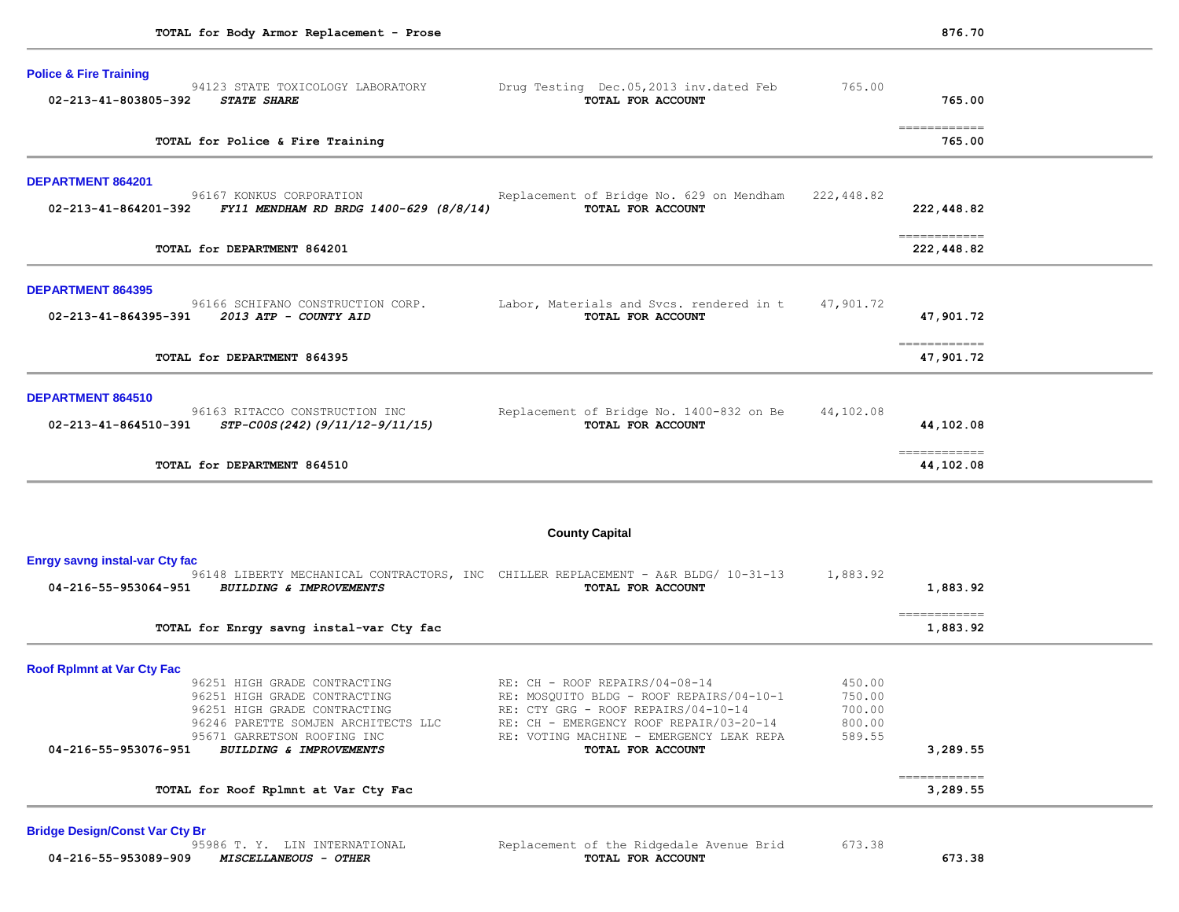| <b>Police &amp; Fire Training</b><br>02-213-41-803805-392 | 94123 STATE TOXICOLOGY LABORATORY<br><b>STATE SHARE</b>            | Drug Testing Dec.05,2013 inv.dated Feb<br>TOTAL FOR ACCOUNT                                                     | 765.00           | 765.00                                                                                                                                                                                                                                                                                                                                                                                                                                                                                               |
|-----------------------------------------------------------|--------------------------------------------------------------------|-----------------------------------------------------------------------------------------------------------------|------------------|------------------------------------------------------------------------------------------------------------------------------------------------------------------------------------------------------------------------------------------------------------------------------------------------------------------------------------------------------------------------------------------------------------------------------------------------------------------------------------------------------|
|                                                           | TOTAL for Police & Fire Training                                   |                                                                                                                 |                  | =============<br>765.00                                                                                                                                                                                                                                                                                                                                                                                                                                                                              |
| <b>DEPARTMENT 864201</b>                                  |                                                                    |                                                                                                                 |                  |                                                                                                                                                                                                                                                                                                                                                                                                                                                                                                      |
| 02-213-41-864201-392                                      | 96167 KONKUS CORPORATION<br>FY11 MENDHAM RD BRDG 1400-629 (8/8/14) | Replacement of Bridge No. 629 on Mendham<br>TOTAL FOR ACCOUNT                                                   | 222,448.82       | 222,448.82                                                                                                                                                                                                                                                                                                                                                                                                                                                                                           |
|                                                           | TOTAL for DEPARTMENT 864201                                        |                                                                                                                 |                  | $\begin{array}{cccccccccc} \multicolumn{2}{c}{} & \multicolumn{2}{c}{} & \multicolumn{2}{c}{} & \multicolumn{2}{c}{} & \multicolumn{2}{c}{} & \multicolumn{2}{c}{} & \multicolumn{2}{c}{} & \multicolumn{2}{c}{} & \multicolumn{2}{c}{} & \multicolumn{2}{c}{} & \multicolumn{2}{c}{} & \multicolumn{2}{c}{} & \multicolumn{2}{c}{} & \multicolumn{2}{c}{} & \multicolumn{2}{c}{} & \multicolumn{2}{c}{} & \multicolumn{2}{c}{} & \multicolumn{2}{c}{} & \multicolumn{2}{c}{} & \mult$<br>222,448.82 |
| <b>DEPARTMENT 864395</b>                                  |                                                                    |                                                                                                                 |                  |                                                                                                                                                                                                                                                                                                                                                                                                                                                                                                      |
|                                                           | 96166 SCHIFANO CONSTRUCTION CORP.                                  | Labor, Materials and Svcs. rendered in t<br>TOTAL FOR ACCOUNT                                                   | 47,901.72        | 47,901.72                                                                                                                                                                                                                                                                                                                                                                                                                                                                                            |
|                                                           | TOTAL for DEPARTMENT 864395                                        |                                                                                                                 |                  | ============<br>47,901.72                                                                                                                                                                                                                                                                                                                                                                                                                                                                            |
| DEPARTMENT 864510                                         |                                                                    |                                                                                                                 |                  |                                                                                                                                                                                                                                                                                                                                                                                                                                                                                                      |
| 02-213-41-864510-391                                      | 96163 RITACCO CONSTRUCTION INC<br>STP-C00S(242)(9/11/12-9/11/15)   | Replacement of Bridge No. 1400-832 on Be<br>TOTAL FOR ACCOUNT                                                   | 44,102.08        | 44,102.08                                                                                                                                                                                                                                                                                                                                                                                                                                                                                            |
|                                                           | TOTAL for DEPARTMENT 864510                                        |                                                                                                                 |                  | =============<br>44,102.08                                                                                                                                                                                                                                                                                                                                                                                                                                                                           |
|                                                           |                                                                    | <b>County Capital</b>                                                                                           |                  |                                                                                                                                                                                                                                                                                                                                                                                                                                                                                                      |
| <b>Enrgy savng instal-var Cty fac</b>                     |                                                                    |                                                                                                                 | 1,883.92         |                                                                                                                                                                                                                                                                                                                                                                                                                                                                                                      |
| 04-216-55-953064-951                                      | <b>BUILDING &amp; IMPROVEMENTS</b>                                 | 96148 LIBERTY MECHANICAL CONTRACTORS, INC CHILLER REPLACEMENT - A&R BLDG/ 10-31-13<br>TOTAL FOR ACCOUNT         |                  | 1,883.92                                                                                                                                                                                                                                                                                                                                                                                                                                                                                             |
|                                                           | TOTAL for Enrgy savng instal-var Cty fac                           |                                                                                                                 |                  | =============<br>1,883.92                                                                                                                                                                                                                                                                                                                                                                                                                                                                            |
| <b>Roof Rplmnt at Var Cty Fac</b>                         |                                                                    |                                                                                                                 |                  |                                                                                                                                                                                                                                                                                                                                                                                                                                                                                                      |
|                                                           | 96251 HIGH GRADE CONTRACTING<br>96251 HIGH GRADE CONTRACTING       | $RE: CH - ROOF REPAIRS/04-08-14$<br>RE: MOSQUITO BLDG - ROOF REPAIRS/04-10-1                                    | 450.00<br>750.00 |                                                                                                                                                                                                                                                                                                                                                                                                                                                                                                      |
|                                                           | 96251 HIGH GRADE CONTRACTING                                       | RE: CTY GRG - ROOF REPAIRS/04-10-14                                                                             | 700.00           |                                                                                                                                                                                                                                                                                                                                                                                                                                                                                                      |
|                                                           | 96246 PARETTE SOMJEN ARCHITECTS LLC                                | RE: CH - EMERGENCY ROOF REPAIR/03-20-14                                                                         | 800.00           |                                                                                                                                                                                                                                                                                                                                                                                                                                                                                                      |
| 04-216-55-953076-951                                      | 95671 GARRETSON ROOFING INC<br><b>BUILDING &amp; IMPROVEMENTS</b>  | RE: VOTING MACHINE - EMERGENCY LEAK REPA<br>TOTAL FOR ACCOUNT                                                   | 589.55           | 3,289.55                                                                                                                                                                                                                                                                                                                                                                                                                                                                                             |
|                                                           |                                                                    |                                                                                                                 |                  | $\begin{array}{cccccccccc} \multicolumn{2}{c}{} & \multicolumn{2}{c}{} & \multicolumn{2}{c}{} & \multicolumn{2}{c}{} & \multicolumn{2}{c}{} & \multicolumn{2}{c}{} & \multicolumn{2}{c}{} & \multicolumn{2}{c}{} & \multicolumn{2}{c}{} & \multicolumn{2}{c}{} & \multicolumn{2}{c}{} & \multicolumn{2}{c}{} & \multicolumn{2}{c}{} & \multicolumn{2}{c}{} & \multicolumn{2}{c}{} & \multicolumn{2}{c}{} & \multicolumn{2}{c}{} & \multicolumn{2}{c}{} & \multicolumn{2}{c}{} & \mult$               |
|                                                           | TOTAL for Roof Rplmnt at Var Cty Fac                               |                                                                                                                 |                  | 3,289.55                                                                                                                                                                                                                                                                                                                                                                                                                                                                                             |
| <b>Bridge Design/Const Var Cty Br</b>                     |                                                                    |                                                                                                                 |                  |                                                                                                                                                                                                                                                                                                                                                                                                                                                                                                      |
|                                                           |                                                                    | the contract of the contract of the contract of the contract of the contract of the contract of the contract of | $-0.0$           |                                                                                                                                                                                                                                                                                                                                                                                                                                                                                                      |

 **04-216-55-953089-909** *MISCELLANEOUS - OTHER* **TOTAL FOR ACCOUNT 673.38**

95986 T. Y. LIN INTERNATIONAL Replacement of the Ridgedale Avenue Brid 673.38<br> **MISCELLANEOUS - OTHER COLLANE ROR ACCOUNT**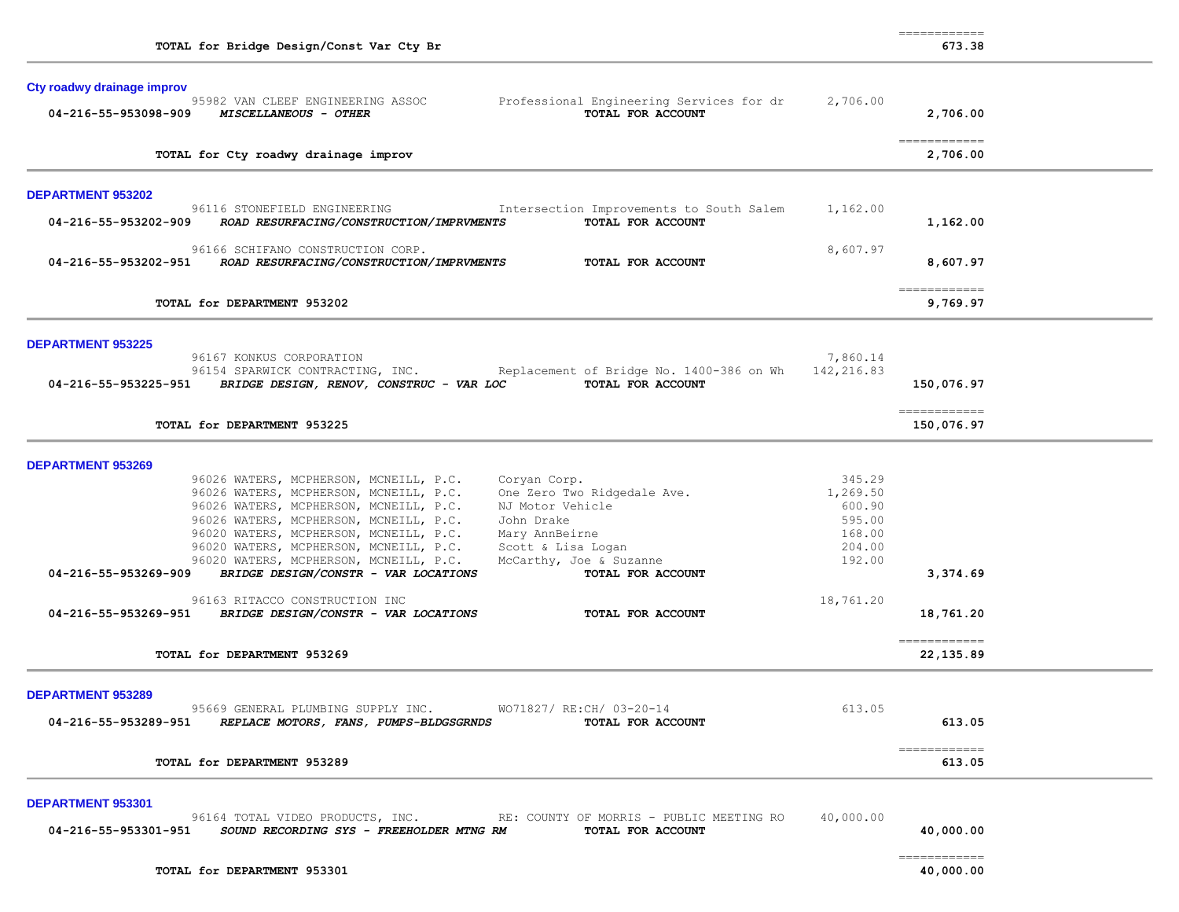| Cty roadwy drainage improv                                                                                                                                                                                                                                                                                                                                                                                                                                                                                                               |                                                                      |                             |  |
|------------------------------------------------------------------------------------------------------------------------------------------------------------------------------------------------------------------------------------------------------------------------------------------------------------------------------------------------------------------------------------------------------------------------------------------------------------------------------------------------------------------------------------------|----------------------------------------------------------------------|-----------------------------|--|
| 95982 VAN CLEEF ENGINEERING ASSOC<br>Professional Engineering Services for dr<br>TOTAL FOR ACCOUNT<br>04-216-55-953098-909 MISCELLANEOUS - OTHER                                                                                                                                                                                                                                                                                                                                                                                         | 2,706.00                                                             | 2,706.00                    |  |
| TOTAL for Cty roadwy drainage improv                                                                                                                                                                                                                                                                                                                                                                                                                                                                                                     |                                                                      | -------------<br>2,706.00   |  |
| DEPARTMENT 953202                                                                                                                                                                                                                                                                                                                                                                                                                                                                                                                        |                                                                      |                             |  |
| 96116 STONEFIELD ENGINEERING<br>Intersection Improvements to South Salem<br>ROAD RESURFACING/CONSTRUCTION/IMPRVMENTS<br>TOTAL FOR ACCOUNT<br>04-216-55-953202-909                                                                                                                                                                                                                                                                                                                                                                        | 1,162.00                                                             | 1,162.00                    |  |
| 96166 SCHIFANO CONSTRUCTION CORP.<br>04-216-55-953202-951 ROAD RESURFACING/CONSTRUCTION/IMPRVMENTS<br>TOTAL FOR ACCOUNT                                                                                                                                                                                                                                                                                                                                                                                                                  | 8,607.97                                                             | 8,607.97                    |  |
| TOTAL for DEPARTMENT 953202                                                                                                                                                                                                                                                                                                                                                                                                                                                                                                              |                                                                      | -------------<br>9,769.97   |  |
| <b>DEPARTMENT 953225</b>                                                                                                                                                                                                                                                                                                                                                                                                                                                                                                                 |                                                                      |                             |  |
| 96167 KONKUS CORPORATION<br>96154 SPARWICK CONTRACTING, INC. Replacement of Bridge No. 1400-386 on Wh<br>04-216-55-953225-951 BRIDGE DESIGN, RENOV, CONSTRUC - VAR LOC TOTAL FOR ACCOUNT                                                                                                                                                                                                                                                                                                                                                 | 7,860.14<br>142,216.83                                               | 150,076.97                  |  |
| TOTAL for DEPARTMENT 953225                                                                                                                                                                                                                                                                                                                                                                                                                                                                                                              |                                                                      | -------------<br>150,076.97 |  |
| <b>DEPARTMENT 953269</b>                                                                                                                                                                                                                                                                                                                                                                                                                                                                                                                 |                                                                      |                             |  |
| 96026 WATERS, MCPHERSON, MCNEILL, P.C.<br>Coryan Corp.<br>96026 WATERS, MCPHERSON, MCNEILL, P.C.<br>One Zero Two Ridgedale Ave.<br>96026 WATERS, MCPHERSON, MCNEILL, P.C.<br>NJ Motor Vehicle<br>96026 WATERS, MCPHERSON, MCNEILL, P.C.<br>John Drake<br>96020 WATERS, MCPHERSON, MCNEILL, P.C. Mary AnnBeirne<br>96020 WATERS, MCPHERSON, MCNEILL, P.C.<br>Scott & Lisa Logan<br>96020 WATERS, MCPHERSON, MCNEILL, P.C.<br>McCarthy, Joe & Suzanne<br>BRIDGE DESIGN/CONSTR - VAR LOCATIONS<br>04-216-55-953269-909<br>TOTAL FOR ACCOUNT | 345.29<br>1,269.50<br>600.90<br>595.00<br>168.00<br>204.00<br>192.00 | 3,374.69                    |  |
| 96163 RITACCO CONSTRUCTION INC<br>04-216-55-953269-951 BRIDGE DESIGN/CONSTR - VAR LOCATIONS<br>TOTAL FOR ACCOUNT                                                                                                                                                                                                                                                                                                                                                                                                                         | 18,761.20                                                            | 18,761.20                   |  |
| TOTAL for DEPARTMENT 953269                                                                                                                                                                                                                                                                                                                                                                                                                                                                                                              |                                                                      | -------------<br>22, 135.89 |  |
| <b>DEPARTMENT 953289</b>                                                                                                                                                                                                                                                                                                                                                                                                                                                                                                                 |                                                                      |                             |  |
| 95669 GENERAL PLUMBING SUPPLY INC.<br>WO71827/ RE:CH/ 03-20-14<br>04-216-55-953289-951<br>REPLACE MOTORS, FANS, PUMPS-BLDGSGRNDS<br>TOTAL FOR ACCOUNT                                                                                                                                                                                                                                                                                                                                                                                    | 613.05                                                               | 613.05                      |  |
|                                                                                                                                                                                                                                                                                                                                                                                                                                                                                                                                          |                                                                      | ------------                |  |

============

TOTAL for Bridge Design/Const Var Cty Br 673.38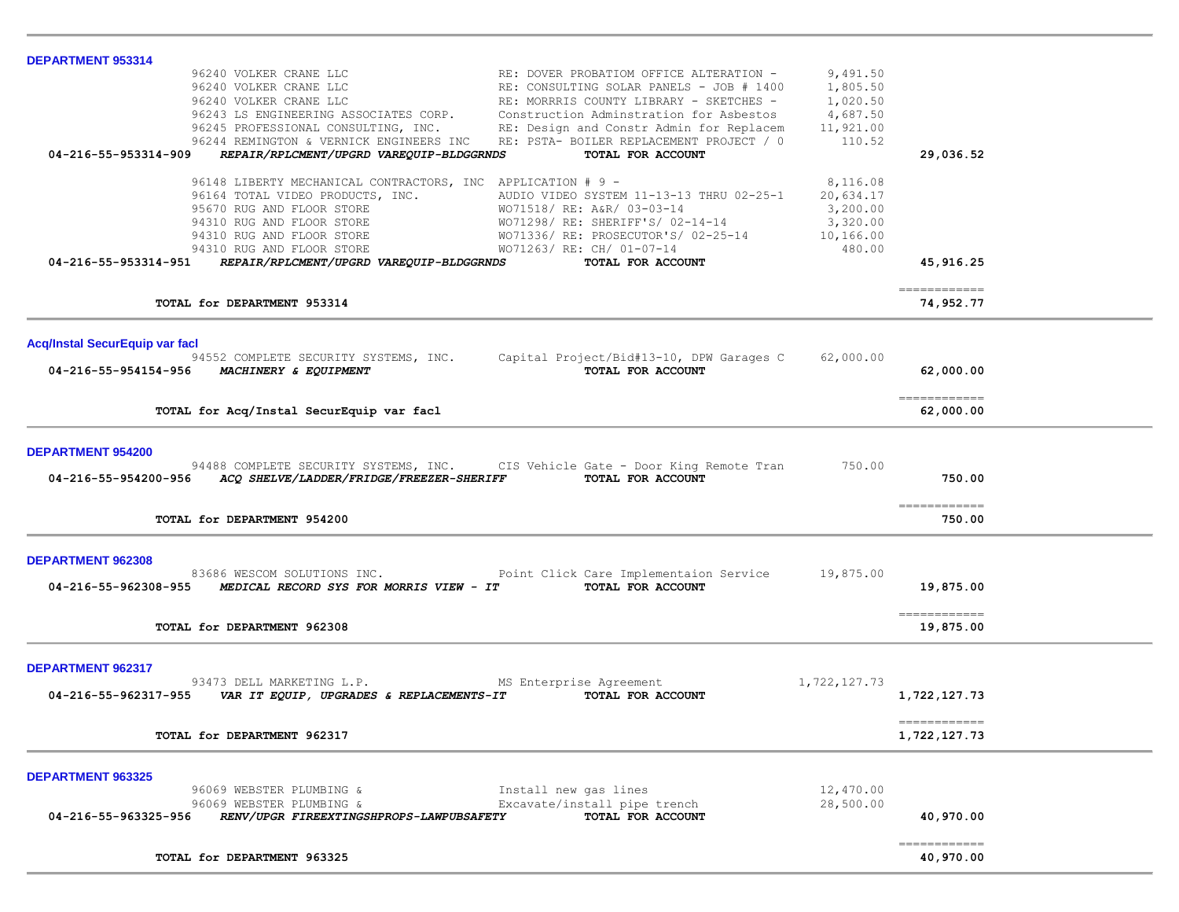| <b>DEPARTMENT 953314</b>              |                                                                                 |                                                                                                                                                                                                                                              |                      |                                                                                                                                                                                                                                                                                                                                                                                                                                                                                                     |  |
|---------------------------------------|---------------------------------------------------------------------------------|----------------------------------------------------------------------------------------------------------------------------------------------------------------------------------------------------------------------------------------------|----------------------|-----------------------------------------------------------------------------------------------------------------------------------------------------------------------------------------------------------------------------------------------------------------------------------------------------------------------------------------------------------------------------------------------------------------------------------------------------------------------------------------------------|--|
|                                       | 96240 VOLKER CRANE LLC                                                          | RE: DOVER PROBATIOM OFFICE ALTERATION -                                                                                                                                                                                                      | 9,491.50             |                                                                                                                                                                                                                                                                                                                                                                                                                                                                                                     |  |
|                                       | 96240 VOLKER CRANE LLC                                                          | RE: CONSULTING SOLAR PANELS - JOB # 1400                                                                                                                                                                                                     | 1,805.50             |                                                                                                                                                                                                                                                                                                                                                                                                                                                                                                     |  |
|                                       | 96240 VOLKER CRANE LLC<br>96243 LS ENGINEERING ASSOCIATES CORP.                 | RE: MORRRIS COUNTY LIBRARY - SKETCHES -<br>Construction Adminstration for Asbestos                                                                                                                                                           | 1,020.50<br>4,687.50 |                                                                                                                                                                                                                                                                                                                                                                                                                                                                                                     |  |
|                                       | 96245 PROFESSIONAL CONSULTING, INC.                                             | RE: Design and Constr Admin for Replacem                                                                                                                                                                                                     | 11,921.00            |                                                                                                                                                                                                                                                                                                                                                                                                                                                                                                     |  |
|                                       | 96244 REMINGTON & VERNICK ENGINEERS INC                                         | RE: PSTA- BOILER REPLACEMENT PROJECT / 0                                                                                                                                                                                                     | 110.52               |                                                                                                                                                                                                                                                                                                                                                                                                                                                                                                     |  |
| 04-216-55-953314-909                  | REPAIR/RPLCMENT/UPGRD VAREQUIP-BLDGGRNDS                                        | TOTAL FOR ACCOUNT                                                                                                                                                                                                                            |                      | 29,036.52                                                                                                                                                                                                                                                                                                                                                                                                                                                                                           |  |
|                                       |                                                                                 |                                                                                                                                                                                                                                              |                      |                                                                                                                                                                                                                                                                                                                                                                                                                                                                                                     |  |
|                                       | 96148 LIBERTY MECHANICAL CONTRACTORS, INC APPLICATION # 9 -                     |                                                                                                                                                                                                                                              | 8,116.08             |                                                                                                                                                                                                                                                                                                                                                                                                                                                                                                     |  |
|                                       |                                                                                 |                                                                                                                                                                                                                                              |                      |                                                                                                                                                                                                                                                                                                                                                                                                                                                                                                     |  |
|                                       |                                                                                 |                                                                                                                                                                                                                                              |                      |                                                                                                                                                                                                                                                                                                                                                                                                                                                                                                     |  |
|                                       |                                                                                 |                                                                                                                                                                                                                                              |                      |                                                                                                                                                                                                                                                                                                                                                                                                                                                                                                     |  |
|                                       |                                                                                 |                                                                                                                                                                                                                                              |                      |                                                                                                                                                                                                                                                                                                                                                                                                                                                                                                     |  |
|                                       | 04-216-55-953314-951 REPAIR/RPLCMENT/UPGRD VAREQUIP-BLDGGRNDS                   | 96164 TOTAL VIDEO PRODUCTS, INC.<br>96164 TOTAL VIDEO PRODUCTS, INC.<br>9670 RUG AND FLOOR STORE<br>9670 RUG AND FLOOR STORE<br>9670 RUG AND FLOOR STORE<br>9670 RUG AND FLOOR STORE<br>96710 RUG AND FLOOR STORE<br>96710 RUG AND FLOOR STO |                      | 45,916.25                                                                                                                                                                                                                                                                                                                                                                                                                                                                                           |  |
|                                       |                                                                                 |                                                                                                                                                                                                                                              |                      |                                                                                                                                                                                                                                                                                                                                                                                                                                                                                                     |  |
|                                       |                                                                                 |                                                                                                                                                                                                                                              |                      | -------------                                                                                                                                                                                                                                                                                                                                                                                                                                                                                       |  |
|                                       | TOTAL for DEPARTMENT 953314                                                     |                                                                                                                                                                                                                                              |                      | 74,952.77                                                                                                                                                                                                                                                                                                                                                                                                                                                                                           |  |
|                                       |                                                                                 |                                                                                                                                                                                                                                              |                      |                                                                                                                                                                                                                                                                                                                                                                                                                                                                                                     |  |
| <b>Acq/Instal SecurEquip var facl</b> |                                                                                 |                                                                                                                                                                                                                                              |                      |                                                                                                                                                                                                                                                                                                                                                                                                                                                                                                     |  |
|                                       |                                                                                 | 94552 COMPLETE SECURITY SYSTEMS, INC. Capital Project/Bid#13-10, DPW Garages C                                                                                                                                                               | 62,000.00            |                                                                                                                                                                                                                                                                                                                                                                                                                                                                                                     |  |
|                                       | 04-216-55-954154-956 MACHINERY & EQUIPMENT                                      | TOTAL FOR ACCOUNT                                                                                                                                                                                                                            |                      | 62,000.00                                                                                                                                                                                                                                                                                                                                                                                                                                                                                           |  |
|                                       |                                                                                 |                                                                                                                                                                                                                                              |                      |                                                                                                                                                                                                                                                                                                                                                                                                                                                                                                     |  |
|                                       | TOTAL for Acq/Instal SecurEquip var facl                                        |                                                                                                                                                                                                                                              |                      | $\begin{array}{cccccccccc} \multicolumn{2}{c}{} & \multicolumn{2}{c}{} & \multicolumn{2}{c}{} & \multicolumn{2}{c}{} & \multicolumn{2}{c}{} & \multicolumn{2}{c}{} & \multicolumn{2}{c}{} & \multicolumn{2}{c}{} & \multicolumn{2}{c}{} & \multicolumn{2}{c}{} & \multicolumn{2}{c}{} & \multicolumn{2}{c}{} & \multicolumn{2}{c}{} & \multicolumn{2}{c}{} & \multicolumn{2}{c}{} & \multicolumn{2}{c}{} & \multicolumn{2}{c}{} & \multicolumn{2}{c}{} & \multicolumn{2}{c}{} & \mult$<br>62,000.00 |  |
|                                       |                                                                                 |                                                                                                                                                                                                                                              |                      |                                                                                                                                                                                                                                                                                                                                                                                                                                                                                                     |  |
|                                       |                                                                                 |                                                                                                                                                                                                                                              |                      |                                                                                                                                                                                                                                                                                                                                                                                                                                                                                                     |  |
| <b>DEPARTMENT 954200</b>              |                                                                                 |                                                                                                                                                                                                                                              |                      |                                                                                                                                                                                                                                                                                                                                                                                                                                                                                                     |  |
|                                       |                                                                                 | 94488 COMPLETE SECURITY SYSTEMS, INC. CIS Vehicle Gate - Door King Remote Tran 750.00                                                                                                                                                        |                      | 750.00                                                                                                                                                                                                                                                                                                                                                                                                                                                                                              |  |
|                                       | 04-216-55-954200-956 ACQ SHELVE/LADDER/FRIDGE/FREEZER-SHERIFF TOTAL FOR ACCOUNT |                                                                                                                                                                                                                                              |                      |                                                                                                                                                                                                                                                                                                                                                                                                                                                                                                     |  |
|                                       |                                                                                 |                                                                                                                                                                                                                                              |                      | ------------                                                                                                                                                                                                                                                                                                                                                                                                                                                                                        |  |
|                                       | TOTAL for DEPARTMENT 954200                                                     |                                                                                                                                                                                                                                              |                      | 750.00                                                                                                                                                                                                                                                                                                                                                                                                                                                                                              |  |
|                                       |                                                                                 |                                                                                                                                                                                                                                              |                      |                                                                                                                                                                                                                                                                                                                                                                                                                                                                                                     |  |
| <b>DEPARTMENT 962308</b>              |                                                                                 |                                                                                                                                                                                                                                              |                      |                                                                                                                                                                                                                                                                                                                                                                                                                                                                                                     |  |
|                                       |                                                                                 | 83686 WESCOM SOLUTIONS INC. The Point Click Care Implementaion Service 19,875.00                                                                                                                                                             |                      |                                                                                                                                                                                                                                                                                                                                                                                                                                                                                                     |  |
|                                       | 04-216-55-962308-955 MEDICAL RECORD SYS FOR MORRIS VIEW - IT                    | TOTAL FOR ACCOUNT                                                                                                                                                                                                                            |                      | 19,875.00                                                                                                                                                                                                                                                                                                                                                                                                                                                                                           |  |
|                                       |                                                                                 |                                                                                                                                                                                                                                              |                      |                                                                                                                                                                                                                                                                                                                                                                                                                                                                                                     |  |
|                                       |                                                                                 |                                                                                                                                                                                                                                              |                      | =============                                                                                                                                                                                                                                                                                                                                                                                                                                                                                       |  |
|                                       | TOTAL for DEPARTMENT 962308                                                     |                                                                                                                                                                                                                                              |                      | 19,875.00                                                                                                                                                                                                                                                                                                                                                                                                                                                                                           |  |
|                                       |                                                                                 |                                                                                                                                                                                                                                              |                      |                                                                                                                                                                                                                                                                                                                                                                                                                                                                                                     |  |
| DEPARTMENT 962317                     |                                                                                 |                                                                                                                                                                                                                                              |                      |                                                                                                                                                                                                                                                                                                                                                                                                                                                                                                     |  |
|                                       | 93473 DELL MARKETING L.P. MS Enterprise Agreement                               |                                                                                                                                                                                                                                              | 1,722,127.73         |                                                                                                                                                                                                                                                                                                                                                                                                                                                                                                     |  |
| 04-216-55-962317-955                  | VAR IT EQUIP, UPGRADES & REPLACEMENTS-IT                                        | TOTAL FOR ACCOUNT                                                                                                                                                                                                                            |                      | 1,722,127.73                                                                                                                                                                                                                                                                                                                                                                                                                                                                                        |  |
|                                       |                                                                                 |                                                                                                                                                                                                                                              |                      |                                                                                                                                                                                                                                                                                                                                                                                                                                                                                                     |  |
|                                       | TOTAL for DEPARTMENT 962317                                                     |                                                                                                                                                                                                                                              |                      | 1,722,127.73                                                                                                                                                                                                                                                                                                                                                                                                                                                                                        |  |
|                                       |                                                                                 |                                                                                                                                                                                                                                              |                      |                                                                                                                                                                                                                                                                                                                                                                                                                                                                                                     |  |
| <b>DEPARTMENT 963325</b>              |                                                                                 |                                                                                                                                                                                                                                              |                      |                                                                                                                                                                                                                                                                                                                                                                                                                                                                                                     |  |
|                                       | 96069 WEBSTER PLUMBING &                                                        | Install new gas lines                                                                                                                                                                                                                        | 12,470.00            |                                                                                                                                                                                                                                                                                                                                                                                                                                                                                                     |  |
|                                       | 96069 WEBSTER PLUMBING &                                                        | Excavate/install pipe trench                                                                                                                                                                                                                 | 28,500.00            |                                                                                                                                                                                                                                                                                                                                                                                                                                                                                                     |  |
| 04-216-55-963325-956                  | RENV/UPGR FIREEXTINGSHPROPS-LAWPUBSAFETY                                        | TOTAL FOR ACCOUNT                                                                                                                                                                                                                            |                      | 40,970.00                                                                                                                                                                                                                                                                                                                                                                                                                                                                                           |  |
|                                       |                                                                                 |                                                                                                                                                                                                                                              |                      |                                                                                                                                                                                                                                                                                                                                                                                                                                                                                                     |  |
|                                       |                                                                                 |                                                                                                                                                                                                                                              |                      | -------------                                                                                                                                                                                                                                                                                                                                                                                                                                                                                       |  |
|                                       | TOTAL for DEPARTMENT 963325                                                     |                                                                                                                                                                                                                                              |                      | 40,970.00                                                                                                                                                                                                                                                                                                                                                                                                                                                                                           |  |
|                                       |                                                                                 |                                                                                                                                                                                                                                              |                      |                                                                                                                                                                                                                                                                                                                                                                                                                                                                                                     |  |